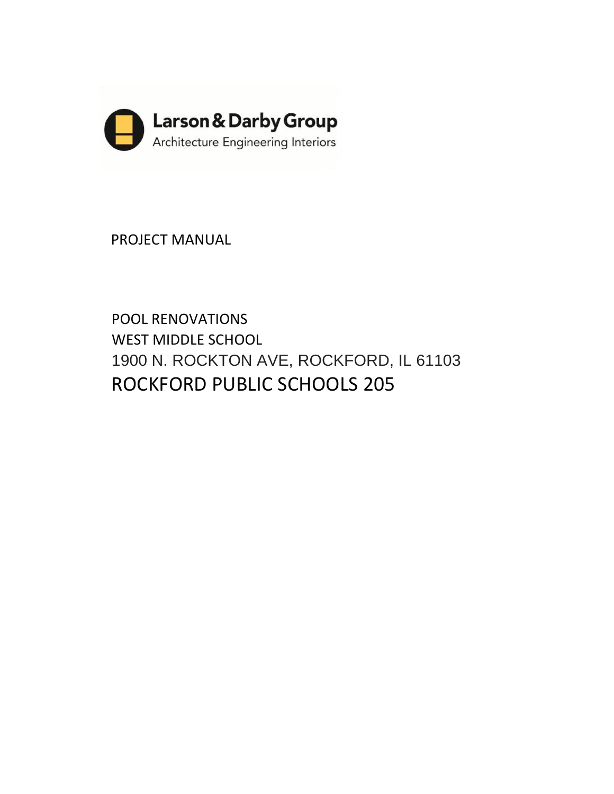

PROJECT MANUAL

POOL RENOVATIONS WEST MIDDLE SCHOOL 1900 N. ROCKTON AVE, ROCKFORD, IL 61103 ROCKFORD PUBLIC SCHOOLS 205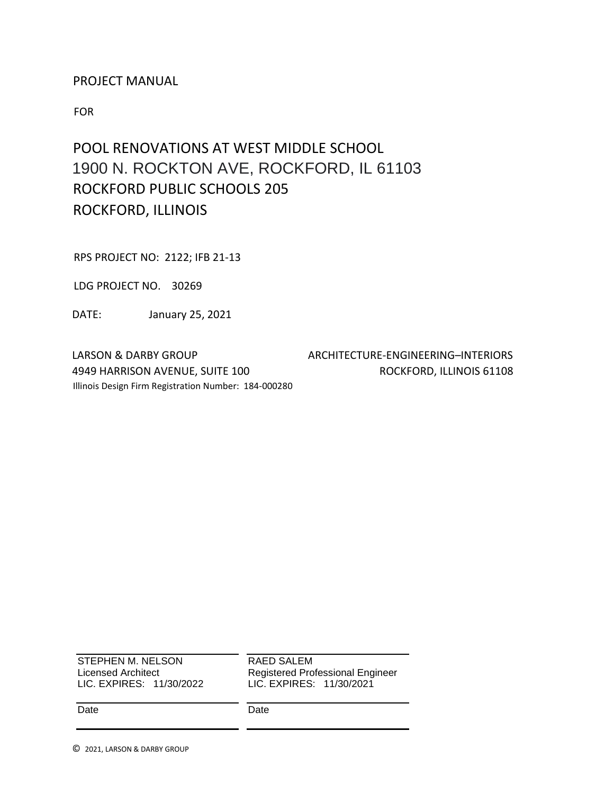# PROJECT MANUAL

FOR

# POOL RENOVATIONS AT WEST MIDDLE SCHOOL 1900 N. ROCKTON AVE, ROCKFORD, IL 61103 ROCKFORD PUBLIC SCHOOLS 205 ROCKFORD, ILLINOIS

RPS PROJECT NO: 2122; IFB 21-13

LDG PROJECT NO. 30269

DATE: January 25, 2021

LARSON & DARBY GROUP ARCHITECTURE-ENGINEERING-INTERIORS 4949 HARRISON AVENUE, SUITE 100 ROCKFORD, ILLINOIS 61108 Illinois Design Firm Registration Number: 184-000280

STEPHEN M. NELSON Licensed Architect LIC. EXPIRES: 11/30/2022 RAED SALEM Registered Professional Engineer LIC. EXPIRES: 11/30/2021

Date

Date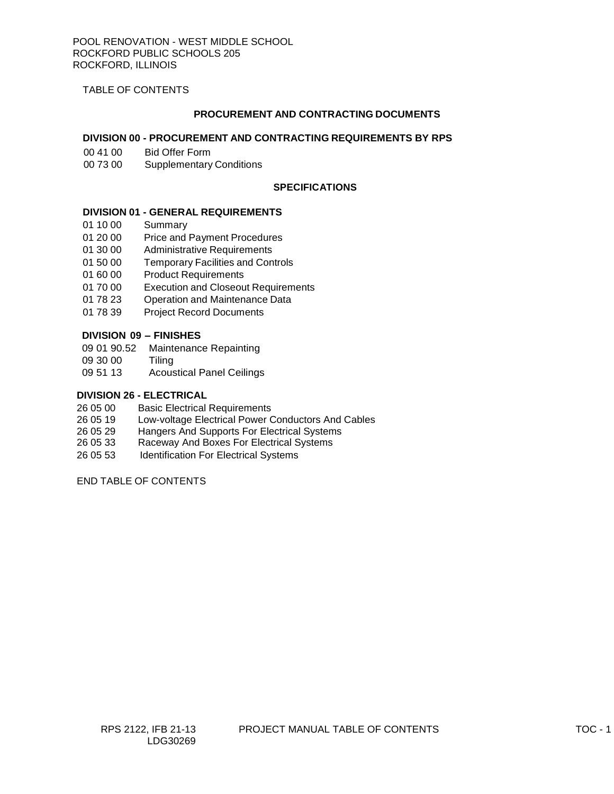TABLE OF CONTENTS

#### **PROCUREMENT AND CONTRACTING DOCUMENTS**

#### **DIVISION 00 - PROCUREMENT AND CONTRACTING REQUIREMENTS BY RPS**

- 00 41 00 Bid Offer Form
- 00 73 00 Supplementary Conditions

## **SPECIFICATIONS**

#### **DIVISION 01 - GENERAL REQUIREMENTS**

- 01 10 00 Summary
- 01 20 00 Price and Payment Procedures
- 01 30 00 Administrative Requirements
- 01 50 00 Temporary Facilities and Controls
- 01 60 00 Product Requirements
- 01 70 00 Execution and Closeout Requirements
- 01 78 23 Operation and Maintenance Data
- 01 78 39 Project Record Documents

# **DIVISION 09 – FINISHES**

- 09 01 90.52 Maintenance Repainting
- 09 30 00 Tiling
- 09 51 13 Acoustical Panel Ceilings

#### **DIVISION 26 - ELECTRICAL**

- 26 05 00 Basic Electrical Requirements
- 26 05 19 Low-voltage Electrical Power Conductors And Cables
- 26 05 29 Hangers And Supports For Electrical Systems
- 26 05 33 Raceway And Boxes For Electrical Systems
- 26 05 53 Identification For Electrical Systems

END TABLE OF CONTENTS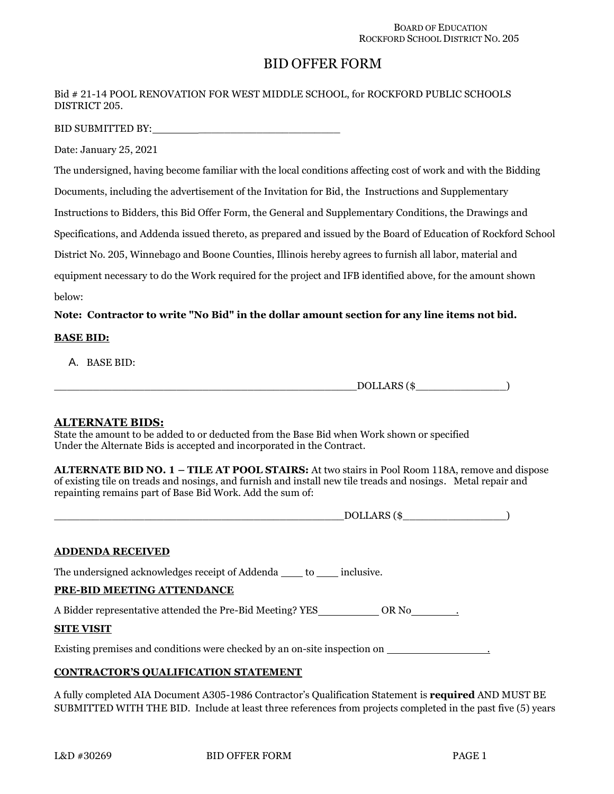# BID OFFER FORM

Bid # 21-14 POOL RENOVATION FOR WEST MIDDLE SCHOOL, for ROCKFORD PUBLIC SCHOOLS DISTRICT 205.

BID SUBMITTED BY:

Date: January 25, 2021

The undersigned, having become familiar with the local conditions affecting cost of work and with the Bidding

Documents, including the advertisement of the Invitation for Bid, the Instructions and Supplementary

Instructions to Bidders, this Bid Offer Form, the General and Supplementary Conditions, the Drawings and

Specifications, and Addenda issued thereto, as prepared and issued by the Board of Education of Rockford School

District No. 205, Winnebago and Boone Counties, Illinois hereby agrees to furnish all labor, material and

equipment necessary to do the Work required for the project and IFB identified above, for the amount shown

below:

# **Note: Contractor to write "No Bid" in the dollar amount section for any line items not bid.**

# **BASE BID:**

A. BASE BID:

DOLLARS (\$

# **ALTERNATE BIDS:**

State the amount to be added to or deducted from the Base Bid when Work shown or specified Under the Alternate Bids is accepted and incorporated in the Contract.

**ALTERNATE BID NO. 1 – TILE AT POOL STAIRS:** At two stairs in Pool Room 118A, remove and dispose of existing tile on treads and nosings, and furnish and install new tile treads and nosings. Metal repair and repainting remains part of Base Bid Work. Add the sum of:

 $DOLLARS$  (\$)

### **ADDENDA RECEIVED**

The undersigned acknowledges receipt of Addenda \_\_\_\_\_ to \_\_\_\_\_\_ inclusive.

# **PRE-BID MEETING ATTENDANCE**

A Bidder representative attended the Pre-Bid Meeting? YES \_\_\_\_\_\_\_\_\_\_\_ OR No \_\_\_\_\_\_\_\_\_

### **SITE VISIT**

Existing premises and conditions were checked by an on-site inspection on *\_\_\_\_\_\_\_\_\_\_\_\_\_\_\_\_***\_\_**.

# **CONTRACTOR'S QUALIFICATION STATEMENT**

A fully completed AIA Document A305-1986 Contractor's Qualification Statement is **required** AND MUST BE SUBMITTED WITH THE BID. Include at least three references from projects completed in the past five (5) years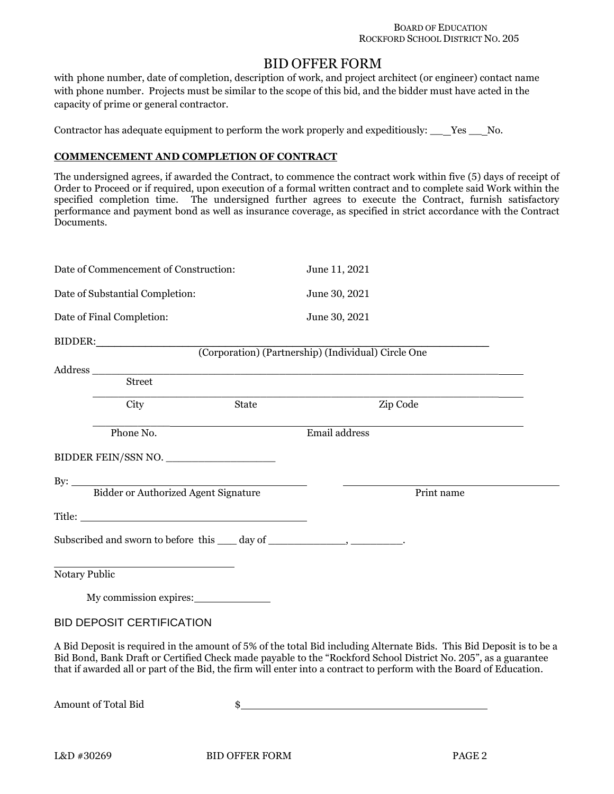# BID OFFER FORM

with phone number, date of completion, description of work, and project architect (or engineer) contact name with phone number. Projects must be similar to the scope of this bid, and the bidder must have acted in the capacity of prime or general contractor.

Contractor has adequate equipment to perform the work properly and expeditiously: \_\_ Yes \_\_ No.

# **COMMENCEMENT AND COMPLETION OF CONTRACT**

The undersigned agrees, if awarded the Contract, to commence the contract work within five (5) days of receipt of Order to Proceed or if required, upon execution of a formal written contract and to complete said Work within the specified completion time. The undersigned further agrees to execute the Contract, furnish satisfactory performance and payment bond as well as insurance coverage, as specified in strict accordance with the Contract Documents.

| Date of Commencement of Construction:                                             |       | June 11, 2021                                                                                                                                                                                                                                                                                                                                                 |  |
|-----------------------------------------------------------------------------------|-------|---------------------------------------------------------------------------------------------------------------------------------------------------------------------------------------------------------------------------------------------------------------------------------------------------------------------------------------------------------------|--|
| Date of Substantial Completion:                                                   |       | June 30, 2021                                                                                                                                                                                                                                                                                                                                                 |  |
| Date of Final Completion:                                                         |       | June 30, 2021                                                                                                                                                                                                                                                                                                                                                 |  |
| BIDDER:                                                                           |       | (Corporation) (Partnership) (Individual) Circle One                                                                                                                                                                                                                                                                                                           |  |
|                                                                                   |       |                                                                                                                                                                                                                                                                                                                                                               |  |
| Street                                                                            |       |                                                                                                                                                                                                                                                                                                                                                               |  |
| City                                                                              | State | Zip Code                                                                                                                                                                                                                                                                                                                                                      |  |
| Phone No.                                                                         |       | Email address                                                                                                                                                                                                                                                                                                                                                 |  |
| BIDDER FEIN/SSN NO.                                                               |       |                                                                                                                                                                                                                                                                                                                                                               |  |
|                                                                                   |       |                                                                                                                                                                                                                                                                                                                                                               |  |
|                                                                                   |       | Print name                                                                                                                                                                                                                                                                                                                                                    |  |
|                                                                                   |       |                                                                                                                                                                                                                                                                                                                                                               |  |
| Subscribed and sworn to before this ____ day of _________________________________ |       |                                                                                                                                                                                                                                                                                                                                                               |  |
| Notary Public                                                                     |       |                                                                                                                                                                                                                                                                                                                                                               |  |
| My commission expires:                                                            |       |                                                                                                                                                                                                                                                                                                                                                               |  |
| <b>BID DEPOSIT CERTIFICATION</b>                                                  |       |                                                                                                                                                                                                                                                                                                                                                               |  |
|                                                                                   |       | A Bid Deposit is required in the amount of 5% of the total Bid including Alternate Bids. This Bid Deposit is to be a<br>Bid Bond, Bank Draft or Certified Check made payable to the "Rockford School District No. 205", as a guarantee<br>that if awarded all or part of the Bid, the firm will enter into a contract to perform with the Board of Education. |  |
| Amount of Total Bid                                                               |       | $\frac{1}{2}$                                                                                                                                                                                                                                                                                                                                                 |  |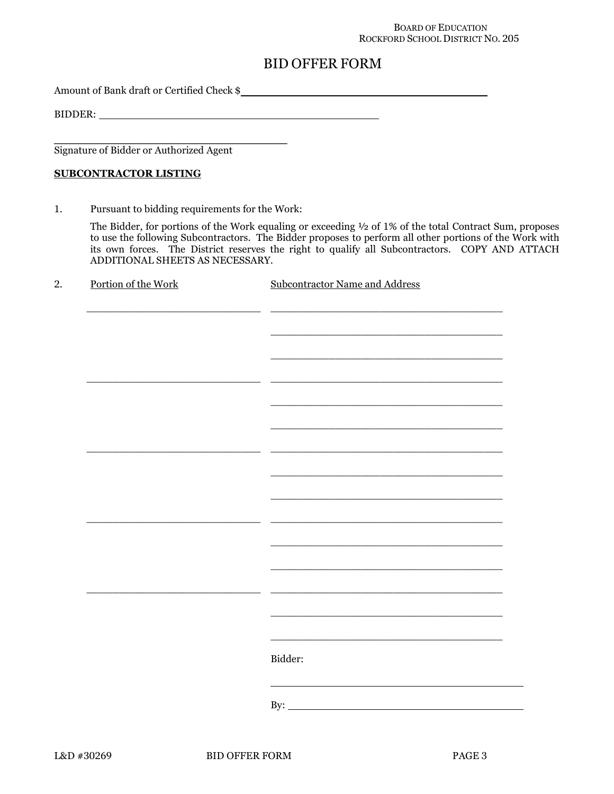#### BOARD OF EDUCATION ROCKFORD SCHOOL DISTRICT NO. 205

# BID OFFER FORM

Amount of Bank draft or Certified Check \$

BIDDER: New York Contains the Second Second Second Second Second Second Second Second Second Second Second Second Second Second Second Second Second Second Second Second Second Second Second Second Second Second Second Sec

\_\_\_\_\_\_\_\_\_\_\_\_\_\_\_\_\_\_\_\_\_\_\_\_\_\_\_\_\_\_\_\_\_\_\_\_\_\_ Signature of Bidder or Authorized Agent

# **SUBCONTRACTOR LISTING**

1. Pursuant to bidding requirements for the Work:

The Bidder, for portions of the Work equaling or exceeding  $1/2$  of 1% of the total Contract Sum, proposes to use the following Subcontractors. The Bidder proposes to perform all other portions of the Work with its own forces. The District reserves the right to qualify all Subcontractors. COPY AND ATTACH ADDITIONAL SHEETS AS NECESSARY.

| Portion of the Work | <b>Subcontractor Name and Address</b> |
|---------------------|---------------------------------------|
|                     |                                       |
|                     |                                       |
|                     |                                       |
|                     |                                       |
|                     |                                       |
|                     |                                       |
|                     |                                       |
|                     |                                       |
|                     |                                       |
|                     |                                       |
|                     |                                       |
|                     |                                       |
|                     |                                       |
|                     |                                       |
|                     |                                       |
|                     |                                       |
|                     |                                       |
|                     |                                       |
|                     |                                       |
|                     |                                       |
|                     |                                       |
|                     |                                       |
|                     |                                       |
|                     |                                       |
|                     | Bidder:                               |
|                     |                                       |
|                     |                                       |
|                     | By: $\qquad \qquad$                   |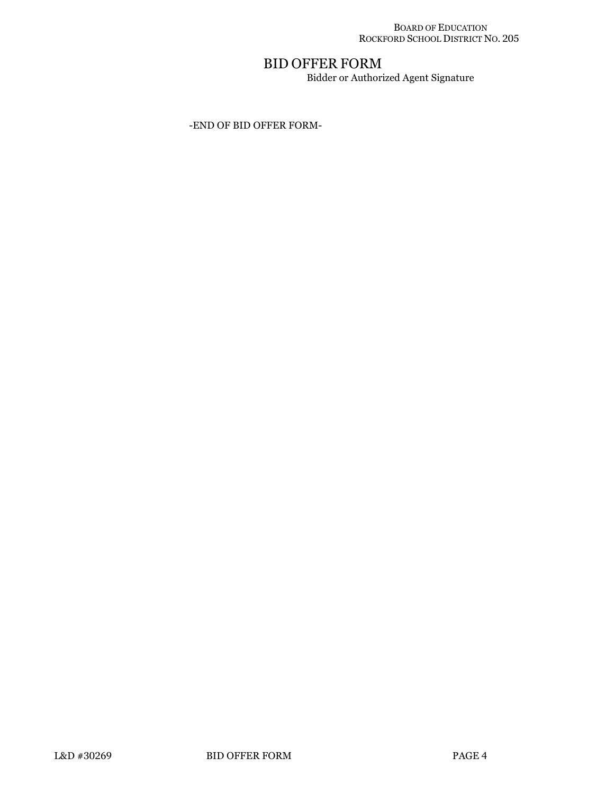#### BOARD OF EDUCATION ROCKFORD SCHOOL DISTRICT NO. 205

# BID OFFER FORM

Bidder or Authorized Agent Signature

-END OF BID OFFER FORM-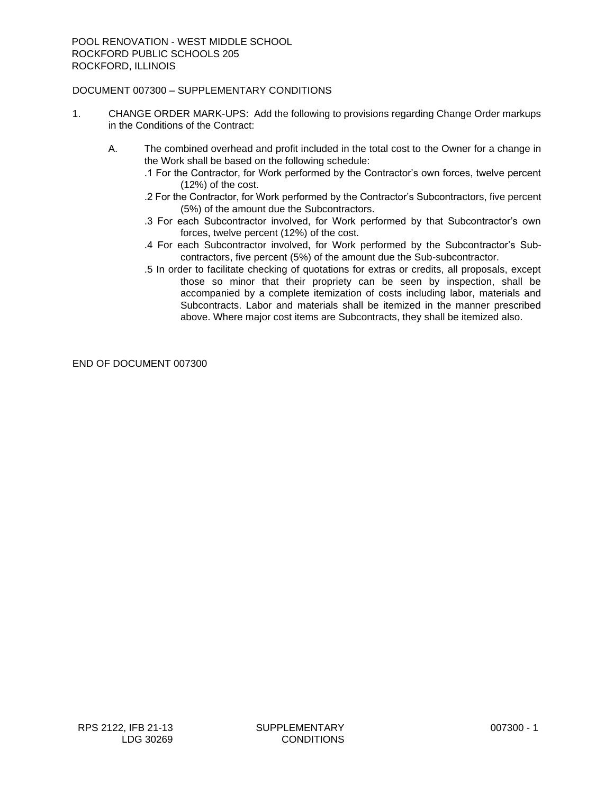# DOCUMENT 007300 – SUPPLEMENTARY CONDITIONS

- 1. CHANGE ORDER MARK-UPS: Add the following to provisions regarding Change Order markups in the Conditions of the Contract:
	- A. The combined overhead and profit included in the total cost to the Owner for a change in the Work shall be based on the following schedule:
		- .1 For the Contractor, for Work performed by the Contractor's own forces, twelve percent (12%) of the cost.
		- .2 For the Contractor, for Work performed by the Contractor's Subcontractors, five percent (5%) of the amount due the Subcontractors.
		- .3 For each Subcontractor involved, for Work performed by that Subcontractor's own forces, twelve percent (12%) of the cost.
		- .4 For each Subcontractor involved, for Work performed by the Subcontractor's Subcontractors, five percent (5%) of the amount due the Sub-subcontractor.
		- .5 In order to facilitate checking of quotations for extras or credits, all proposals, except those so minor that their propriety can be seen by inspection, shall be accompanied by a complete itemization of costs including labor, materials and Subcontracts. Labor and materials shall be itemized in the manner prescribed above. Where major cost items are Subcontracts, they shall be itemized also.

END OF DOCUMENT 007300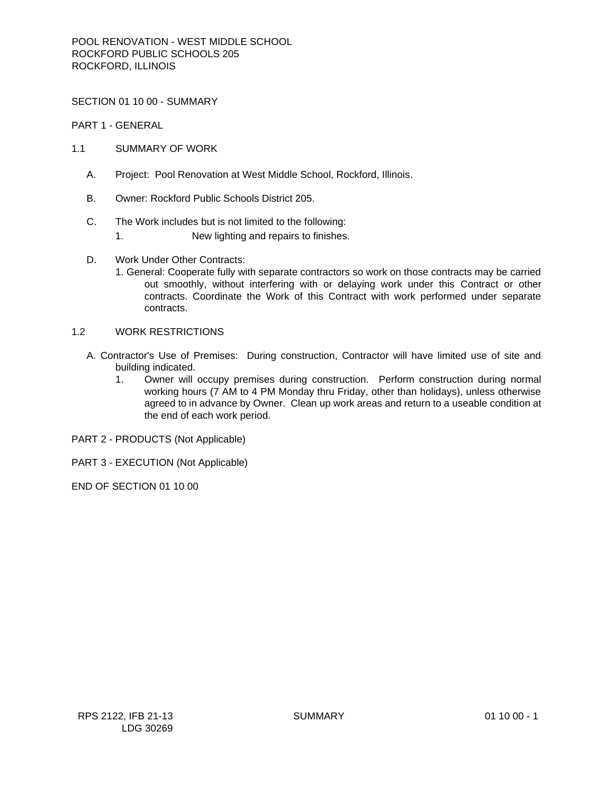SECTION 01 10 00 - SUMMARY

PART 1 - GENERAL

- 1.1 SUMMARY OF WORK
	- A. Project: Pool Renovation at West Middle School, Rockford, Illinois.
	- B. Owner: Rockford Public Schools District 205.
	- C. The Work includes but is not limited to the following:
		- 1. New lighting and repairs to finishes.
	- D. Work Under Other Contracts:
		- 1. General: Cooperate fully with separate contractors so work on those contracts may be carried out smoothly, without interfering with or delaying work under this Contract or other contracts. Coordinate the Work of this Contract with work performed under separate contracts.

# 1.2 WORK RESTRICTIONS

- A. Contractor's Use of Premises: During construction, Contractor will have limited use of site and building indicated.
	- 1. Owner will occupy premises during construction. Perform construction during normal working hours (7 AM to 4 PM Monday thru Friday, other than holidays), unless otherwise agreed to in advance by Owner. Clean up work areas and return to a useable condition at the end of each work period.
- PART 2 PRODUCTS (Not Applicable)
- PART 3 EXECUTION (Not Applicable)

END OF SECTION 01 10 00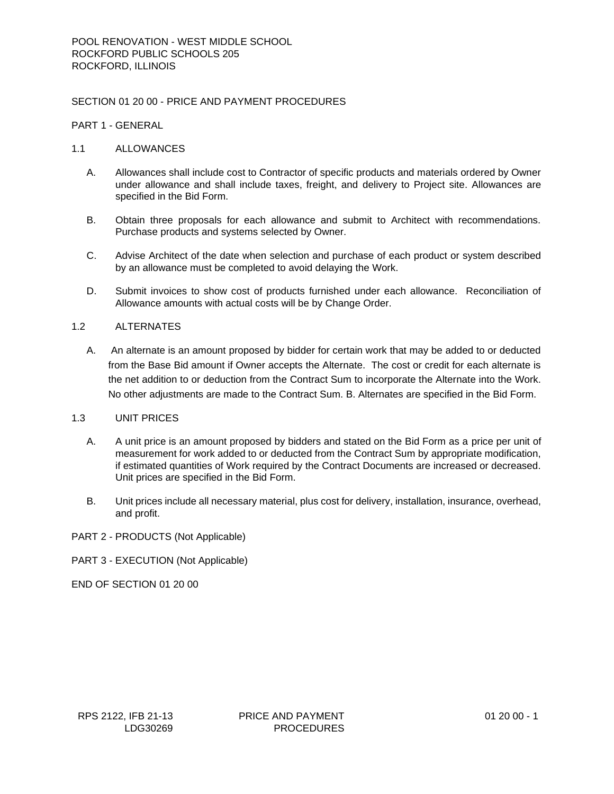# SECTION 01 20 00 - PRICE AND PAYMENT PROCEDURES

## PART 1 - GENERAL

### 1.1 ALLOWANCES

- A. Allowances shall include cost to Contractor of specific products and materials ordered by Owner under allowance and shall include taxes, freight, and delivery to Project site. Allowances are specified in the Bid Form.
- B. Obtain three proposals for each allowance and submit to Architect with recommendations. Purchase products and systems selected by Owner.
- C. Advise Architect of the date when selection and purchase of each product or system described by an allowance must be completed to avoid delaying the Work.
- D. Submit invoices to show cost of products furnished under each allowance. Reconciliation of Allowance amounts with actual costs will be by Change Order.

# 1.2 ALTERNATES

A. An alternate is an amount proposed by bidder for certain work that may be added to or deducted from the Base Bid amount if Owner accepts the Alternate. The cost or credit for each alternate is the net addition to or deduction from the Contract Sum to incorporate the Alternate into the Work. No other adjustments are made to the Contract Sum. B. Alternates are specified in the Bid Form.

## 1.3 UNIT PRICES

- A. A unit price is an amount proposed by bidders and stated on the Bid Form as a price per unit of measurement for work added to or deducted from the Contract Sum by appropriate modification, if estimated quantities of Work required by the Contract Documents are increased or decreased. Unit prices are specified in the Bid Form.
- B. Unit prices include all necessary material, plus cost for delivery, installation, insurance, overhead, and profit.

### PART 2 - PRODUCTS (Not Applicable)

### PART 3 - EXECUTION (Not Applicable)

END OF SECTION 01 20 00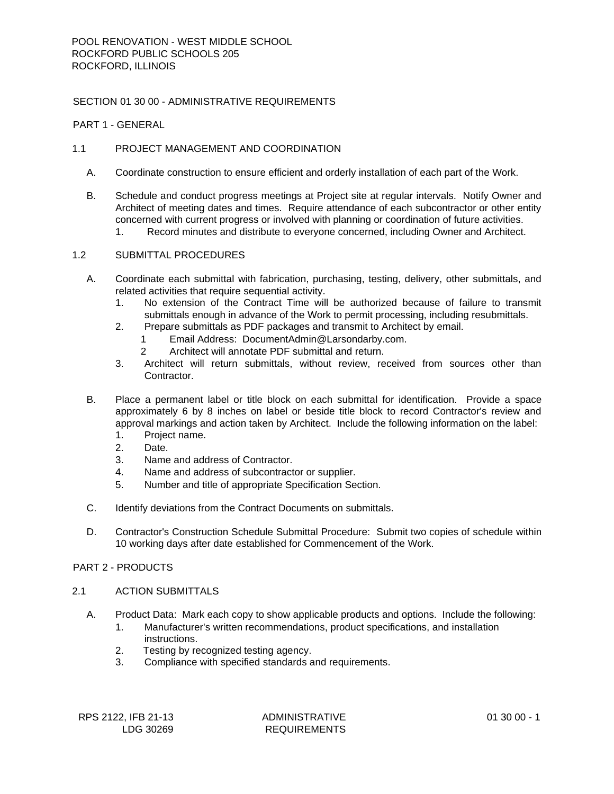# SECTION 01 30 00 - ADMINISTRATIVE REQUIREMENTS

## PART 1 - GENERAL

# 1.1 PROJECT MANAGEMENT AND COORDINATION

- A. Coordinate construction to ensure efficient and orderly installation of each part of the Work.
- B. Schedule and conduct progress meetings at Project site at regular intervals. Notify Owner and Architect of meeting dates and times. Require attendance of each subcontractor or other entity concerned with current progress or involved with planning or coordination of future activities.
	- 1. Record minutes and distribute to everyone concerned, including Owner and Architect.

## 1.2 SUBMITTAL PROCEDURES

- A. Coordinate each submittal with fabrication, purchasing, testing, delivery, other submittals, and related activities that require sequential activity.
	- 1. No extension of the Contract Time will be authorized because of failure to transmit submittals enough in advance of the Work to permit processing, including resubmittals.
	- 2. Prepare submittals as PDF packages and transmit to Architect by email.
		- 1 Email Address: DocumentAdmin@Larsondarby.com.
		- 2 Architect will annotate PDF submittal and return.
	- 3. Architect will return submittals, without review, received from sources other than Contractor.
- B. Place a permanent label or title block on each submittal for identification. Provide a space approximately 6 by 8 inches on label or beside title block to record Contractor's review and approval markings and action taken by Architect. Include the following information on the label:
	- 1. Project name.
	- 2. Date.
	- 3. Name and address of Contractor.
	- 4. Name and address of subcontractor or supplier.
	- 5. Number and title of appropriate Specification Section.
- C. Identify deviations from the Contract Documents on submittals.
- D. Contractor's Construction Schedule Submittal Procedure: Submit two copies of schedule within 10 working days after date established for Commencement of the Work.

### PART 2 - PRODUCTS

# 2.1 ACTION SUBMITTALS

- A. Product Data: Mark each copy to show applicable products and options. Include the following:
	- 1. Manufacturer's written recommendations, product specifications, and installation instructions.
	- 2. Testing by recognized testing agency.
	- 3. Compliance with specified standards and requirements.

ADMINISTRATIVE REQUIREMENTS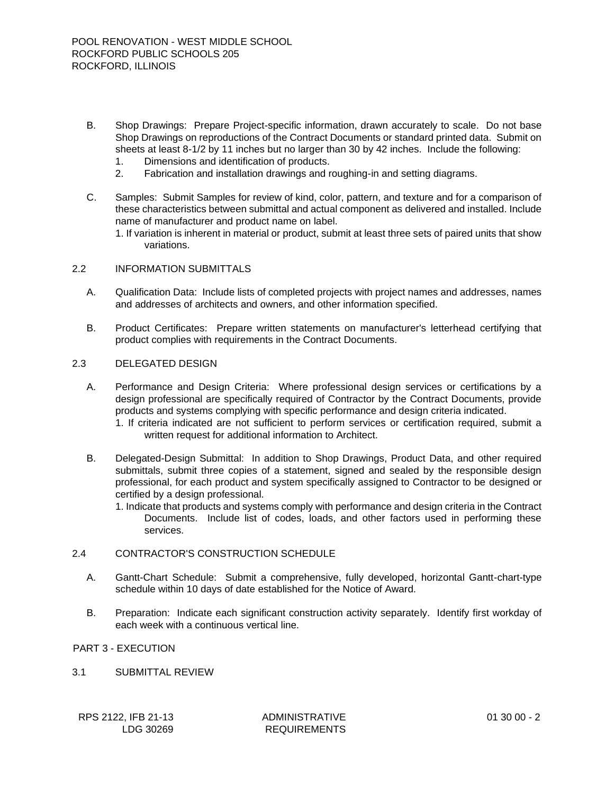- B. Shop Drawings: Prepare Project-specific information, drawn accurately to scale. Do not base Shop Drawings on reproductions of the Contract Documents or standard printed data. Submit on sheets at least 8-1/2 by 11 inches but no larger than 30 by 42 inches. Include the following:
	- 1. Dimensions and identification of products.
	- 2. Fabrication and installation drawings and roughing-in and setting diagrams.
- C. Samples: Submit Samples for review of kind, color, pattern, and texture and for a comparison of these characteristics between submittal and actual component as delivered and installed. Include name of manufacturer and product name on label.

1. If variation is inherent in material or product, submit at least three sets of paired units that show variations.

### 2.2 INFORMATION SUBMITTALS

- A. Qualification Data: Include lists of completed projects with project names and addresses, names and addresses of architects and owners, and other information specified.
- B. Product Certificates: Prepare written statements on manufacturer's letterhead certifying that product complies with requirements in the Contract Documents.

# 2.3 DELEGATED DESIGN

- A. Performance and Design Criteria: Where professional design services or certifications by a design professional are specifically required of Contractor by the Contract Documents, provide products and systems complying with specific performance and design criteria indicated.
	- 1. If criteria indicated are not sufficient to perform services or certification required, submit a written request for additional information to Architect.
- B. Delegated-Design Submittal: In addition to Shop Drawings, Product Data, and other required submittals, submit three copies of a statement, signed and sealed by the responsible design professional, for each product and system specifically assigned to Contractor to be designed or certified by a design professional.
	- 1. Indicate that products and systems comply with performance and design criteria in the Contract Documents. Include list of codes, loads, and other factors used in performing these services.

### 2.4 CONTRACTOR'S CONSTRUCTION SCHEDULE

- A. Gantt-Chart Schedule: Submit a comprehensive, fully developed, horizontal Gantt-chart-type schedule within 10 days of date established for the Notice of Award.
- B. Preparation: Indicate each significant construction activity separately. Identify first workday of each week with a continuous vertical line.

PART 3 - EXECUTION

3.1 SUBMITTAL REVIEW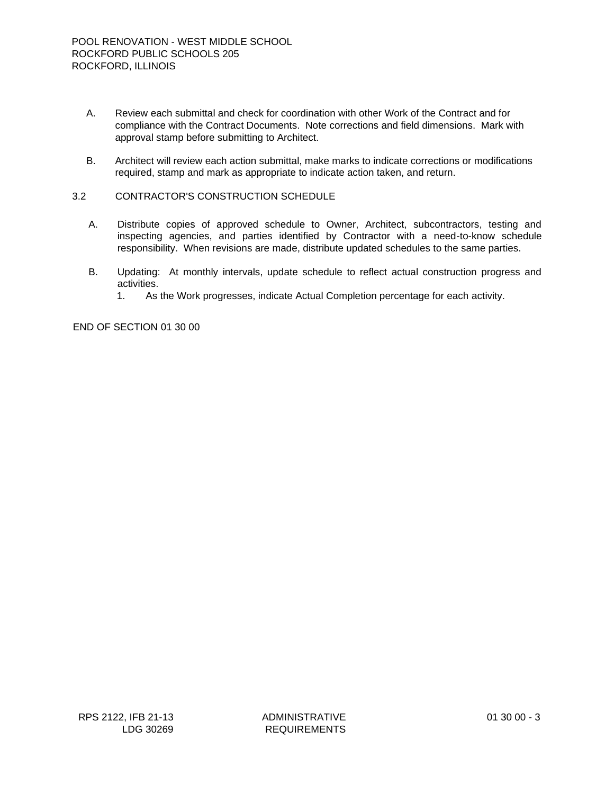- A. Review each submittal and check for coordination with other Work of the Contract and for compliance with the Contract Documents. Note corrections and field dimensions. Mark with approval stamp before submitting to Architect.
- B. Architect will review each action submittal, make marks to indicate corrections or modifications required, stamp and mark as appropriate to indicate action taken, and return.

### 3.2 CONTRACTOR'S CONSTRUCTION SCHEDULE

- A. Distribute copies of approved schedule to Owner, Architect, subcontractors, testing and inspecting agencies, and parties identified by Contractor with a need-to-know schedule responsibility. When revisions are made, distribute updated schedules to the same parties.
- B. Updating: At monthly intervals, update schedule to reflect actual construction progress and activities.
	- 1. As the Work progresses, indicate Actual Completion percentage for each activity.

END OF SECTION 01 30 00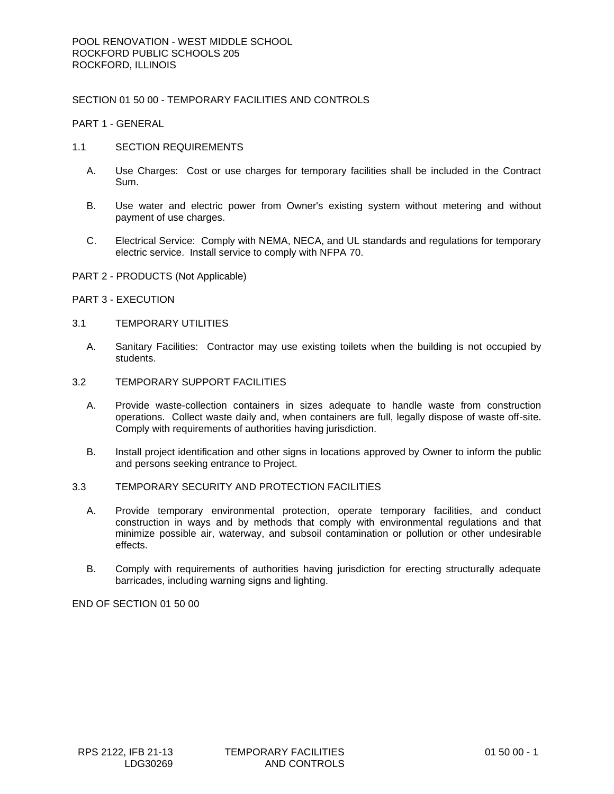SECTION 01 50 00 - TEMPORARY FACILITIES AND CONTROLS

PART 1 - GENERAL

- 1.1 SECTION REQUIREMENTS
	- A. Use Charges: Cost or use charges for temporary facilities shall be included in the Contract Sum.
	- B. Use water and electric power from Owner's existing system without metering and without payment of use charges.
	- C. Electrical Service: Comply with NEMA, NECA, and UL standards and regulations for temporary electric service. Install service to comply with NFPA 70.
- PART 2 PRODUCTS (Not Applicable)
- PART 3 EXECUTION
- 3.1 TEMPORARY UTILITIES
	- A. Sanitary Facilities: Contractor may use existing toilets when the building is not occupied by students.
- 3.2 TEMPORARY SUPPORT FACILITIES
	- A. Provide waste-collection containers in sizes adequate to handle waste from construction operations. Collect waste daily and, when containers are full, legally dispose of waste off-site. Comply with requirements of authorities having jurisdiction.
	- B. Install project identification and other signs in locations approved by Owner to inform the public and persons seeking entrance to Project.

# 3.3 TEMPORARY SECURITY AND PROTECTION FACILITIES

- A. Provide temporary environmental protection, operate temporary facilities, and conduct construction in ways and by methods that comply with environmental regulations and that minimize possible air, waterway, and subsoil contamination or pollution or other undesirable effects.
- B. Comply with requirements of authorities having jurisdiction for erecting structurally adequate barricades, including warning signs and lighting.

END OF SECTION 01 50 00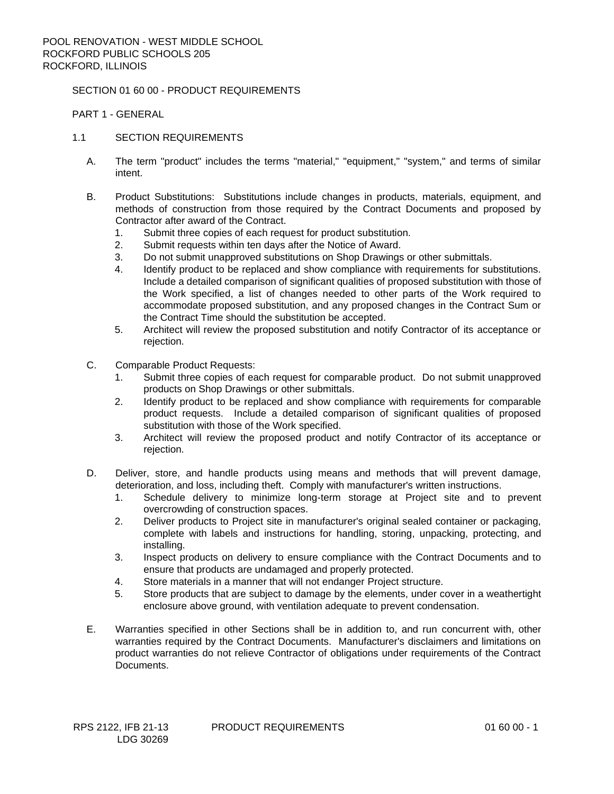#### SECTION 01 60 00 - PRODUCT REQUIREMENTS

PART 1 - GENERAL

# 1.1 SECTION REQUIREMENTS

- A. The term "product" includes the terms "material," "equipment," "system," and terms of similar intent.
- B. Product Substitutions: Substitutions include changes in products, materials, equipment, and methods of construction from those required by the Contract Documents and proposed by Contractor after award of the Contract.
	- 1. Submit three copies of each request for product substitution.
	- 2. Submit requests within ten days after the Notice of Award.
	- 3. Do not submit unapproved substitutions on Shop Drawings or other submittals.
	- 4. Identify product to be replaced and show compliance with requirements for substitutions. Include a detailed comparison of significant qualities of proposed substitution with those of the Work specified, a list of changes needed to other parts of the Work required to accommodate proposed substitution, and any proposed changes in the Contract Sum or the Contract Time should the substitution be accepted.
	- 5. Architect will review the proposed substitution and notify Contractor of its acceptance or rejection.
- C. Comparable Product Requests:
	- 1. Submit three copies of each request for comparable product. Do not submit unapproved products on Shop Drawings or other submittals.
	- 2. Identify product to be replaced and show compliance with requirements for comparable product requests. Include a detailed comparison of significant qualities of proposed substitution with those of the Work specified.
	- 3. Architect will review the proposed product and notify Contractor of its acceptance or rejection.
- D. Deliver, store, and handle products using means and methods that will prevent damage, deterioration, and loss, including theft. Comply with manufacturer's written instructions.
	- 1. Schedule delivery to minimize long-term storage at Project site and to prevent overcrowding of construction spaces.
	- 2. Deliver products to Project site in manufacturer's original sealed container or packaging, complete with labels and instructions for handling, storing, unpacking, protecting, and installing.
	- 3. Inspect products on delivery to ensure compliance with the Contract Documents and to ensure that products are undamaged and properly protected.
	- 4. Store materials in a manner that will not endanger Project structure.
	- 5. Store products that are subject to damage by the elements, under cover in a weathertight enclosure above ground, with ventilation adequate to prevent condensation.
- E. Warranties specified in other Sections shall be in addition to, and run concurrent with, other warranties required by the Contract Documents. Manufacturer's disclaimers and limitations on product warranties do not relieve Contractor of obligations under requirements of the Contract **Documents**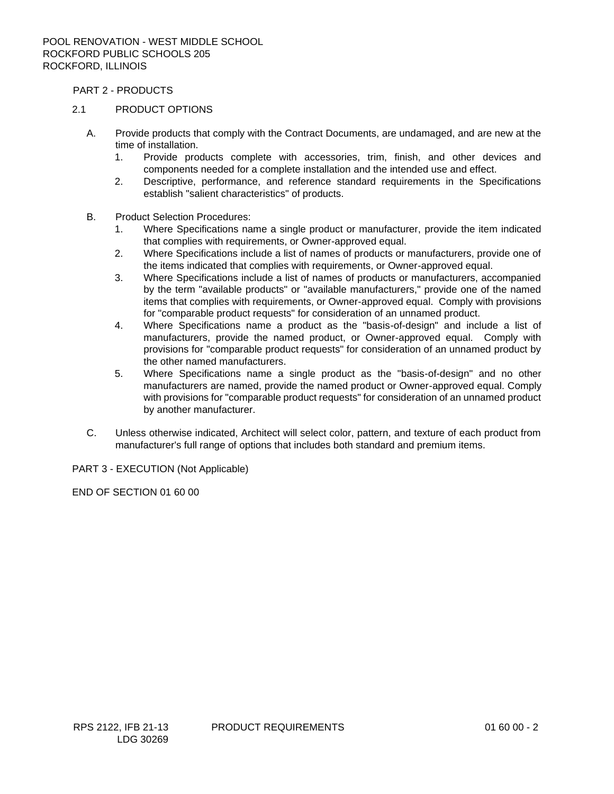PART 2 - PRODUCTS

## 2.1 PRODUCT OPTIONS

- A. Provide products that comply with the Contract Documents, are undamaged, and are new at the time of installation.
	- 1. Provide products complete with accessories, trim, finish, and other devices and components needed for a complete installation and the intended use and effect.
	- 2. Descriptive, performance, and reference standard requirements in the Specifications establish "salient characteristics" of products.
- B. Product Selection Procedures:
	- 1. Where Specifications name a single product or manufacturer, provide the item indicated that complies with requirements, or Owner-approved equal.
	- 2. Where Specifications include a list of names of products or manufacturers, provide one of the items indicated that complies with requirements, or Owner-approved equal.
	- 3. Where Specifications include a list of names of products or manufacturers, accompanied by the term "available products" or "available manufacturers," provide one of the named items that complies with requirements, or Owner-approved equal. Comply with provisions for "comparable product requests" for consideration of an unnamed product.
	- 4. Where Specifications name a product as the "basis-of-design" and include a list of manufacturers, provide the named product, or Owner-approved equal. Comply with provisions for "comparable product requests" for consideration of an unnamed product by the other named manufacturers.
	- 5. Where Specifications name a single product as the "basis-of-design" and no other manufacturers are named, provide the named product or Owner-approved equal. Comply with provisions for "comparable product requests" for consideration of an unnamed product by another manufacturer.
- C. Unless otherwise indicated, Architect will select color, pattern, and texture of each product from manufacturer's full range of options that includes both standard and premium items.

PART 3 - EXECUTION (Not Applicable)

END OF SECTION 01 60 00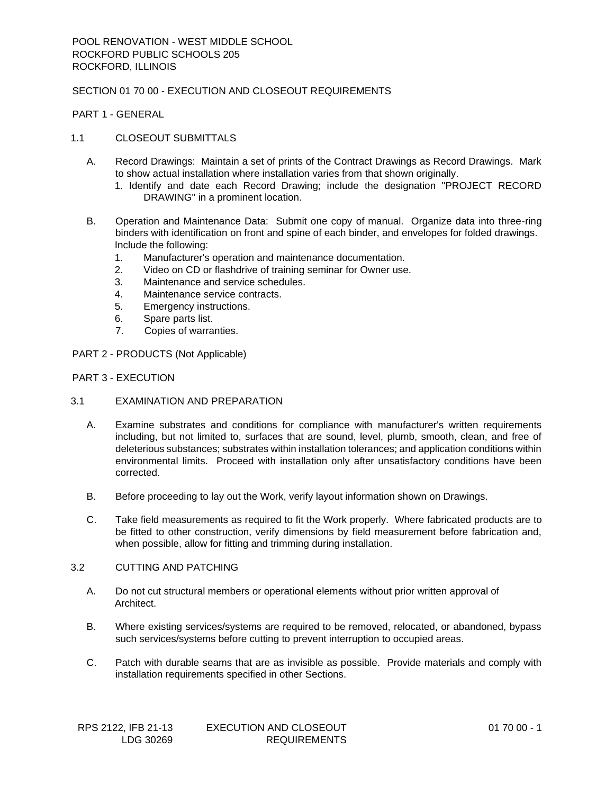# SECTION 01 70 00 - EXECUTION AND CLOSEOUT REQUIREMENTS

PART 1 - GENERAL

# 1.1 CLOSEOUT SUBMITTALS

- A. Record Drawings: Maintain a set of prints of the Contract Drawings as Record Drawings. Mark to show actual installation where installation varies from that shown originally.
	- 1. Identify and date each Record Drawing; include the designation "PROJECT RECORD DRAWING" in a prominent location.
- B. Operation and Maintenance Data: Submit one copy of manual. Organize data into three-ring binders with identification on front and spine of each binder, and envelopes for folded drawings. Include the following:
	- 1. Manufacturer's operation and maintenance documentation.
	- 2. Video on CD or flashdrive of training seminar for Owner use.
	- 3. Maintenance and service schedules.
	- 4. Maintenance service contracts.
	- 5. Emergency instructions.
	- 6. Spare parts list.
	- 7. Copies of warranties.
- PART 2 PRODUCTS (Not Applicable)
- PART 3 EXECUTION
- 3.1 EXAMINATION AND PREPARATION
	- A. Examine substrates and conditions for compliance with manufacturer's written requirements including, but not limited to, surfaces that are sound, level, plumb, smooth, clean, and free of deleterious substances; substrates within installation tolerances; and application conditions within environmental limits. Proceed with installation only after unsatisfactory conditions have been corrected.
	- B. Before proceeding to lay out the Work, verify layout information shown on Drawings.
	- C. Take field measurements as required to fit the Work properly. Where fabricated products are to be fitted to other construction, verify dimensions by field measurement before fabrication and, when possible, allow for fitting and trimming during installation.

## 3.2 CUTTING AND PATCHING

- A. Do not cut structural members or operational elements without prior written approval of Architect.
- B. Where existing services/systems are required to be removed, relocated, or abandoned, bypass such services/systems before cutting to prevent interruption to occupied areas.
- C. Patch with durable seams that are as invisible as possible. Provide materials and comply with installation requirements specified in other Sections.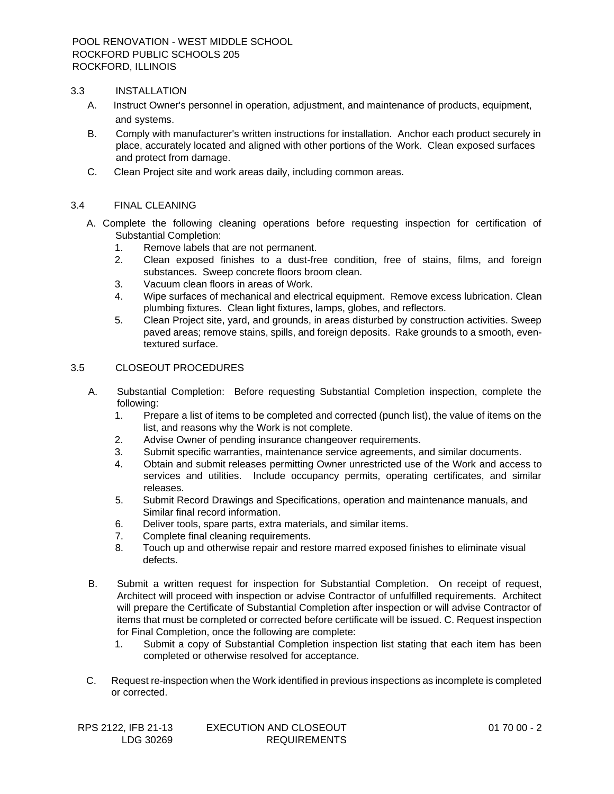#### 3.3 INSTALLATION

- A. Instruct Owner's personnel in operation, adjustment, and maintenance of products, equipment, and systems.
- B. Comply with manufacturer's written instructions for installation. Anchor each product securely in place, accurately located and aligned with other portions of the Work. Clean exposed surfaces and protect from damage.
- C. Clean Project site and work areas daily, including common areas.

## 3.4 FINAL CLEANING

- A. Complete the following cleaning operations before requesting inspection for certification of Substantial Completion:
	- 1. Remove labels that are not permanent.
	- 2. Clean exposed finishes to a dust-free condition, free of stains, films, and foreign substances. Sweep concrete floors broom clean.
	- 3. Vacuum clean floors in areas of Work.
	- 4. Wipe surfaces of mechanical and electrical equipment. Remove excess lubrication. Clean plumbing fixtures. Clean light fixtures, lamps, globes, and reflectors.
	- 5. Clean Project site, yard, and grounds, in areas disturbed by construction activities. Sweep paved areas; remove stains, spills, and foreign deposits. Rake grounds to a smooth, eventextured surface.

### 3.5 CLOSEOUT PROCEDURES

- A. Substantial Completion: Before requesting Substantial Completion inspection, complete the following:
	- 1. Prepare a list of items to be completed and corrected (punch list), the value of items on the list, and reasons why the Work is not complete.
	- 2. Advise Owner of pending insurance changeover requirements.
	- 3. Submit specific warranties, maintenance service agreements, and similar documents.
	- 4. Obtain and submit releases permitting Owner unrestricted use of the Work and access to services and utilities. Include occupancy permits, operating certificates, and similar releases.
	- 5. Submit Record Drawings and Specifications, operation and maintenance manuals, and Similar final record information.
	- 6. Deliver tools, spare parts, extra materials, and similar items.
	- 7. Complete final cleaning requirements.
	- 8. Touch up and otherwise repair and restore marred exposed finishes to eliminate visual defects.
- B. Submit a written request for inspection for Substantial Completion. On receipt of request, Architect will proceed with inspection or advise Contractor of unfulfilled requirements. Architect will prepare the Certificate of Substantial Completion after inspection or will advise Contractor of items that must be completed or corrected before certificate will be issued. C. Request inspection for Final Completion, once the following are complete:
	- 1. Submit a copy of Substantial Completion inspection list stating that each item has been completed or otherwise resolved for acceptance.
- C. Request re-inspection when the Work identified in previous inspections as incomplete is completed or corrected.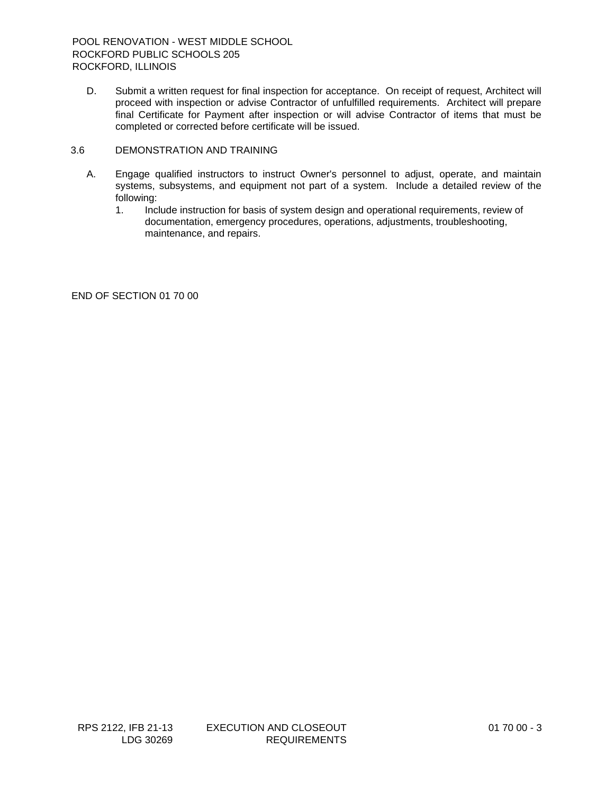- D. Submit a written request for final inspection for acceptance. On receipt of request, Architect will proceed with inspection or advise Contractor of unfulfilled requirements. Architect will prepare final Certificate for Payment after inspection or will advise Contractor of items that must be completed or corrected before certificate will be issued.
- 3.6 DEMONSTRATION AND TRAINING
	- A. Engage qualified instructors to instruct Owner's personnel to adjust, operate, and maintain systems, subsystems, and equipment not part of a system. Include a detailed review of the following:
		- 1. Include instruction for basis of system design and operational requirements, review of documentation, emergency procedures, operations, adjustments, troubleshooting, maintenance, and repairs.

END OF SECTION 01 70 00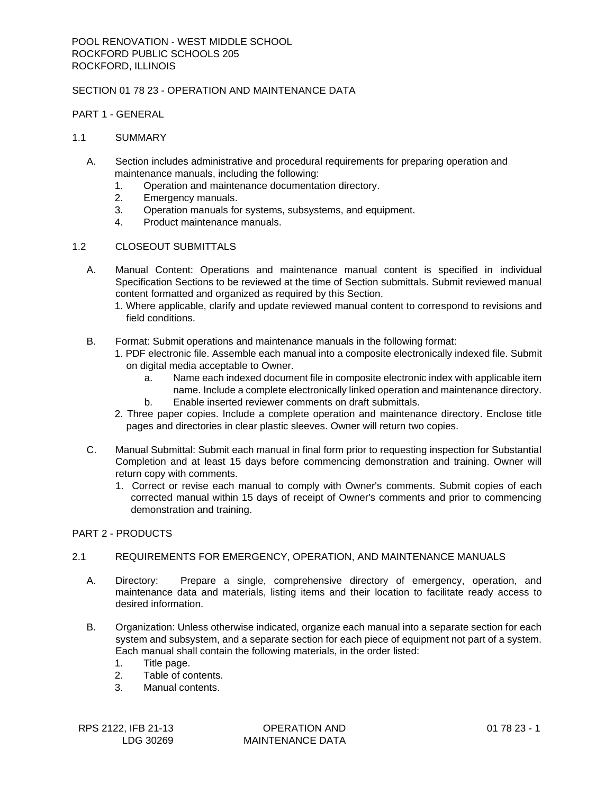## SECTION 01 78 23 - OPERATION AND MAINTENANCE DATA

### PART 1 - GENERAL

## 1.1 SUMMARY

- A. Section includes administrative and procedural requirements for preparing operation and maintenance manuals, including the following:
	- 1. Operation and maintenance documentation directory.
	- 2. Emergency manuals.
	- 3. Operation manuals for systems, subsystems, and equipment.
	- 4. Product maintenance manuals.

## 1.2 CLOSEOUT SUBMITTALS

- A. Manual Content: Operations and maintenance manual content is specified in individual Specification Sections to be reviewed at the time of Section submittals. Submit reviewed manual content formatted and organized as required by this Section.
	- 1. Where applicable, clarify and update reviewed manual content to correspond to revisions and field conditions.
- B. Format: Submit operations and maintenance manuals in the following format:
	- 1. PDF electronic file. Assemble each manual into a composite electronically indexed file. Submit on digital media acceptable to Owner.
		- a. Name each indexed document file in composite electronic index with applicable item name. Include a complete electronically linked operation and maintenance directory.
		- b. Enable inserted reviewer comments on draft submittals.
	- 2. Three paper copies. Include a complete operation and maintenance directory. Enclose title pages and directories in clear plastic sleeves. Owner will return two copies.
- C. Manual Submittal: Submit each manual in final form prior to requesting inspection for Substantial Completion and at least 15 days before commencing demonstration and training. Owner will return copy with comments.
	- 1. Correct or revise each manual to comply with Owner's comments. Submit copies of each corrected manual within 15 days of receipt of Owner's comments and prior to commencing demonstration and training.

## PART 2 - PRODUCTS

# 2.1 REQUIREMENTS FOR EMERGENCY, OPERATION, AND MAINTENANCE MANUALS

- A. Directory: Prepare a single, comprehensive directory of emergency, operation, and maintenance data and materials, listing items and their location to facilitate ready access to desired information.
- B. Organization: Unless otherwise indicated, organize each manual into a separate section for each system and subsystem, and a separate section for each piece of equipment not part of a system. Each manual shall contain the following materials, in the order listed:
	- 1. Title page.
	- 2. Table of contents.
	- 3. Manual contents.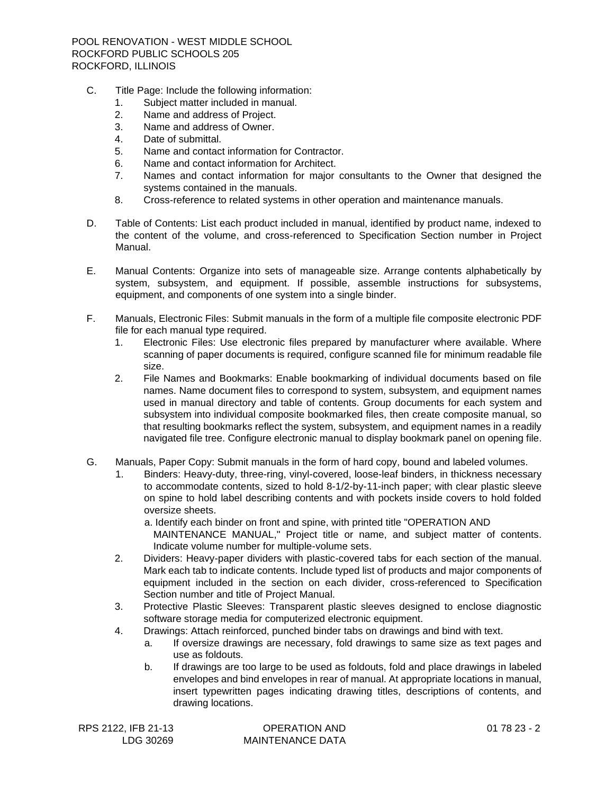- C. Title Page: Include the following information:
	- 1. Subject matter included in manual.
	- 2. Name and address of Project.
	- 3. Name and address of Owner.
	- 4. Date of submittal.
	- 5. Name and contact information for Contractor.
	- 6. Name and contact information for Architect.
	- 7. Names and contact information for major consultants to the Owner that designed the systems contained in the manuals.
	- 8. Cross-reference to related systems in other operation and maintenance manuals.
- D. Table of Contents: List each product included in manual, identified by product name, indexed to the content of the volume, and cross-referenced to Specification Section number in Project Manual.
- E. Manual Contents: Organize into sets of manageable size. Arrange contents alphabetically by system, subsystem, and equipment. If possible, assemble instructions for subsystems, equipment, and components of one system into a single binder.
- F. Manuals, Electronic Files: Submit manuals in the form of a multiple file composite electronic PDF file for each manual type required.
	- 1. Electronic Files: Use electronic files prepared by manufacturer where available. Where scanning of paper documents is required, configure scanned file for minimum readable file size.
	- 2. File Names and Bookmarks: Enable bookmarking of individual documents based on file names. Name document files to correspond to system, subsystem, and equipment names used in manual directory and table of contents. Group documents for each system and subsystem into individual composite bookmarked files, then create composite manual, so that resulting bookmarks reflect the system, subsystem, and equipment names in a readily navigated file tree. Configure electronic manual to display bookmark panel on opening file.
- G. Manuals, Paper Copy: Submit manuals in the form of hard copy, bound and labeled volumes.
	- Binders: Heavy-duty, three-ring, vinyl-covered, loose-leaf binders, in thickness necessary to accommodate contents, sized to hold 8-1/2-by-11-inch paper; with clear plastic sleeve on spine to hold label describing contents and with pockets inside covers to hold folded oversize sheets.
		- a. Identify each binder on front and spine, with printed title "OPERATION AND MAINTENANCE MANUAL," Project title or name, and subject matter of contents. Indicate volume number for multiple-volume sets.
	- 2. Dividers: Heavy-paper dividers with plastic-covered tabs for each section of the manual. Mark each tab to indicate contents. Include typed list of products and major components of equipment included in the section on each divider, cross-referenced to Specification Section number and title of Project Manual.
	- 3. Protective Plastic Sleeves: Transparent plastic sleeves designed to enclose diagnostic software storage media for computerized electronic equipment.
	- 4. Drawings: Attach reinforced, punched binder tabs on drawings and bind with text.
		- a. If oversize drawings are necessary, fold drawings to same size as text pages and use as foldouts.
		- b. If drawings are too large to be used as foldouts, fold and place drawings in labeled envelopes and bind envelopes in rear of manual. At appropriate locations in manual, insert typewritten pages indicating drawing titles, descriptions of contents, and drawing locations.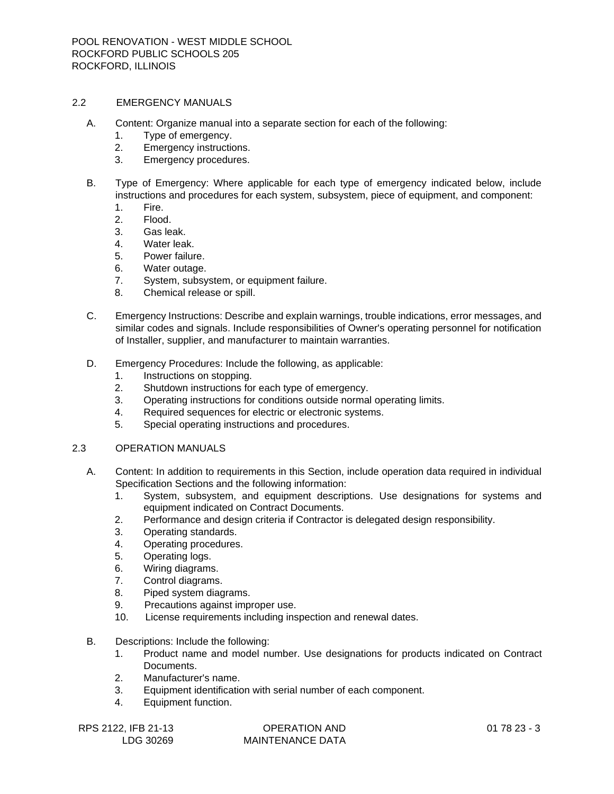## 2.2 EMERGENCY MANUALS

- A. Content: Organize manual into a separate section for each of the following:
	- 1. Type of emergency.
	- 2. Emergency instructions.
	- 3. Emergency procedures.
- B. Type of Emergency: Where applicable for each type of emergency indicated below, include instructions and procedures for each system, subsystem, piece of equipment, and component:
	- 1. Fire.
	- 2. Flood.
	- 3. Gas leak.
	- 4. Water leak.
	- 5. Power failure.
	- 6. Water outage.
	- 7. System, subsystem, or equipment failure.
	- 8. Chemical release or spill.
- C. Emergency Instructions: Describe and explain warnings, trouble indications, error messages, and similar codes and signals. Include responsibilities of Owner's operating personnel for notification of Installer, supplier, and manufacturer to maintain warranties.
- D. Emergency Procedures: Include the following, as applicable:
	- 1. Instructions on stopping.
	- 2. Shutdown instructions for each type of emergency.
	- 3. Operating instructions for conditions outside normal operating limits.
	- 4. Required sequences for electric or electronic systems.
	- 5. Special operating instructions and procedures.

## 2.3 OPERATION MANUALS

- A. Content: In addition to requirements in this Section, include operation data required in individual Specification Sections and the following information:
	- 1. System, subsystem, and equipment descriptions. Use designations for systems and equipment indicated on Contract Documents.
	- 2. Performance and design criteria if Contractor is delegated design responsibility.
	- 3. Operating standards.
	- 4. Operating procedures.
	- 5. Operating logs.
	- 6. Wiring diagrams.
	- 7. Control diagrams.
	- 8. Piped system diagrams.
	- 9. Precautions against improper use.
	- 10. License requirements including inspection and renewal dates.
- B. Descriptions: Include the following:
	- 1. Product name and model number. Use designations for products indicated on Contract Documents.
	- 2. Manufacturer's name.
	- 3. Equipment identification with serial number of each component.
	- 4. Equipment function.

RPS 2122, IFB 21-13 LDG 30269

OPERATION AND MAINTENANCE DATA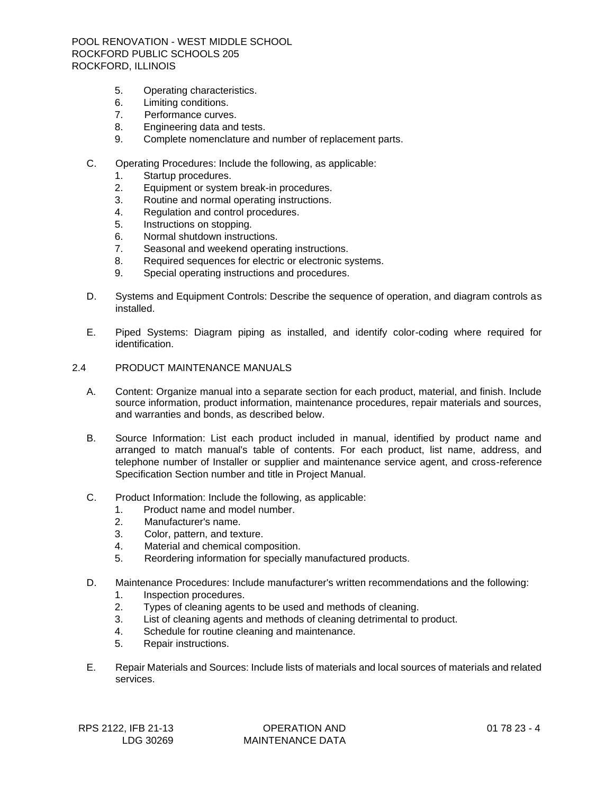- 5. Operating characteristics.
- 6. Limiting conditions.
- 7. Performance curves.
- 8. Engineering data and tests.
- 9. Complete nomenclature and number of replacement parts.
- C. Operating Procedures: Include the following, as applicable:
	- 1. Startup procedures.
	- 2. Equipment or system break-in procedures.
	- 3. Routine and normal operating instructions.
	- 4. Regulation and control procedures.
	- 5. Instructions on stopping.
	- 6. Normal shutdown instructions.
	- 7. Seasonal and weekend operating instructions.
	- 8. Required sequences for electric or electronic systems.
	- 9. Special operating instructions and procedures.
- D. Systems and Equipment Controls: Describe the sequence of operation, and diagram controls as installed.
- E. Piped Systems: Diagram piping as installed, and identify color-coding where required for identification.
- 2.4 PRODUCT MAINTENANCE MANUALS
	- A. Content: Organize manual into a separate section for each product, material, and finish. Include source information, product information, maintenance procedures, repair materials and sources, and warranties and bonds, as described below.
	- B. Source Information: List each product included in manual, identified by product name and arranged to match manual's table of contents. For each product, list name, address, and telephone number of Installer or supplier and maintenance service agent, and cross-reference Specification Section number and title in Project Manual.
	- C. Product Information: Include the following, as applicable:
		- 1. Product name and model number.
		- 2. Manufacturer's name.
		- 3. Color, pattern, and texture.
		- 4. Material and chemical composition.
		- 5. Reordering information for specially manufactured products.
	- D. Maintenance Procedures: Include manufacturer's written recommendations and the following:
		- 1. Inspection procedures.
		- 2. Types of cleaning agents to be used and methods of cleaning.
		- 3. List of cleaning agents and methods of cleaning detrimental to product.
		- 4. Schedule for routine cleaning and maintenance.
		- 5. Repair instructions.
	- E. Repair Materials and Sources: Include lists of materials and local sources of materials and related services.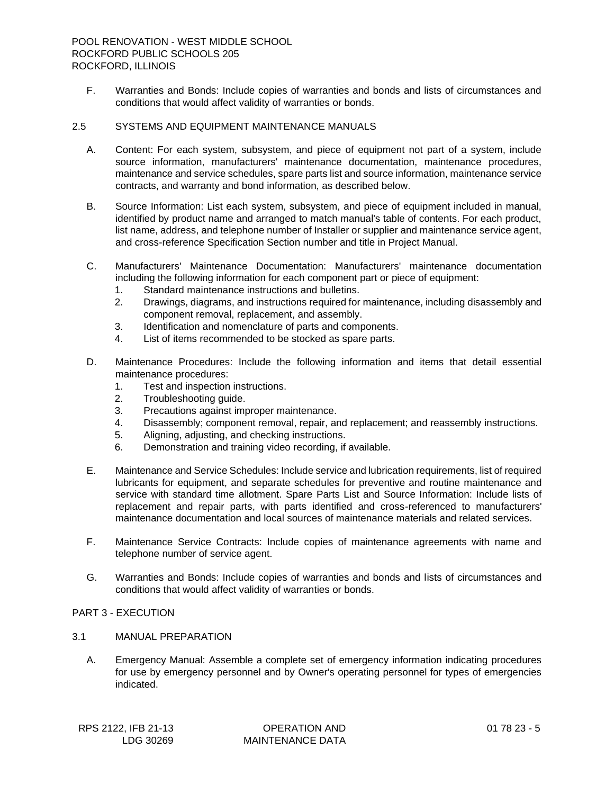F. Warranties and Bonds: Include copies of warranties and bonds and lists of circumstances and conditions that would affect validity of warranties or bonds.

# 2.5 SYSTEMS AND EQUIPMENT MAINTENANCE MANUALS

- A. Content: For each system, subsystem, and piece of equipment not part of a system, include source information, manufacturers' maintenance documentation, maintenance procedures, maintenance and service schedules, spare parts list and source information, maintenance service contracts, and warranty and bond information, as described below.
- B. Source Information: List each system, subsystem, and piece of equipment included in manual, identified by product name and arranged to match manual's table of contents. For each product, list name, address, and telephone number of Installer or supplier and maintenance service agent, and cross-reference Specification Section number and title in Project Manual.
- C. Manufacturers' Maintenance Documentation: Manufacturers' maintenance documentation including the following information for each component part or piece of equipment:
	- 1. Standard maintenance instructions and bulletins.
	- 2. Drawings, diagrams, and instructions required for maintenance, including disassembly and component removal, replacement, and assembly.
	- 3. Identification and nomenclature of parts and components.
	- 4. List of items recommended to be stocked as spare parts.
- D. Maintenance Procedures: Include the following information and items that detail essential maintenance procedures:
	- 1. Test and inspection instructions.
	- 2. Troubleshooting guide.
	- 3. Precautions against improper maintenance.
	- 4. Disassembly; component removal, repair, and replacement; and reassembly instructions.
	- 5. Aligning, adjusting, and checking instructions.
	- 6. Demonstration and training video recording, if available.
- E. Maintenance and Service Schedules: Include service and lubrication requirements, list of required lubricants for equipment, and separate schedules for preventive and routine maintenance and service with standard time allotment. Spare Parts List and Source Information: Include lists of replacement and repair parts, with parts identified and cross-referenced to manufacturers' maintenance documentation and local sources of maintenance materials and related services.
- F. Maintenance Service Contracts: Include copies of maintenance agreements with name and telephone number of service agent.
- G. Warranties and Bonds: Include copies of warranties and bonds and lists of circumstances and conditions that would affect validity of warranties or bonds.

### PART 3 - EXECUTION

- 3.1 MANUAL PREPARATION
	- A. Emergency Manual: Assemble a complete set of emergency information indicating procedures for use by emergency personnel and by Owner's operating personnel for types of emergencies indicated.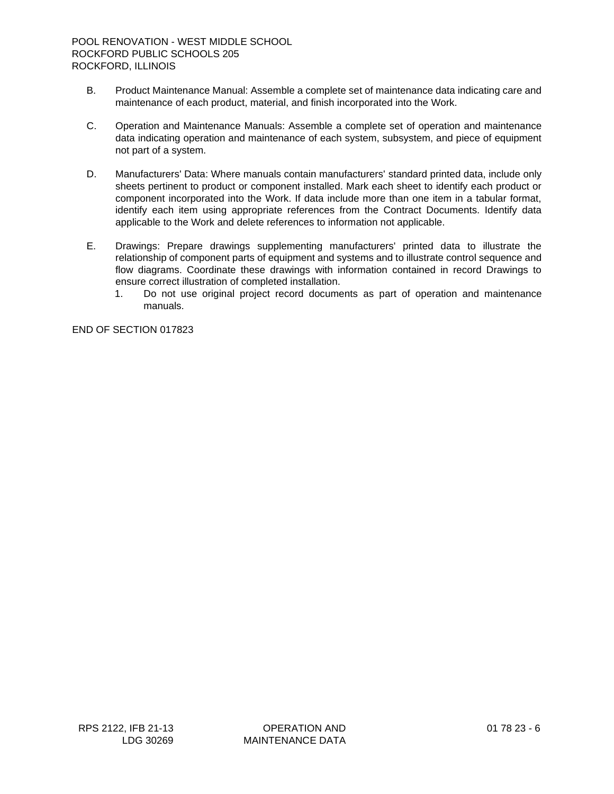- B. Product Maintenance Manual: Assemble a complete set of maintenance data indicating care and maintenance of each product, material, and finish incorporated into the Work.
- C. Operation and Maintenance Manuals: Assemble a complete set of operation and maintenance data indicating operation and maintenance of each system, subsystem, and piece of equipment not part of a system.
- D. Manufacturers' Data: Where manuals contain manufacturers' standard printed data, include only sheets pertinent to product or component installed. Mark each sheet to identify each product or component incorporated into the Work. If data include more than one item in a tabular format, identify each item using appropriate references from the Contract Documents. Identify data applicable to the Work and delete references to information not applicable.
- E. Drawings: Prepare drawings supplementing manufacturers' printed data to illustrate the relationship of component parts of equipment and systems and to illustrate control sequence and flow diagrams. Coordinate these drawings with information contained in record Drawings to ensure correct illustration of completed installation.
	- 1. Do not use original project record documents as part of operation and maintenance manuals.

END OF SECTION 017823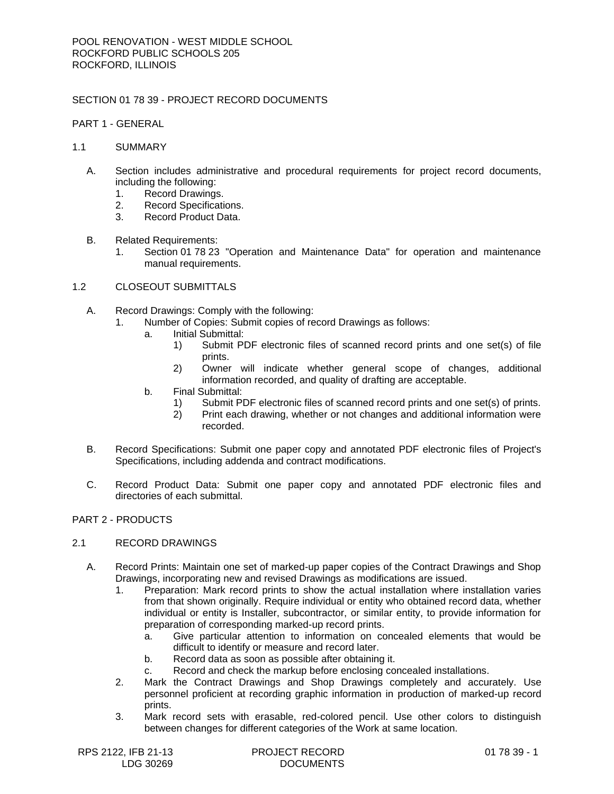# SECTION 01 78 39 - PROJECT RECORD DOCUMENTS

### PART 1 - GENERAL

#### 1.1 SUMMARY

- A. Section includes administrative and procedural requirements for project record documents, including the following:
	- 1. Record Drawings.
	- 2. Record Specifications.<br>3. Record Product Data.
	- Record Product Data.
- B. Related Requirements:
	- 1. Section 01 78 23 "Operation and Maintenance Data" for operation and maintenance manual requirements.

# 1.2 CLOSEOUT SUBMITTALS

- A. Record Drawings: Comply with the following:
	- 1. Number of Copies: Submit copies of record Drawings as follows:
		- a. Initial Submittal:
			- 1) Submit PDF electronic files of scanned record prints and one set(s) of file prints.
			- 2) Owner will indicate whether general scope of changes, additional information recorded, and quality of drafting are acceptable.
		- b. Final Submittal:
			- 1) Submit PDF electronic files of scanned record prints and one set(s) of prints.
			- 2) Print each drawing, whether or not changes and additional information were recorded.
- B. Record Specifications: Submit one paper copy and annotated PDF electronic files of Project's Specifications, including addenda and contract modifications.
- C. Record Product Data: Submit one paper copy and annotated PDF electronic files and directories of each submittal.

# PART 2 - PRODUCTS

### 2.1 RECORD DRAWINGS

- A. Record Prints: Maintain one set of marked-up paper copies of the Contract Drawings and Shop Drawings, incorporating new and revised Drawings as modifications are issued.
	- 1. Preparation: Mark record prints to show the actual installation where installation varies from that shown originally. Require individual or entity who obtained record data, whether individual or entity is Installer, subcontractor, or similar entity, to provide information for preparation of corresponding marked-up record prints.
		- a. Give particular attention to information on concealed elements that would be difficult to identify or measure and record later.
		- b. Record data as soon as possible after obtaining it.
		- c. Record and check the markup before enclosing concealed installations.
	- 2. Mark the Contract Drawings and Shop Drawings completely and accurately. Use personnel proficient at recording graphic information in production of marked-up record prints.
	- 3. Mark record sets with erasable, red-colored pencil. Use other colors to distinguish between changes for different categories of the Work at same location.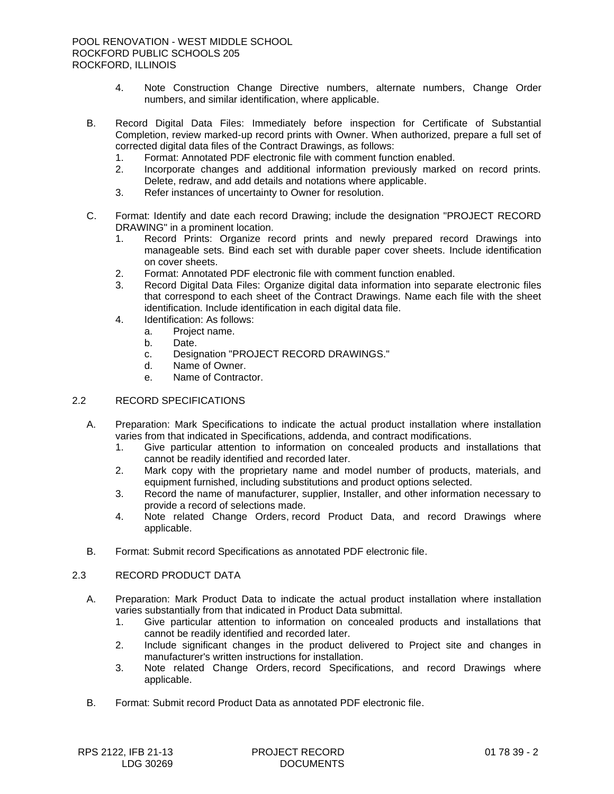- 4. Note Construction Change Directive numbers, alternate numbers, Change Order numbers, and similar identification, where applicable.
- B. Record Digital Data Files: Immediately before inspection for Certificate of Substantial Completion, review marked-up record prints with Owner. When authorized, prepare a full set of corrected digital data files of the Contract Drawings, as follows:
	- 1. Format: Annotated PDF electronic file with comment function enabled.
	- 2. Incorporate changes and additional information previously marked on record prints. Delete, redraw, and add details and notations where applicable.
	- 3. Refer instances of uncertainty to Owner for resolution.
- C. Format: Identify and date each record Drawing; include the designation "PROJECT RECORD DRAWING" in a prominent location.
	- 1. Record Prints: Organize record prints and newly prepared record Drawings into manageable sets. Bind each set with durable paper cover sheets. Include identification on cover sheets.
	- 2. Format: Annotated PDF electronic file with comment function enabled.
	- 3. Record Digital Data Files: Organize digital data information into separate electronic files that correspond to each sheet of the Contract Drawings. Name each file with the sheet identification. Include identification in each digital data file.
	- 4. Identification: As follows:
		- a. Project name.
		- b. Date.
		- c. Designation "PROJECT RECORD DRAWINGS."
		- d. Name of Owner.
		- e. Name of Contractor.

# 2.2 RECORD SPECIFICATIONS

- A. Preparation: Mark Specifications to indicate the actual product installation where installation varies from that indicated in Specifications, addenda, and contract modifications.
	- 1. Give particular attention to information on concealed products and installations that cannot be readily identified and recorded later.
	- 2. Mark copy with the proprietary name and model number of products, materials, and equipment furnished, including substitutions and product options selected.
	- 3. Record the name of manufacturer, supplier, Installer, and other information necessary to provide a record of selections made.
	- 4. Note related Change Orders, record Product Data, and record Drawings where applicable.
- B. Format: Submit record Specifications as annotated PDF electronic file.

# 2.3 RECORD PRODUCT DATA

- A. Preparation: Mark Product Data to indicate the actual product installation where installation varies substantially from that indicated in Product Data submittal.
	- 1. Give particular attention to information on concealed products and installations that cannot be readily identified and recorded later.
	- 2. Include significant changes in the product delivered to Project site and changes in manufacturer's written instructions for installation.
	- 3. Note related Change Orders, record Specifications, and record Drawings where applicable.
- B. Format: Submit record Product Data as annotated PDF electronic file.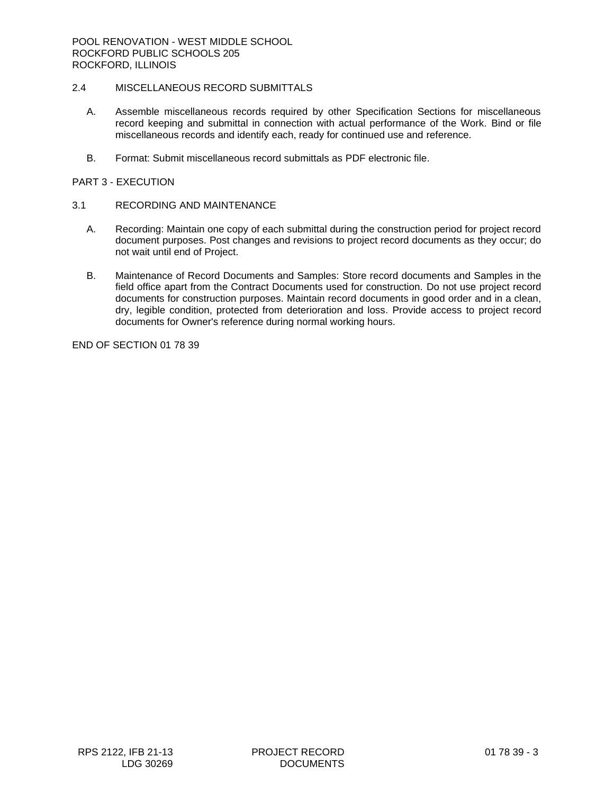# 2.4 MISCELLANEOUS RECORD SUBMITTALS

- A. Assemble miscellaneous records required by other Specification Sections for miscellaneous record keeping and submittal in connection with actual performance of the Work. Bind or file miscellaneous records and identify each, ready for continued use and reference.
- B. Format: Submit miscellaneous record submittals as PDF electronic file.

## PART 3 - EXECUTION

## 3.1 RECORDING AND MAINTENANCE

- A. Recording: Maintain one copy of each submittal during the construction period for project record document purposes. Post changes and revisions to project record documents as they occur; do not wait until end of Project.
- B. Maintenance of Record Documents and Samples: Store record documents and Samples in the field office apart from the Contract Documents used for construction. Do not use project record documents for construction purposes. Maintain record documents in good order and in a clean, dry, legible condition, protected from deterioration and loss. Provide access to project record documents for Owner's reference during normal working hours.

END OF SECTION 01 78 39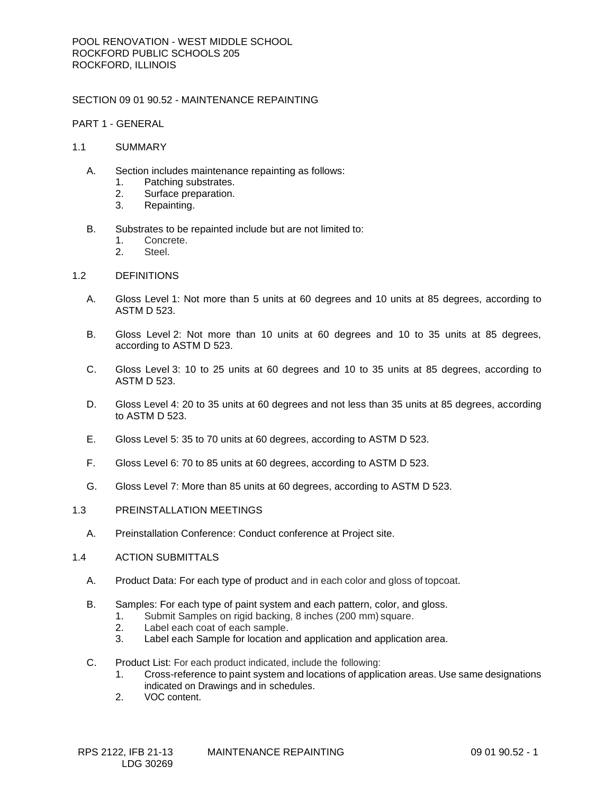## SECTION 09 01 90.52 - MAINTENANCE REPAINTING

### PART 1 - GENERAL

#### 1.1 SUMMARY

- A. Section includes maintenance repainting as follows:
	- 1. Patching substrates.
	- 2. Surface preparation.
	- 3. Repainting.
- B. Substrates to be repainted include but are not limited to:
	- 1. Concrete.
	- 2. Steel.

#### 1.2 DEFINITIONS

- A. Gloss Level 1: Not more than 5 units at 60 degrees and 10 units at 85 degrees, according to ASTM D 523.
- B. Gloss Level 2: Not more than 10 units at 60 degrees and 10 to 35 units at 85 degrees, according to ASTM D 523.
- C. Gloss Level 3: 10 to 25 units at 60 degrees and 10 to 35 units at 85 degrees, according to ASTM D 523.
- D. Gloss Level 4: 20 to 35 units at 60 degrees and not less than 35 units at 85 degrees, according to ASTM D 523.
- E. Gloss Level 5: 35 to 70 units at 60 degrees, according to ASTM D 523.
- F. Gloss Level 6: 70 to 85 units at 60 degrees, according to ASTM D 523.
- G. Gloss Level 7: More than 85 units at 60 degrees, according to ASTM D 523.
- 1.3 PREINSTALLATION MEETINGS
	- A. Preinstallation Conference: Conduct conference at Project site.

## 1.4 ACTION SUBMITTALS

- A. Product Data: For each type of product and in each color and gloss of topcoat.
- B. Samples: For each type of paint system and each pattern, color, and gloss.
	- 1. Submit Samples on rigid backing, 8 inches (200 mm) square.
	- 2. Label each coat of each sample.
	- 3. Label each Sample for location and application and application area.
- C. Product List: For each product indicated, include the following:
	- 1. Cross-reference to paint system and locations of application areas. Use same designations indicated on Drawings and in schedules.
	- 2. VOC content.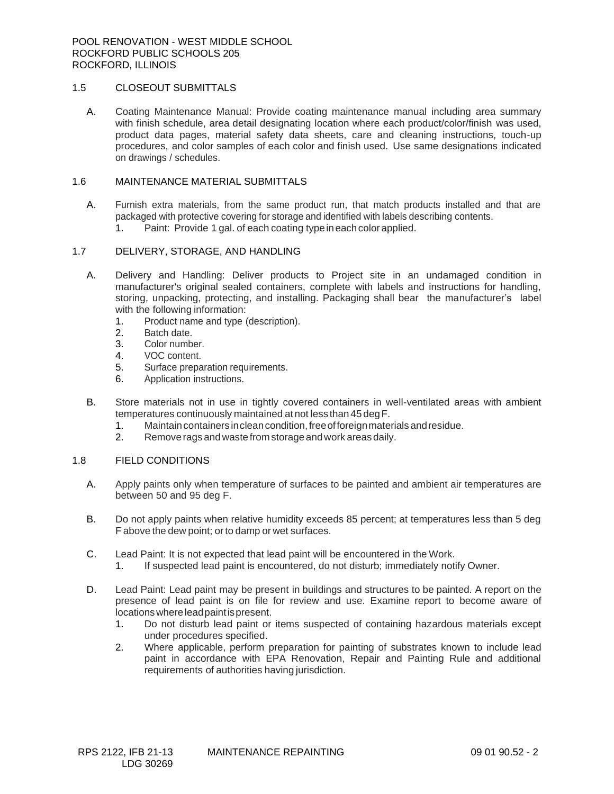# 1.5 CLOSEOUT SUBMITTALS

A. Coating Maintenance Manual: Provide coating maintenance manual including area summary with finish schedule, area detail designating location where each product/color/finish was used, product data pages, material safety data sheets, care and cleaning instructions, touch-up procedures, and color samples of each color and finish used. Use same designations indicated on drawings / schedules.

## 1.6 MAINTENANCE MATERIAL SUBMITTALS

A. Furnish extra materials, from the same product run, that match products installed and that are packaged with protective covering for storage and identified with labels describing contents. 1. Paint: Provide 1 gal. of each coating typeineachcolor applied.

# 1.7 DELIVERY, STORAGE, AND HANDLING

- A. Delivery and Handling: Deliver products to Project site in an undamaged condition in manufacturer's original sealed containers, complete with labels and instructions for handling, storing, unpacking, protecting, and installing. Packaging shall bear the manufacturer's label with the following information:
	- 1. Product name and type (description).
	- 2. Batch date.
	- 3. Color number.
	- 4. VOC content.
	- 5. Surface preparation requirements.
	- 6. Application instructions.
- B. Store materials not in use in tightly covered containers in well-ventilated areas with ambient temperatures continuously maintained at not less than 45 degF.
	- 1. Maintaincontainers incleancondition,freeofforeignmaterials andresidue.
	- 2. Removerags andwaste fromstorageandwork areasdaily.

### 1.8 FIELD CONDITIONS

- A. Apply paints only when temperature of surfaces to be painted and ambient air temperatures are between 50 and 95 deg F.
- B. Do not apply paints when relative humidity exceeds 85 percent; at temperatures less than 5 deg F above the dew point; orto damp or wet surfaces.
- C. Lead Paint: It is not expected that lead paint will be encountered in the Work.
	- 1. If suspected lead paint is encountered, do not disturb; immediately notify Owner.
- D. Lead Paint: Lead paint may be present in buildings and structures to be painted. A report on the presence of lead paint is on file for review and use. Examine report to become aware of locationswhereleadpaintispresent.
	- 1. Do not disturb lead paint or items suspected of containing hazardous materials except under procedures specified.
	- 2. Where applicable, perform preparation for painting of substrates known to include lead paint in accordance with EPA Renovation, Repair and Painting Rule and additional requirements of authorities having jurisdiction.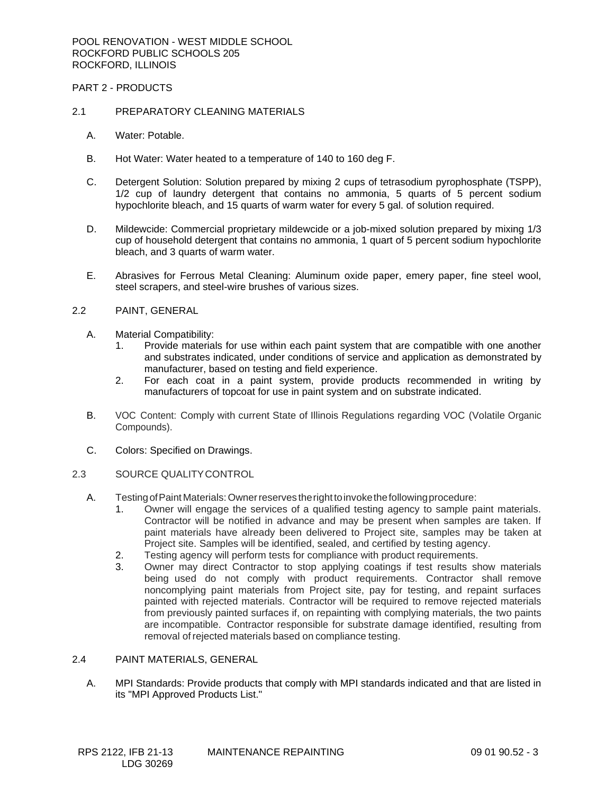PART 2 - PRODUCTS

### 2.1 PREPARATORY CLEANING MATERIALS

- A. Water: Potable.
- B. Hot Water: Water heated to a temperature of 140 to 160 deg F.
- C. Detergent Solution: Solution prepared by mixing 2 cups of tetrasodium pyrophosphate (TSPP), 1/2 cup of laundry detergent that contains no ammonia, 5 quarts of 5 percent sodium hypochlorite bleach, and 15 quarts of warm water for every 5 gal. of solution required.
- D. Mildewcide: Commercial proprietary mildewcide or a job-mixed solution prepared by mixing 1/3 cup of household detergent that contains no ammonia, 1 quart of 5 percent sodium hypochlorite bleach, and 3 quarts of warm water.
- E. Abrasives for Ferrous Metal Cleaning: Aluminum oxide paper, emery paper, fine steel wool, steel scrapers, and steel-wire brushes of various sizes.

#### 2.2 PAINT, GENERAL

- A. Material Compatibility:
	- 1. Provide materials for use within each paint system that are compatible with one another and substrates indicated, under conditions of service and application as demonstrated by manufacturer, based on testing and field experience.
	- 2. For each coat in a paint system, provide products recommended in writing by manufacturers of topcoat for use in paint system and on substrate indicated.
- B. VOC Content: Comply with current State of Illinois Regulations regarding VOC (Volatile Organic Compounds).
- C. Colors: Specified on Drawings.

### 2.3 SOURCE QUALITYCONTROL

- A. TestingofPaintMaterials:Ownerreserves therighttoinvokethefollowingprocedure:
	- 1. Owner will engage the services of a qualified testing agency to sample paint materials. Contractor will be notified in advance and may be present when samples are taken. If paint materials have already been delivered to Project site, samples may be taken at Project site. Samples will be identified, sealed, and certified by testing agency.
	- 2. Testing agency will perform tests for compliance with product requirements.
	- 3. Owner may direct Contractor to stop applying coatings if test results show materials being used do not comply with product requirements. Contractor shall remove noncomplying paint materials from Project site, pay for testing, and repaint surfaces painted with rejected materials. Contractor will be required to remove rejected materials from previously painted surfaces if, on repainting with complying materials, the two paints are incompatible. Contractor responsible for substrate damage identified, resulting from removal of rejected materials based on compliance testing.

#### 2.4 PAINT MATERIALS, GENERAL

A. MPI Standards: Provide products that comply with MPI standards indicated and that are listed in its "MPI Approved Products List."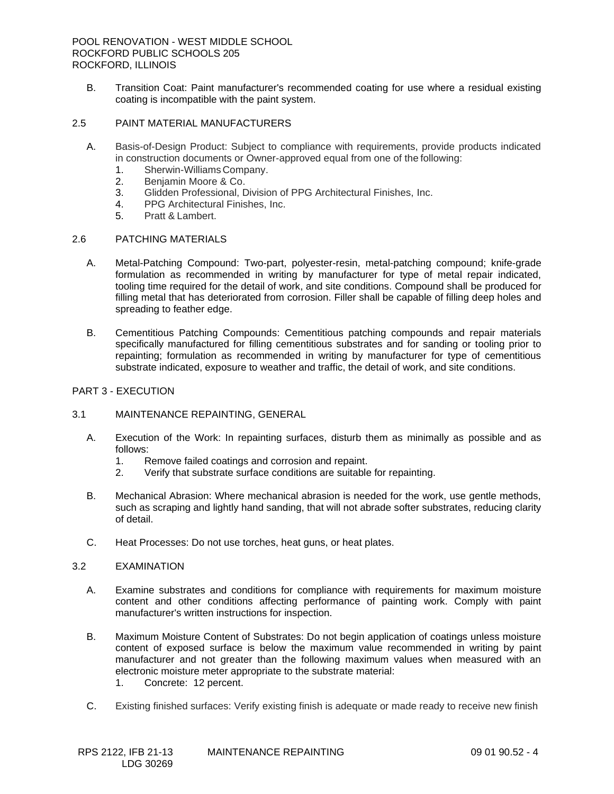B. Transition Coat: Paint manufacturer's recommended coating for use where a residual existing coating is incompatible with the paint system.

# 2.5 PAINT MATERIAL MANUFACTURERS

- A. Basis-of-Design Product: Subject to compliance with requirements, provide products indicated in construction documents or Owner-approved equal from one of the following:
	- 1. Sherwin-Williams Company.
	- 2. Benjamin Moore & Co.
	- 3. Glidden Professional, Division of PPG Architectural Finishes, Inc.
	- 4. PPG Architectural Finishes, Inc.
	- 5. Pratt & Lambert.

#### 2.6 PATCHING MATERIALS

- A. Metal-Patching Compound: Two-part, polyester-resin, metal-patching compound; knife-grade formulation as recommended in writing by manufacturer for type of metal repair indicated, tooling time required for the detail of work, and site conditions. Compound shall be produced for filling metal that has deteriorated from corrosion. Filler shall be capable of filling deep holes and spreading to feather edge.
- B. Cementitious Patching Compounds: Cementitious patching compounds and repair materials specifically manufactured for filling cementitious substrates and for sanding or tooling prior to repainting; formulation as recommended in writing by manufacturer for type of cementitious substrate indicated, exposure to weather and traffic, the detail of work, and site conditions.

## PART 3 - EXECUTION

### 3.1 MAINTENANCE REPAINTING, GENERAL

- A. Execution of the Work: In repainting surfaces, disturb them as minimally as possible and as follows:
	- 1. Remove failed coatings and corrosion and repaint.
	- 2. Verify that substrate surface conditions are suitable for repainting.
- B. Mechanical Abrasion: Where mechanical abrasion is needed for the work, use gentle methods, such as scraping and lightly hand sanding, that will not abrade softer substrates, reducing clarity of detail.
- C. Heat Processes: Do not use torches, heat guns, or heat plates.

#### 3.2 EXAMINATION

- A. Examine substrates and conditions for compliance with requirements for maximum moisture content and other conditions affecting performance of painting work. Comply with paint manufacturer's written instructions for inspection.
- B. Maximum Moisture Content of Substrates: Do not begin application of coatings unless moisture content of exposed surface is below the maximum value recommended in writing by paint manufacturer and not greater than the following maximum values when measured with an electronic moisture meter appropriate to the substrate material:
	- 1. Concrete: 12 percent.
- C. Existing finished surfaces: Verify existing finish is adequate or made ready to receive new finish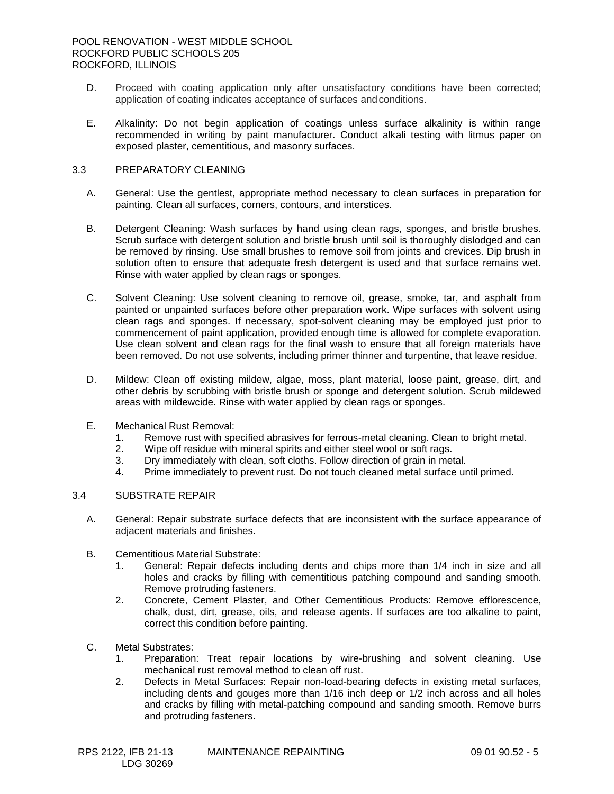- D. Proceed with coating application only after unsatisfactory conditions have been corrected; application of coating indicates acceptance of surfaces andconditions.
- E. Alkalinity: Do not begin application of coatings unless surface alkalinity is within range recommended in writing by paint manufacturer. Conduct alkali testing with litmus paper on exposed plaster, cementitious, and masonry surfaces.

#### 3.3 PREPARATORY CLEANING

- A. General: Use the gentlest, appropriate method necessary to clean surfaces in preparation for painting. Clean all surfaces, corners, contours, and interstices.
- B. Detergent Cleaning: Wash surfaces by hand using clean rags, sponges, and bristle brushes. Scrub surface with detergent solution and bristle brush until soil is thoroughly dislodged and can be removed by rinsing. Use small brushes to remove soil from joints and crevices. Dip brush in solution often to ensure that adequate fresh detergent is used and that surface remains wet. Rinse with water applied by clean rags or sponges.
- C. Solvent Cleaning: Use solvent cleaning to remove oil, grease, smoke, tar, and asphalt from painted or unpainted surfaces before other preparation work. Wipe surfaces with solvent using clean rags and sponges. If necessary, spot-solvent cleaning may be employed just prior to commencement of paint application, provided enough time is allowed for complete evaporation. Use clean solvent and clean rags for the final wash to ensure that all foreign materials have been removed. Do not use solvents, including primer thinner and turpentine, that leave residue.
- D. Mildew: Clean off existing mildew, algae, moss, plant material, loose paint, grease, dirt, and other debris by scrubbing with bristle brush or sponge and detergent solution. Scrub mildewed areas with mildewcide. Rinse with water applied by clean rags or sponges.
- E. Mechanical Rust Removal:
	- 1. Remove rust with specified abrasives for ferrous-metal cleaning. Clean to bright metal.
	- 2. Wipe off residue with mineral spirits and either steel wool or soft rags.
	- 3. Dry immediately with clean, soft cloths. Follow direction of grain in metal.
	- 4. Prime immediately to prevent rust. Do not touch cleaned metal surface until primed.

# 3.4 SUBSTRATE REPAIR

- A. General: Repair substrate surface defects that are inconsistent with the surface appearance of adjacent materials and finishes.
- B. Cementitious Material Substrate:
	- 1. General: Repair defects including dents and chips more than 1/4 inch in size and all holes and cracks by filling with cementitious patching compound and sanding smooth. Remove protruding fasteners.
	- 2. Concrete, Cement Plaster, and Other Cementitious Products: Remove efflorescence, chalk, dust, dirt, grease, oils, and release agents. If surfaces are too alkaline to paint, correct this condition before painting.
- C. Metal Substrates:
	- 1. Preparation: Treat repair locations by wire-brushing and solvent cleaning. Use mechanical rust removal method to clean off rust.
	- 2. Defects in Metal Surfaces: Repair non-load-bearing defects in existing metal surfaces, including dents and gouges more than 1/16 inch deep or 1/2 inch across and all holes and cracks by filling with metal-patching compound and sanding smooth. Remove burrs and protruding fasteners.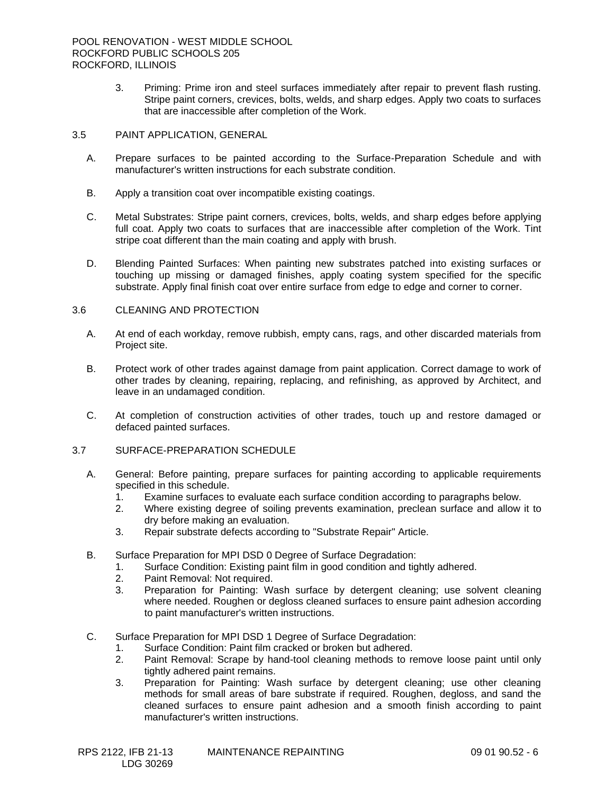- 3. Priming: Prime iron and steel surfaces immediately after repair to prevent flash rusting. Stripe paint corners, crevices, bolts, welds, and sharp edges. Apply two coats to surfaces that are inaccessible after completion of the Work.
- 3.5 PAINT APPLICATION, GENERAL
	- A. Prepare surfaces to be painted according to the Surface-Preparation Schedule and with manufacturer's written instructions for each substrate condition.
	- B. Apply a transition coat over incompatible existing coatings.
	- C. Metal Substrates: Stripe paint corners, crevices, bolts, welds, and sharp edges before applying full coat. Apply two coats to surfaces that are inaccessible after completion of the Work. Tint stripe coat different than the main coating and apply with brush.
	- D. Blending Painted Surfaces: When painting new substrates patched into existing surfaces or touching up missing or damaged finishes, apply coating system specified for the specific substrate. Apply final finish coat over entire surface from edge to edge and corner to corner.

# 3.6 CLEANING AND PROTECTION

- A. At end of each workday, remove rubbish, empty cans, rags, and other discarded materials from Project site.
- B. Protect work of other trades against damage from paint application. Correct damage to work of other trades by cleaning, repairing, replacing, and refinishing, as approved by Architect, and leave in an undamaged condition.
- C. At completion of construction activities of other trades, touch up and restore damaged or defaced painted surfaces.

### 3.7 SURFACE-PREPARATION SCHEDULE

- A. General: Before painting, prepare surfaces for painting according to applicable requirements specified in this schedule.
	- 1. Examine surfaces to evaluate each surface condition according to paragraphs below.
	- 2. Where existing degree of soiling prevents examination, preclean surface and allow it to dry before making an evaluation.
	- 3. Repair substrate defects according to "Substrate Repair" Article.
- B. Surface Preparation for MPI DSD 0 Degree of Surface Degradation:
	- 1. Surface Condition: Existing paint film in good condition and tightly adhered.
	- 2. Paint Removal: Not required.
	- 3. Preparation for Painting: Wash surface by detergent cleaning; use solvent cleaning where needed. Roughen or degloss cleaned surfaces to ensure paint adhesion according to paint manufacturer's written instructions.
- C. Surface Preparation for MPI DSD 1 Degree of Surface Degradation:
	- 1. Surface Condition: Paint film cracked or broken but adhered.
	- 2. Paint Removal: Scrape by hand-tool cleaning methods to remove loose paint until only tightly adhered paint remains.
	- 3. Preparation for Painting: Wash surface by detergent cleaning; use other cleaning methods for small areas of bare substrate if required. Roughen, degloss, and sand the cleaned surfaces to ensure paint adhesion and a smooth finish according to paint manufacturer's written instructions.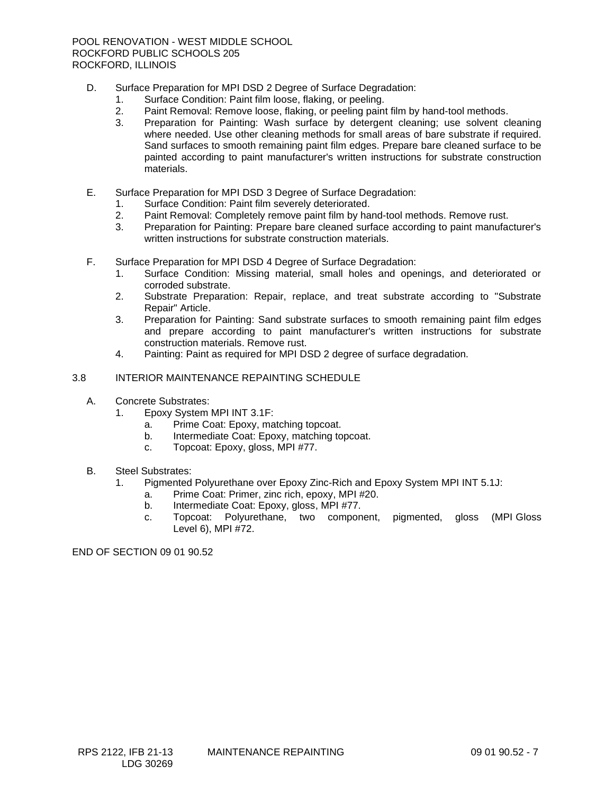- D. Surface Preparation for MPI DSD 2 Degree of Surface Degradation:
	- 1. Surface Condition: Paint film loose, flaking, or peeling.
	- 2. Paint Removal: Remove loose, flaking, or peeling paint film by hand-tool methods.
	- 3. Preparation for Painting: Wash surface by detergent cleaning; use solvent cleaning where needed. Use other cleaning methods for small areas of bare substrate if required. Sand surfaces to smooth remaining paint film edges. Prepare bare cleaned surface to be painted according to paint manufacturer's written instructions for substrate construction materials.
- E. Surface Preparation for MPI DSD 3 Degree of Surface Degradation:
	- 1. Surface Condition: Paint film severely deteriorated.
	- 2. Paint Removal: Completely remove paint film by hand-tool methods. Remove rust.<br>3. Preparation for Painting: Prepare bare cleaned surface according to paint manufac
	- Preparation for Painting: Prepare bare cleaned surface according to paint manufacturer's written instructions for substrate construction materials.
- F. Surface Preparation for MPI DSD 4 Degree of Surface Degradation:
	- 1. Surface Condition: Missing material, small holes and openings, and deteriorated or corroded substrate.
	- 2. Substrate Preparation: Repair, replace, and treat substrate according to "Substrate Repair" Article.
	- 3. Preparation for Painting: Sand substrate surfaces to smooth remaining paint film edges and prepare according to paint manufacturer's written instructions for substrate construction materials. Remove rust.
	- 4. Painting: Paint as required for MPI DSD 2 degree of surface degradation.

## 3.8 INTERIOR MAINTENANCE REPAINTING SCHEDULE

- A. Concrete Substrates:
	- 1. Epoxy System MPI INT 3.1F:<br>a. Prime Coat: Epoxy, ma
		- Prime Coat: Epoxy, matching topcoat.
		- b. Intermediate Coat: Epoxy, matching topcoat.
		- c. Topcoat: Epoxy, gloss, MPI #77.
- B. Steel Substrates:
	- 1. Pigmented Polyurethane over Epoxy Zinc-Rich and Epoxy System MPI INT 5.1J:
		- a. Prime Coat: Primer, zinc rich, epoxy, MPI #20.
		- b. Intermediate Coat: Epoxy, gloss, MPI #77.
		- c. Topcoat: Polyurethane, two component, pigmented, gloss (MPI Gloss Level 6), MPI #72.

END OF SECTION 09 01 90.52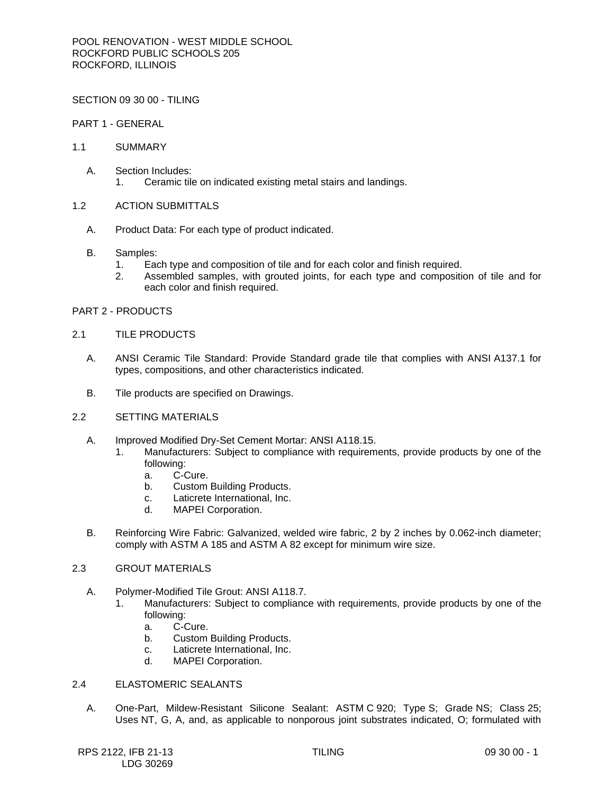SECTION 09 30 00 - TILING

PART 1 - GENERAL

#### 1.1 SUMMARY

A. Section Includes: 1. Ceramic tile on indicated existing metal stairs and landings.

## 1.2 ACTION SUBMITTALS

A. Product Data: For each type of product indicated.

### B. Samples:

- 1. Each type and composition of tile and for each color and finish required.
- 2. Assembled samples, with grouted joints, for each type and composition of tile and for each color and finish required.
- PART 2 PRODUCTS

### 2.1 TILE PRODUCTS

- A. ANSI Ceramic Tile Standard: Provide Standard grade tile that complies with ANSI A137.1 for types, compositions, and other characteristics indicated.
- B. Tile products are specified on Drawings.

## 2.2 SETTING MATERIALS

- A. Improved Modified Dry-Set Cement Mortar: ANSI A118.15.
	- 1. Manufacturers: Subject to compliance with requirements, provide products by one of the following:
		- a. [C-Cure.](http://www.specagent.com/LookUp/?uid=123456796544&mf=04&src=wd)
		- b. [Custom Building Products.](http://www.specagent.com/LookUp/?uid=123456796545&mf=04&src=wd)
		- c. [Laticrete International, Inc.](http://www.specagent.com/LookUp/?uid=123456796547&mf=04&src=wd)
		- d. [MAPEI Corporation.](http://www.specagent.com/LookUp/?uid=123456796548&mf=04&src=wd)
- B. Reinforcing Wire Fabric: Galvanized, welded wire fabric, 2 by 2 inches by 0.062-inch diameter; comply with ASTM A 185 and ASTM A 82 except for minimum wire size.

# 2.3 GROUT MATERIALS

- A. Polymer-Modified Tile Grout: ANSI A118.7.
	- 1. Manufacturers: Subject to compliance with requirements, provide products by one of the following:
		- a. [C-Cure.](http://www.specagent.com/LookUp/?uid=123456796685&mf=04&src=wd)
		- b. [Custom Building Products.](http://www.specagent.com/LookUp/?uid=123456796687&mf=04&src=wd)
		- c. [Laticrete International, Inc.](http://www.specagent.com/LookUp/?uid=123456796691&mf=04&src=wd)
		- d. [MAPEI Corporation.](http://www.specagent.com/LookUp/?uid=123456796693&mf=04&src=wd)

# 2.4 ELASTOMERIC SEALANTS

A. One-Part, Mildew-Resistant Silicone Sealant: ASTM C 920; Type S; Grade NS; Class 25; Uses NT, G, A, and, as applicable to nonporous joint substrates indicated, O; formulated with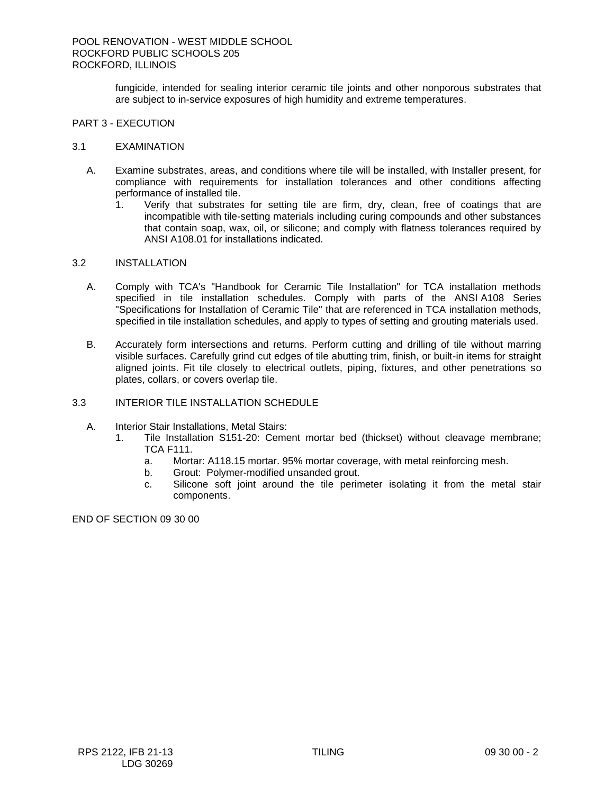fungicide, intended for sealing interior ceramic tile joints and other nonporous substrates that are subject to in-service exposures of high humidity and extreme temperatures.

# PART 3 - EXECUTION

#### 3.1 EXAMINATION

- A. Examine substrates, areas, and conditions where tile will be installed, with Installer present, for compliance with requirements for installation tolerances and other conditions affecting performance of installed tile.
	- 1. Verify that substrates for setting tile are firm, dry, clean, free of coatings that are incompatible with tile-setting materials including curing compounds and other substances that contain soap, wax, oil, or silicone; and comply with flatness tolerances required by ANSI A108.01 for installations indicated.

#### 3.2 INSTALLATION

- A. Comply with TCA's "Handbook for Ceramic Tile Installation" for TCA installation methods specified in tile installation schedules. Comply with parts of the ANSI A108 Series "Specifications for Installation of Ceramic Tile" that are referenced in TCA installation methods, specified in tile installation schedules, and apply to types of setting and grouting materials used.
- B. Accurately form intersections and returns. Perform cutting and drilling of tile without marring visible surfaces. Carefully grind cut edges of tile abutting trim, finish, or built-in items for straight aligned joints. Fit tile closely to electrical outlets, piping, fixtures, and other penetrations so plates, collars, or covers overlap tile.

### 3.3 INTERIOR TILE INSTALLATION SCHEDULE

- A. Interior Stair Installations, Metal Stairs:
	- 1. Tile Installation S151-20: Cement mortar bed (thickset) without cleavage membrane; TCA F111.
		- a. Mortar: A118.15 mortar. 95% mortar coverage, with metal reinforcing mesh.
		- b. Grout: Polymer-modified unsanded grout.
		- c. Silicone soft joint around the tile perimeter isolating it from the metal stair components.

END OF SECTION 09 30 00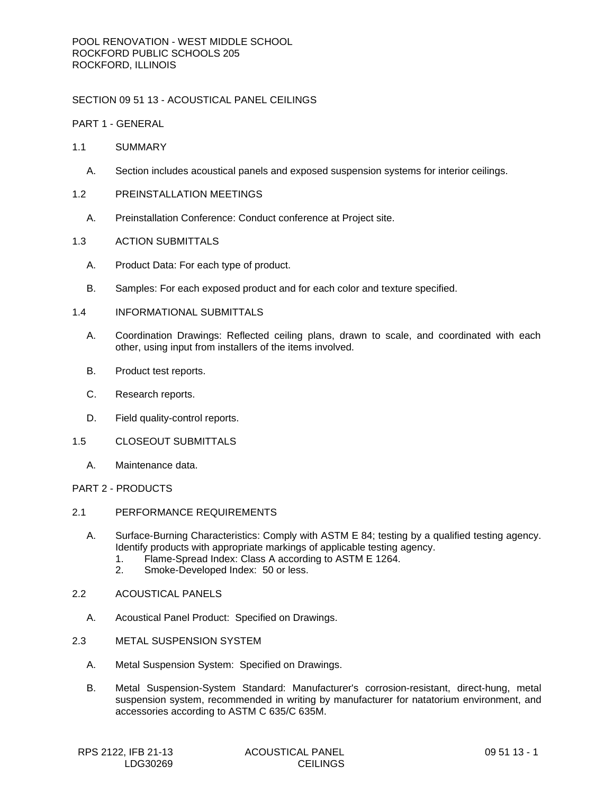# SECTION 09 51 13 - ACOUSTICAL PANEL CEILINGS

PART 1 - GENERAL

- 1.1 SUMMARY
	- A. Section includes acoustical panels and exposed suspension systems for interior ceilings.
- 1.2 PREINSTALLATION MEETINGS
	- A. Preinstallation Conference: Conduct conference at Project site.
- 1.3 ACTION SUBMITTALS
	- A. Product Data: For each type of product.
	- B. Samples: For each exposed product and for each color and texture specified.
- 1.4 INFORMATIONAL SUBMITTALS
	- A. Coordination Drawings: Reflected ceiling plans, drawn to scale, and coordinated with each other, using input from installers of the items involved.
	- B. Product test reports.
	- C. Research reports.
	- D. Field quality-control reports.
- 1.5 CLOSEOUT SUBMITTALS
	- A. Maintenance data.
- PART 2 PRODUCTS
- 2.1 PERFORMANCE REQUIREMENTS
	- A. Surface-Burning Characteristics: Comply with ASTM E 84; testing by a qualified testing agency. Identify products with appropriate markings of applicable testing agency.
		- 1. Flame-Spread Index: Class A according to ASTM E 1264.
		- 2. Smoke-Developed Index: 50 or less.
- 2.2 ACOUSTICAL PANELS
	- A. Acoustical Panel Product: Specified on Drawings.
- 2.3 METAL SUSPENSION SYSTEM
	- A. Metal Suspension System: Specified on Drawings.
	- B. Metal Suspension-System Standard: Manufacturer's corrosion-resistant, direct-hung, metal suspension system, recommended in writing by manufacturer for natatorium environment, and accessories according to ASTM C 635/C 635M.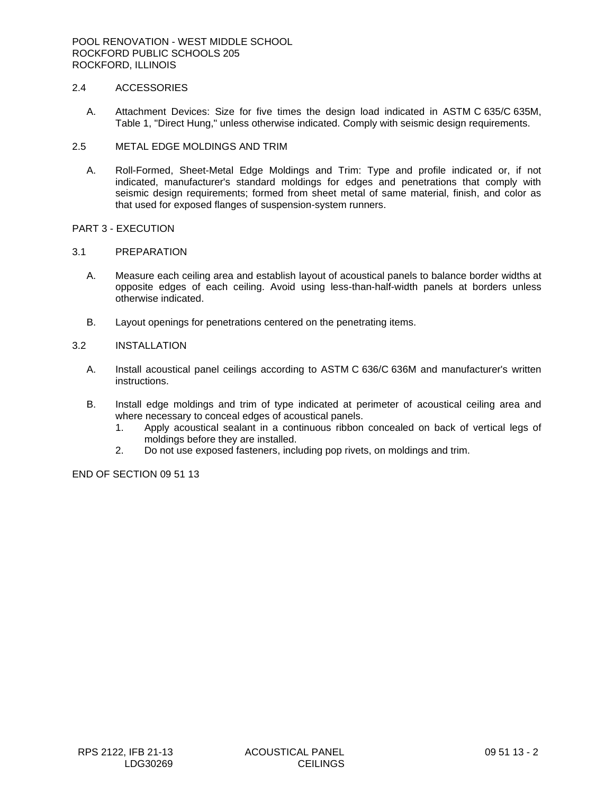## 2.4 ACCESSORIES

- A. Attachment Devices: Size for five times the design load indicated in ASTM C 635/C 635M, Table 1, "Direct Hung," unless otherwise indicated. Comply with seismic design requirements.
- 2.5 METAL EDGE MOLDINGS AND TRIM
	- A. Roll-Formed, Sheet-Metal Edge Moldings and Trim: Type and profile indicated or, if not indicated, manufacturer's standard moldings for edges and penetrations that comply with seismic design requirements; formed from sheet metal of same material, finish, and color as that used for exposed flanges of suspension-system runners.

#### PART 3 - EXECUTION

#### 3.1 PREPARATION

- A. Measure each ceiling area and establish layout of acoustical panels to balance border widths at opposite edges of each ceiling. Avoid using less-than-half-width panels at borders unless otherwise indicated.
- B. Layout openings for penetrations centered on the penetrating items.

#### 3.2 INSTALLATION

- A. Install acoustical panel ceilings according to ASTM C 636/C 636M and manufacturer's written instructions.
- B. Install edge moldings and trim of type indicated at perimeter of acoustical ceiling area and where necessary to conceal edges of acoustical panels.
	- 1. Apply acoustical sealant in a continuous ribbon concealed on back of vertical legs of moldings before they are installed.
	- 2. Do not use exposed fasteners, including pop rivets, on moldings and trim.

END OF SECTION 09 51 13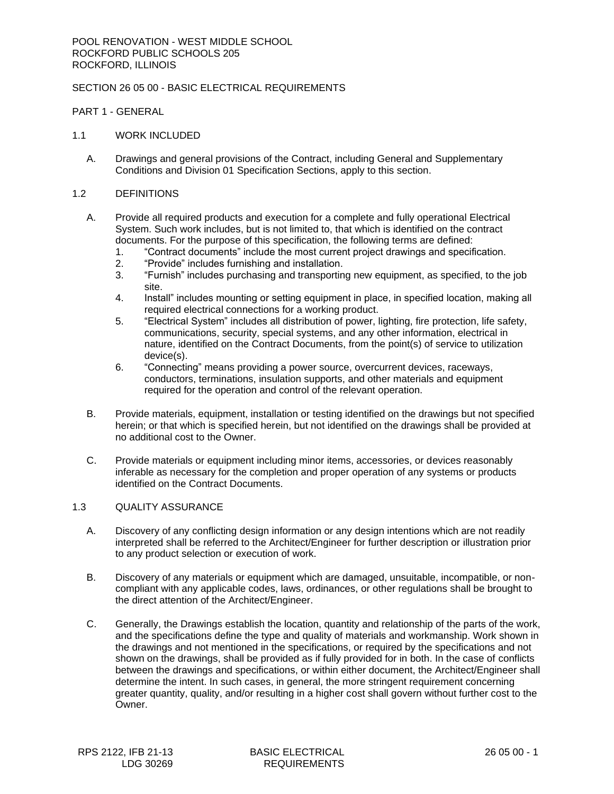# SECTION 26 05 00 - BASIC ELECTRICAL REQUIREMENTS

PART 1 - GENERAL

## 1.1 WORK INCLUDED

A. Drawings and general provisions of the Contract, including General and Supplementary Conditions and Division 01 Specification Sections, apply to this section.

### 1.2 DEFINITIONS

- A. Provide all required products and execution for a complete and fully operational Electrical System. Such work includes, but is not limited to, that which is identified on the contract documents. For the purpose of this specification, the following terms are defined:
	- 1. "Contract documents" include the most current project drawings and specification.
	- 2. "Provide" includes furnishing and installation.
	- 3. "Furnish" includes purchasing and transporting new equipment, as specified, to the job site.
	- 4. Install" includes mounting or setting equipment in place, in specified location, making all required electrical connections for a working product.
	- 5. "Electrical System" includes all distribution of power, lighting, fire protection, life safety, communications, security, special systems, and any other information, electrical in nature, identified on the Contract Documents, from the point(s) of service to utilization device(s).
	- 6. "Connecting" means providing a power source, overcurrent devices, raceways, conductors, terminations, insulation supports, and other materials and equipment required for the operation and control of the relevant operation.
- B. Provide materials, equipment, installation or testing identified on the drawings but not specified herein; or that which is specified herein, but not identified on the drawings shall be provided at no additional cost to the Owner.
- C. Provide materials or equipment including minor items, accessories, or devices reasonably inferable as necessary for the completion and proper operation of any systems or products identified on the Contract Documents.

# 1.3 QUALITY ASSURANCE

- A. Discovery of any conflicting design information or any design intentions which are not readily interpreted shall be referred to the Architect/Engineer for further description or illustration prior to any product selection or execution of work.
- B. Discovery of any materials or equipment which are damaged, unsuitable, incompatible, or noncompliant with any applicable codes, laws, ordinances, or other regulations shall be brought to the direct attention of the Architect/Engineer.
- C. Generally, the Drawings establish the location, quantity and relationship of the parts of the work, and the specifications define the type and quality of materials and workmanship. Work shown in the drawings and not mentioned in the specifications, or required by the specifications and not shown on the drawings, shall be provided as if fully provided for in both. In the case of conflicts between the drawings and specifications, or within either document, the Architect/Engineer shall determine the intent. In such cases, in general, the more stringent requirement concerning greater quantity, quality, and/or resulting in a higher cost shall govern without further cost to the Owner.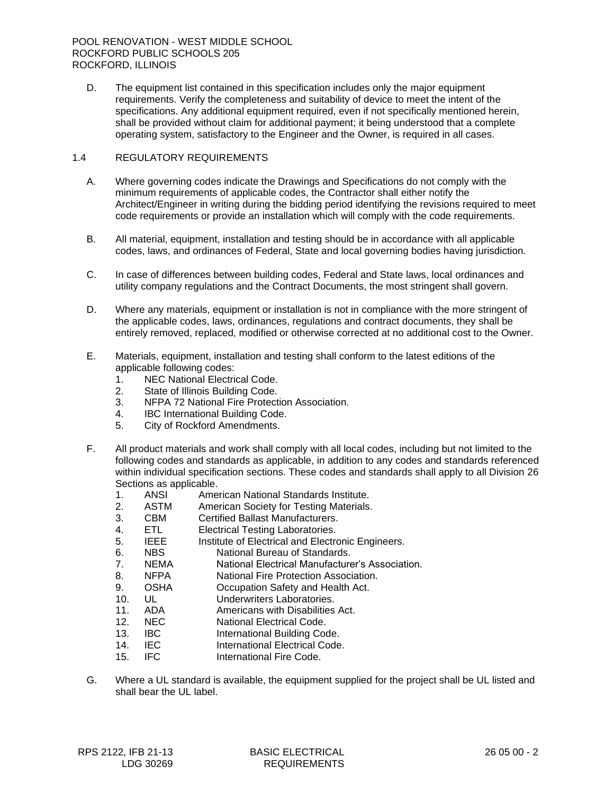D. The equipment list contained in this specification includes only the major equipment requirements. Verify the completeness and suitability of device to meet the intent of the specifications. Any additional equipment required, even if not specifically mentioned herein, shall be provided without claim for additional payment; it being understood that a complete operating system, satisfactory to the Engineer and the Owner, is required in all cases.

# 1.4 REGULATORY REQUIREMENTS

- A. Where governing codes indicate the Drawings and Specifications do not comply with the minimum requirements of applicable codes, the Contractor shall either notify the Architect/Engineer in writing during the bidding period identifying the revisions required to meet code requirements or provide an installation which will comply with the code requirements.
- B. All material, equipment, installation and testing should be in accordance with all applicable codes, laws, and ordinances of Federal, State and local governing bodies having jurisdiction.
- C. In case of differences between building codes, Federal and State laws, local ordinances and utility company regulations and the Contract Documents, the most stringent shall govern.
- D. Where any materials, equipment or installation is not in compliance with the more stringent of the applicable codes, laws, ordinances, regulations and contract documents, they shall be entirely removed, replaced, modified or otherwise corrected at no additional cost to the Owner.
- E. Materials, equipment, installation and testing shall conform to the latest editions of the applicable following codes:
	- 1. NEC National Electrical Code.
	- 2. State of Illinois Building Code.
	- 3. NFPA 72 National Fire Protection Association.
	- 4. IBC International Building Code.
	- 5. City of Rockford Amendments.
- F. All product materials and work shall comply with all local codes, including but not limited to the following codes and standards as applicable, in addition to any codes and standards referenced within individual specification sections. These codes and standards shall apply to all Division 26 Sections as applicable.
	- 1. ANSI American National Standards Institute.
	- 2. ASTM American Society for Testing Materials.
	- 3. CBM Certified Ballast Manufacturers.
	- 4. ETL Electrical Testing Laboratories.
	- 5. **IEEE** Institute of Electrical and Electronic Engineers.
	- 6. NBS National Bureau of Standards.
	- 7. NEMA National Electrical Manufacturer's Association.
	- 8. NFPA National Fire Protection Association.
	- 9. OSHA Occupation Safety and Health Act.
	- 10. UL Underwriters Laboratories.
	- 11. ADA Americans with Disabilities Act.
	- 12. NEC National Electrical Code.
	- 13. IBC International Building Code.
	- 14. IEC International Electrical Code.<br>15. IFC International Fire Code.
	- 15. IFC International Fire Code.
- G. Where a UL standard is available, the equipment supplied for the project shall be UL listed and shall bear the UL label.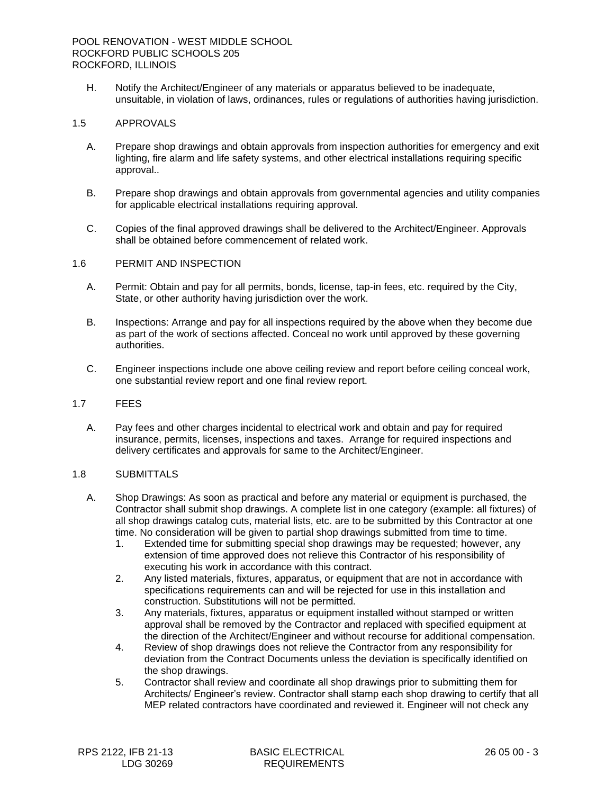H. Notify the Architect/Engineer of any materials or apparatus believed to be inadequate, unsuitable, in violation of laws, ordinances, rules or regulations of authorities having jurisdiction.

# 1.5 APPROVALS

- A. Prepare shop drawings and obtain approvals from inspection authorities for emergency and exit lighting, fire alarm and life safety systems, and other electrical installations requiring specific approval..
- B. Prepare shop drawings and obtain approvals from governmental agencies and utility companies for applicable electrical installations requiring approval.
- C. Copies of the final approved drawings shall be delivered to the Architect/Engineer. Approvals shall be obtained before commencement of related work.

#### 1.6 PERMIT AND INSPECTION

- A. Permit: Obtain and pay for all permits, bonds, license, tap-in fees, etc. required by the City, State, or other authority having jurisdiction over the work.
- B. Inspections: Arrange and pay for all inspections required by the above when they become due as part of the work of sections affected. Conceal no work until approved by these governing authorities.
- C. Engineer inspections include one above ceiling review and report before ceiling conceal work, one substantial review report and one final review report.

#### 1.7 FEES

A. Pay fees and other charges incidental to electrical work and obtain and pay for required insurance, permits, licenses, inspections and taxes. Arrange for required inspections and delivery certificates and approvals for same to the Architect/Engineer.

#### 1.8 SUBMITTALS

- A. Shop Drawings: As soon as practical and before any material or equipment is purchased, the Contractor shall submit shop drawings. A complete list in one category (example: all fixtures) of all shop drawings catalog cuts, material lists, etc. are to be submitted by this Contractor at one time. No consideration will be given to partial shop drawings submitted from time to time.
	- 1. Extended time for submitting special shop drawings may be requested; however, any extension of time approved does not relieve this Contractor of his responsibility of executing his work in accordance with this contract.
	- 2. Any listed materials, fixtures, apparatus, or equipment that are not in accordance with specifications requirements can and will be rejected for use in this installation and construction. Substitutions will not be permitted.
	- 3. Any materials, fixtures, apparatus or equipment installed without stamped or written approval shall be removed by the Contractor and replaced with specified equipment at the direction of the Architect/Engineer and without recourse for additional compensation.
	- 4. Review of shop drawings does not relieve the Contractor from any responsibility for deviation from the Contract Documents unless the deviation is specifically identified on the shop drawings.
	- 5. Contractor shall review and coordinate all shop drawings prior to submitting them for Architects/ Engineer's review. Contractor shall stamp each shop drawing to certify that all MEP related contractors have coordinated and reviewed it. Engineer will not check any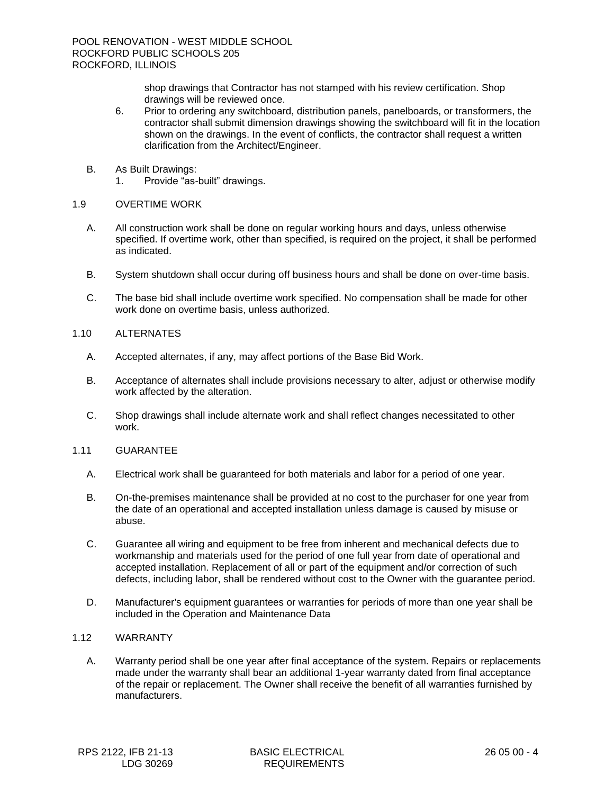shop drawings that Contractor has not stamped with his review certification. Shop drawings will be reviewed once.

- 6. Prior to ordering any switchboard, distribution panels, panelboards, or transformers, the contractor shall submit dimension drawings showing the switchboard will fit in the location shown on the drawings. In the event of conflicts, the contractor shall request a written clarification from the Architect/Engineer.
- B. As Built Drawings:
	- 1. Provide "as-built" drawings.

# 1.9 OVERTIME WORK

- A. All construction work shall be done on regular working hours and days, unless otherwise specified. If overtime work, other than specified, is required on the project, it shall be performed as indicated.
- B. System shutdown shall occur during off business hours and shall be done on over-time basis.
- C. The base bid shall include overtime work specified. No compensation shall be made for other work done on overtime basis, unless authorized.

# 1.10 ALTERNATES

- A. Accepted alternates, if any, may affect portions of the Base Bid Work.
- B. Acceptance of alternates shall include provisions necessary to alter, adjust or otherwise modify work affected by the alteration.
- C. Shop drawings shall include alternate work and shall reflect changes necessitated to other work.

### 1.11 GUARANTEE

- A. Electrical work shall be guaranteed for both materials and labor for a period of one year.
- B. On-the-premises maintenance shall be provided at no cost to the purchaser for one year from the date of an operational and accepted installation unless damage is caused by misuse or abuse.
- C. Guarantee all wiring and equipment to be free from inherent and mechanical defects due to workmanship and materials used for the period of one full year from date of operational and accepted installation. Replacement of all or part of the equipment and/or correction of such defects, including labor, shall be rendered without cost to the Owner with the guarantee period.
- D. Manufacturer's equipment guarantees or warranties for periods of more than one year shall be included in the Operation and Maintenance Data

### 1.12 WARRANTY

A. Warranty period shall be one year after final acceptance of the system. Repairs or replacements made under the warranty shall bear an additional 1-year warranty dated from final acceptance of the repair or replacement. The Owner shall receive the benefit of all warranties furnished by manufacturers.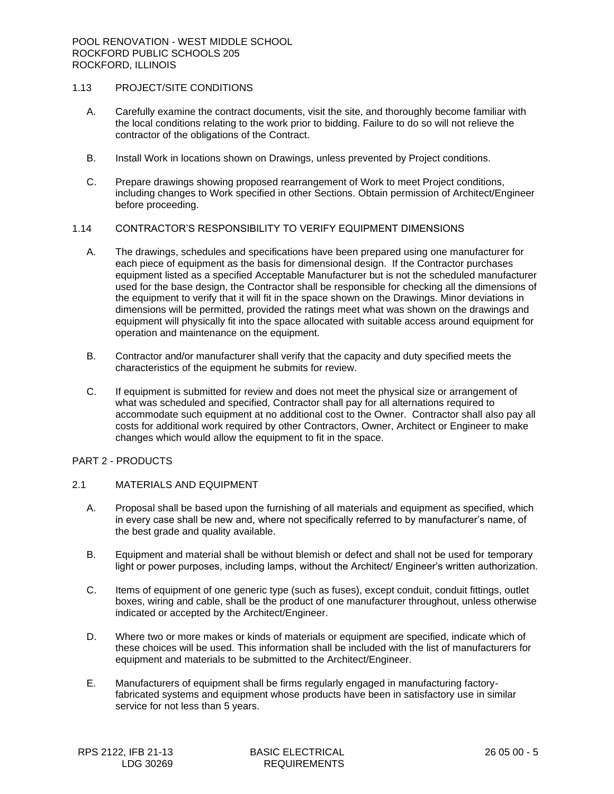# 1.13 PROJECT/SITE CONDITIONS

- A. Carefully examine the contract documents, visit the site, and thoroughly become familiar with the local conditions relating to the work prior to bidding. Failure to do so will not relieve the contractor of the obligations of the Contract.
- B. Install Work in locations shown on Drawings, unless prevented by Project conditions.
- C. Prepare drawings showing proposed rearrangement of Work to meet Project conditions, including changes to Work specified in other Sections. Obtain permission of Architect/Engineer before proceeding.

# 1.14 CONTRACTOR'S RESPONSIBILITY TO VERIFY EQUIPMENT DIMENSIONS

- A. The drawings, schedules and specifications have been prepared using one manufacturer for each piece of equipment as the basis for dimensional design. If the Contractor purchases equipment listed as a specified Acceptable Manufacturer but is not the scheduled manufacturer used for the base design, the Contractor shall be responsible for checking all the dimensions of the equipment to verify that it will fit in the space shown on the Drawings. Minor deviations in dimensions will be permitted, provided the ratings meet what was shown on the drawings and equipment will physically fit into the space allocated with suitable access around equipment for operation and maintenance on the equipment.
- B. Contractor and/or manufacturer shall verify that the capacity and duty specified meets the characteristics of the equipment he submits for review.
- C. If equipment is submitted for review and does not meet the physical size or arrangement of what was scheduled and specified, Contractor shall pay for all alternations required to accommodate such equipment at no additional cost to the Owner. Contractor shall also pay all costs for additional work required by other Contractors, Owner, Architect or Engineer to make changes which would allow the equipment to fit in the space.

### PART 2 - PRODUCTS

# 2.1 MATERIALS AND EQUIPMENT

- A. Proposal shall be based upon the furnishing of all materials and equipment as specified, which in every case shall be new and, where not specifically referred to by manufacturer's name, of the best grade and quality available.
- B. Equipment and material shall be without blemish or defect and shall not be used for temporary light or power purposes, including lamps, without the Architect/ Engineer's written authorization.
- C. Items of equipment of one generic type (such as fuses), except conduit, conduit fittings, outlet boxes, wiring and cable, shall be the product of one manufacturer throughout, unless otherwise indicated or accepted by the Architect/Engineer.
- D. Where two or more makes or kinds of materials or equipment are specified, indicate which of these choices will be used. This information shall be included with the list of manufacturers for equipment and materials to be submitted to the Architect/Engineer.
- E. Manufacturers of equipment shall be firms regularly engaged in manufacturing factoryfabricated systems and equipment whose products have been in satisfactory use in similar service for not less than 5 years.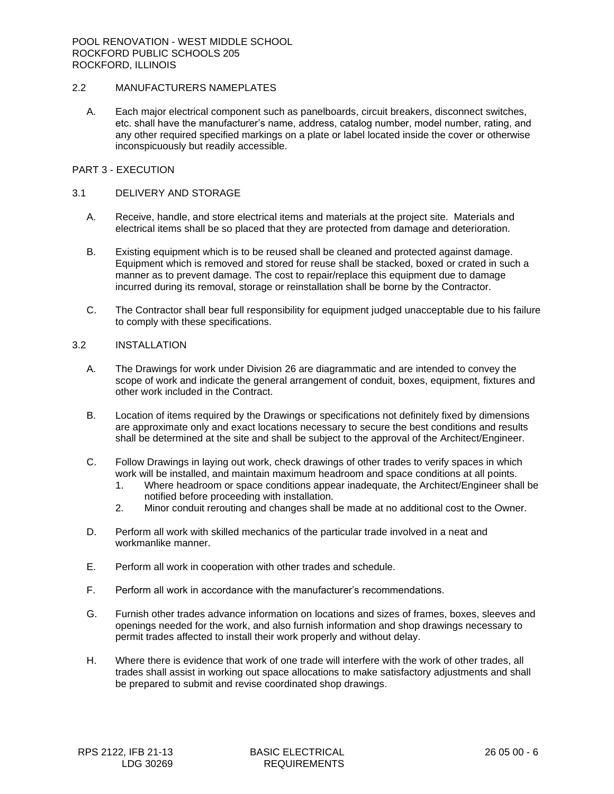# 2.2 MANUFACTURERS NAMEPLATES

A. Each major electrical component such as panelboards, circuit breakers, disconnect switches, etc. shall have the manufacturer's name, address, catalog number, model number, rating, and any other required specified markings on a plate or label located inside the cover or otherwise inconspicuously but readily accessible.

#### PART 3 - EXECUTION

## 3.1 DELIVERY AND STORAGE

- A. Receive, handle, and store electrical items and materials at the project site. Materials and electrical items shall be so placed that they are protected from damage and deterioration.
- B. Existing equipment which is to be reused shall be cleaned and protected against damage. Equipment which is removed and stored for reuse shall be stacked, boxed or crated in such a manner as to prevent damage. The cost to repair/replace this equipment due to damage incurred during its removal, storage or reinstallation shall be borne by the Contractor.
- C. The Contractor shall bear full responsibility for equipment judged unacceptable due to his failure to comply with these specifications.

#### 3.2 INSTALLATION

- A. The Drawings for work under Division 26 are diagrammatic and are intended to convey the scope of work and indicate the general arrangement of conduit, boxes, equipment, fixtures and other work included in the Contract.
- B. Location of items required by the Drawings or specifications not definitely fixed by dimensions are approximate only and exact locations necessary to secure the best conditions and results shall be determined at the site and shall be subject to the approval of the Architect/Engineer.
- C. Follow Drawings in laying out work, check drawings of other trades to verify spaces in which work will be installed, and maintain maximum headroom and space conditions at all points.
	- 1. Where headroom or space conditions appear inadequate, the Architect/Engineer shall be notified before proceeding with installation.
	- 2. Minor conduit rerouting and changes shall be made at no additional cost to the Owner.
- D. Perform all work with skilled mechanics of the particular trade involved in a neat and workmanlike manner.
- E. Perform all work in cooperation with other trades and schedule.
- F. Perform all work in accordance with the manufacturer's recommendations.
- G. Furnish other trades advance information on locations and sizes of frames, boxes, sleeves and openings needed for the work, and also furnish information and shop drawings necessary to permit trades affected to install their work properly and without delay.
- H. Where there is evidence that work of one trade will interfere with the work of other trades, all trades shall assist in working out space allocations to make satisfactory adjustments and shall be prepared to submit and revise coordinated shop drawings.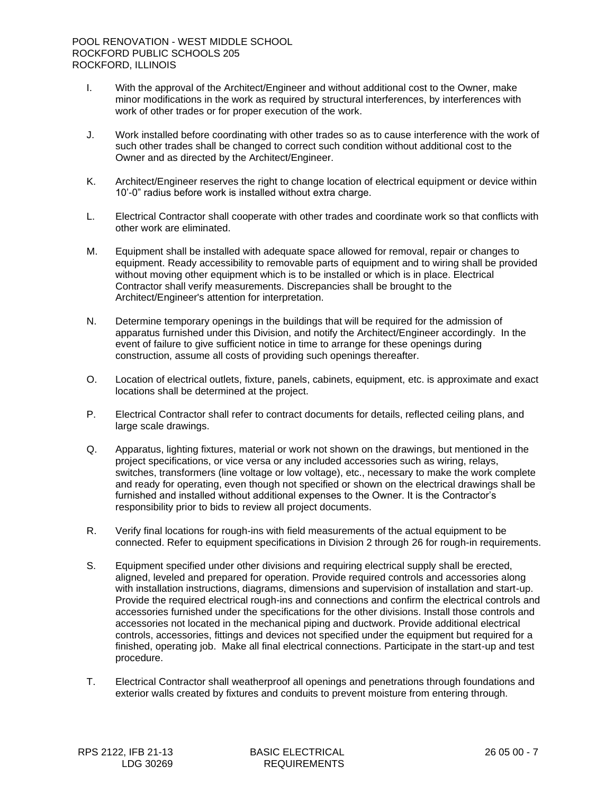- I. With the approval of the Architect/Engineer and without additional cost to the Owner, make minor modifications in the work as required by structural interferences, by interferences with work of other trades or for proper execution of the work.
- J. Work installed before coordinating with other trades so as to cause interference with the work of such other trades shall be changed to correct such condition without additional cost to the Owner and as directed by the Architect/Engineer.
- K. Architect/Engineer reserves the right to change location of electrical equipment or device within 10'-0" radius before work is installed without extra charge.
- L. Electrical Contractor shall cooperate with other trades and coordinate work so that conflicts with other work are eliminated.
- M. Equipment shall be installed with adequate space allowed for removal, repair or changes to equipment. Ready accessibility to removable parts of equipment and to wiring shall be provided without moving other equipment which is to be installed or which is in place. Electrical Contractor shall verify measurements. Discrepancies shall be brought to the Architect/Engineer's attention for interpretation.
- N. Determine temporary openings in the buildings that will be required for the admission of apparatus furnished under this Division, and notify the Architect/Engineer accordingly. In the event of failure to give sufficient notice in time to arrange for these openings during construction, assume all costs of providing such openings thereafter.
- O. Location of electrical outlets, fixture, panels, cabinets, equipment, etc. is approximate and exact locations shall be determined at the project.
- P. Electrical Contractor shall refer to contract documents for details, reflected ceiling plans, and large scale drawings.
- Q. Apparatus, lighting fixtures, material or work not shown on the drawings, but mentioned in the project specifications, or vice versa or any included accessories such as wiring, relays, switches, transformers (line voltage or low voltage), etc., necessary to make the work complete and ready for operating, even though not specified or shown on the electrical drawings shall be furnished and installed without additional expenses to the Owner. It is the Contractor's responsibility prior to bids to review all project documents.
- R. Verify final locations for rough-ins with field measurements of the actual equipment to be connected. Refer to equipment specifications in Division 2 through 26 for rough-in requirements.
- S. Equipment specified under other divisions and requiring electrical supply shall be erected, aligned, leveled and prepared for operation. Provide required controls and accessories along with installation instructions, diagrams, dimensions and supervision of installation and start-up. Provide the required electrical rough-ins and connections and confirm the electrical controls and accessories furnished under the specifications for the other divisions. Install those controls and accessories not located in the mechanical piping and ductwork. Provide additional electrical controls, accessories, fittings and devices not specified under the equipment but required for a finished, operating job. Make all final electrical connections. Participate in the start-up and test procedure.
- T. Electrical Contractor shall weatherproof all openings and penetrations through foundations and exterior walls created by fixtures and conduits to prevent moisture from entering through.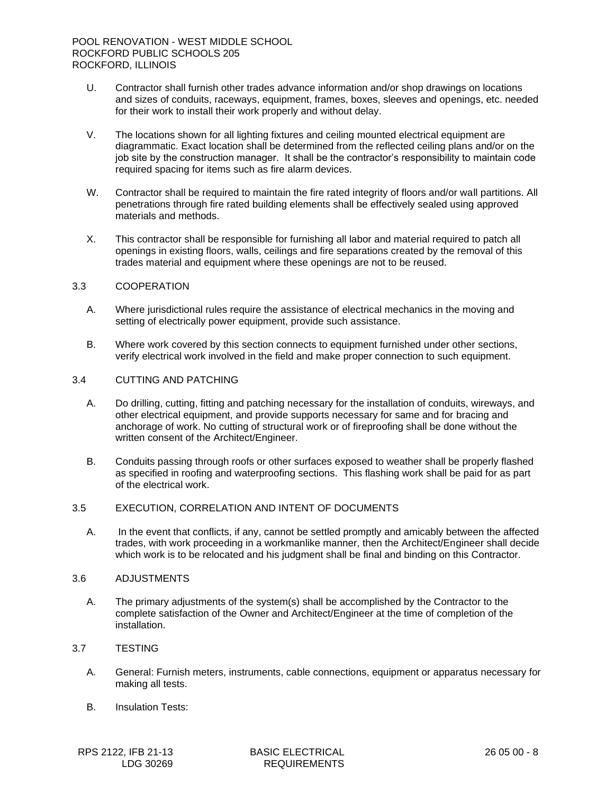- U. Contractor shall furnish other trades advance information and/or shop drawings on locations and sizes of conduits, raceways, equipment, frames, boxes, sleeves and openings, etc. needed for their work to install their work properly and without delay.
- V. The locations shown for all lighting fixtures and ceiling mounted electrical equipment are diagrammatic. Exact location shall be determined from the reflected ceiling plans and/or on the job site by the construction manager. It shall be the contractor's responsibility to maintain code required spacing for items such as fire alarm devices.
- W. Contractor shall be required to maintain the fire rated integrity of floors and/or wall partitions. All penetrations through fire rated building elements shall be effectively sealed using approved materials and methods.
- X. This contractor shall be responsible for furnishing all labor and material required to patch all openings in existing floors, walls, ceilings and fire separations created by the removal of this trades material and equipment where these openings are not to be reused.

### 3.3 COOPERATION

- A. Where jurisdictional rules require the assistance of electrical mechanics in the moving and setting of electrically power equipment, provide such assistance.
- B. Where work covered by this section connects to equipment furnished under other sections, verify electrical work involved in the field and make proper connection to such equipment.

# 3.4 CUTTING AND PATCHING

- A. Do drilling, cutting, fitting and patching necessary for the installation of conduits, wireways, and other electrical equipment, and provide supports necessary for same and for bracing and anchorage of work. No cutting of structural work or of fireproofing shall be done without the written consent of the Architect/Engineer.
- B. Conduits passing through roofs or other surfaces exposed to weather shall be properly flashed as specified in roofing and waterproofing sections. This flashing work shall be paid for as part of the electrical work.

# 3.5 EXECUTION, CORRELATION AND INTENT OF DOCUMENTS

A. In the event that conflicts, if any, cannot be settled promptly and amicably between the affected trades, with work proceeding in a workmanlike manner, then the Architect/Engineer shall decide which work is to be relocated and his judgment shall be final and binding on this Contractor.

## 3.6 ADJUSTMENTS

A. The primary adjustments of the system(s) shall be accomplished by the Contractor to the complete satisfaction of the Owner and Architect/Engineer at the time of completion of the installation.

# 3.7 TESTING

- A. General: Furnish meters, instruments, cable connections, equipment or apparatus necessary for making all tests.
- B. Insulation Tests: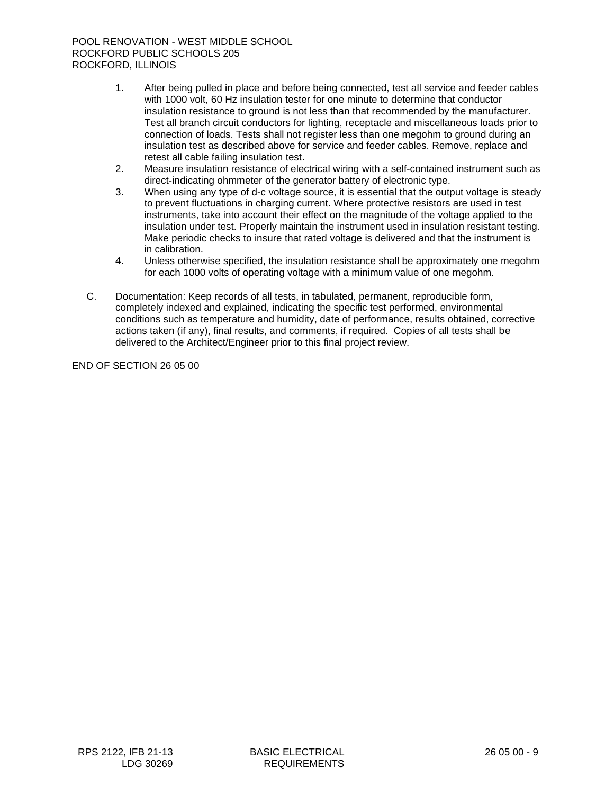- 1. After being pulled in place and before being connected, test all service and feeder cables with 1000 volt, 60 Hz insulation tester for one minute to determine that conductor insulation resistance to ground is not less than that recommended by the manufacturer. Test all branch circuit conductors for lighting, receptacle and miscellaneous loads prior to connection of loads. Tests shall not register less than one megohm to ground during an insulation test as described above for service and feeder cables. Remove, replace and retest all cable failing insulation test.
- 2. Measure insulation resistance of electrical wiring with a self-contained instrument such as direct-indicating ohmmeter of the generator battery of electronic type.
- 3. When using any type of d-c voltage source, it is essential that the output voltage is steady to prevent fluctuations in charging current. Where protective resistors are used in test instruments, take into account their effect on the magnitude of the voltage applied to the insulation under test. Properly maintain the instrument used in insulation resistant testing. Make periodic checks to insure that rated voltage is delivered and that the instrument is in calibration.
- 4. Unless otherwise specified, the insulation resistance shall be approximately one megohm for each 1000 volts of operating voltage with a minimum value of one megohm.
- C. Documentation: Keep records of all tests, in tabulated, permanent, reproducible form, completely indexed and explained, indicating the specific test performed, environmental conditions such as temperature and humidity, date of performance, results obtained, corrective actions taken (if any), final results, and comments, if required. Copies of all tests shall be delivered to the Architect/Engineer prior to this final project review.

END OF SECTION 26 05 00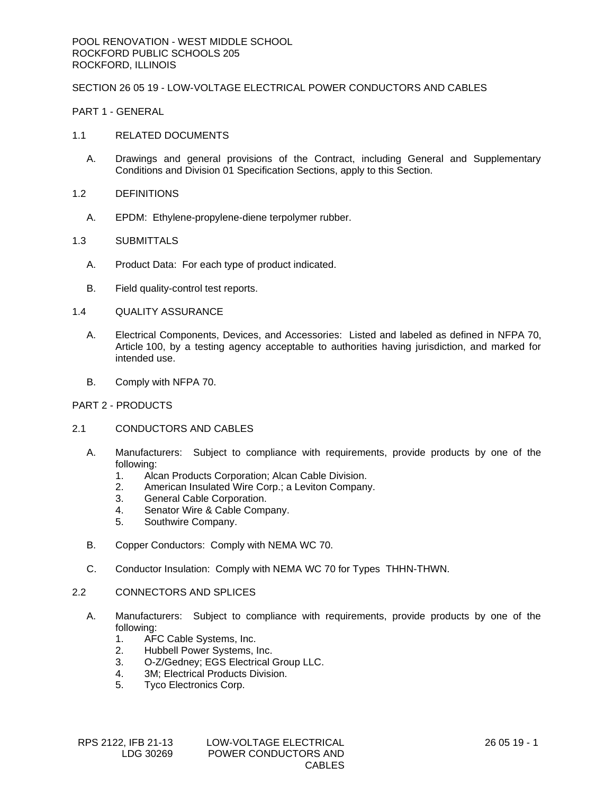# SECTION 26 05 19 - LOW-VOLTAGE ELECTRICAL POWER CONDUCTORS AND CABLES

PART 1 - GENERAL

### 1.1 RELATED DOCUMENTS

- A. Drawings and general provisions of the Contract, including General and Supplementary Conditions and Division 01 Specification Sections, apply to this Section.
- 1.2 DEFINITIONS
	- A. EPDM: Ethylene-propylene-diene terpolymer rubber.

#### 1.3 SUBMITTALS

- A. Product Data: For each type of product indicated.
- B. Field quality-control test reports.
- 1.4 QUALITY ASSURANCE
	- A. Electrical Components, Devices, and Accessories: Listed and labeled as defined in NFPA 70, Article 100, by a testing agency acceptable to authorities having jurisdiction, and marked for intended use.
	- B. Comply with NFPA 70.

#### PART 2 - PRODUCTS

#### 2.1 CONDUCTORS AND CABLES

- A. Manufacturers: Subject to compliance with requirements, provide products by one of the following:
	- 1. Alcan Products Corporation; Alcan Cable Division.
	- 2. American Insulated Wire Corp.; a Leviton Company.
	- 3. General Cable Corporation.
	- 4. Senator Wire & Cable Company.
	- 5. Southwire Company.
- B. Copper Conductors: Comply with NEMA WC 70.
- C. Conductor Insulation: Comply with NEMA WC 70 for Types THHN-THWN.

# 2.2 CONNECTORS AND SPLICES

- A. Manufacturers: Subject to compliance with requirements, provide products by one of the following:
	- 1. AFC Cable Systems, Inc.
	- 2. Hubbell Power Systems, Inc.
	- 3. O-Z/Gedney; EGS Electrical Group LLC.
	- 4. 3M; Electrical Products Division.
	- 5. Tyco Electronics Corp.

| RPS 2122, IFB 21-13 |
|---------------------|
| LDG 30269           |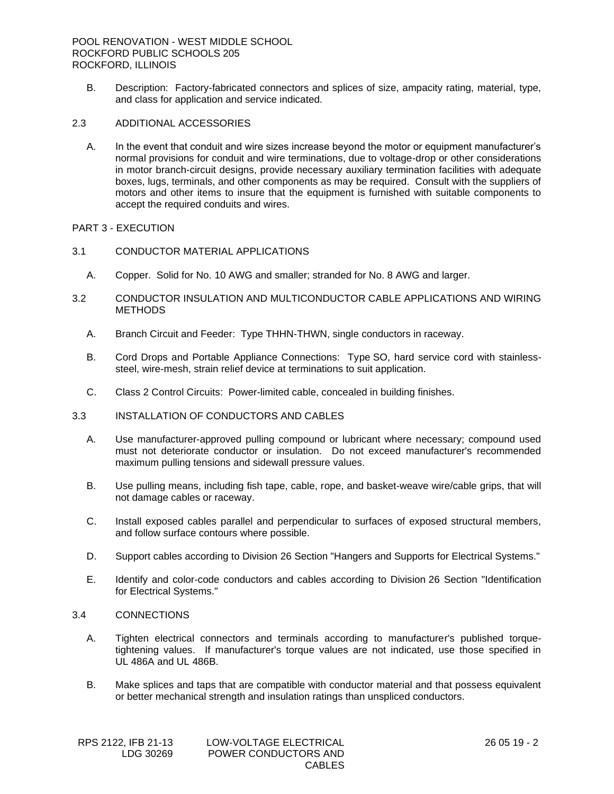B. Description: Factory-fabricated connectors and splices of size, ampacity rating, material, type, and class for application and service indicated.

# 2.3 ADDITIONAL ACCESSORIES

A. In the event that conduit and wire sizes increase beyond the motor or equipment manufacturer's normal provisions for conduit and wire terminations, due to voltage-drop or other considerations in motor branch-circuit designs, provide necessary auxiliary termination facilities with adequate boxes, lugs, terminals, and other components as may be required. Consult with the suppliers of motors and other items to insure that the equipment is furnished with suitable components to accept the required conduits and wires.

### PART 3 - EXECUTION

- 3.1 CONDUCTOR MATERIAL APPLICATIONS
	- A. Copper. Solid for No. 10 AWG and smaller; stranded for No. 8 AWG and larger.
- 3.2 CONDUCTOR INSULATION AND MULTICONDUCTOR CABLE APPLICATIONS AND WIRING **METHODS** 
	- A. Branch Circuit and Feeder: Type THHN-THWN, single conductors in raceway.
	- B. Cord Drops and Portable Appliance Connections: Type SO, hard service cord with stainlesssteel, wire-mesh, strain relief device at terminations to suit application.
	- C. Class 2 Control Circuits: Power-limited cable, concealed in building finishes.
- 3.3 INSTALLATION OF CONDUCTORS AND CABLES
	- A. Use manufacturer-approved pulling compound or lubricant where necessary; compound used must not deteriorate conductor or insulation. Do not exceed manufacturer's recommended maximum pulling tensions and sidewall pressure values.
	- B. Use pulling means, including fish tape, cable, rope, and basket-weave wire/cable grips, that will not damage cables or raceway.
	- C. Install exposed cables parallel and perpendicular to surfaces of exposed structural members, and follow surface contours where possible.
	- D. Support cables according to Division 26 Section "Hangers and Supports for Electrical Systems."
	- E. Identify and color-code conductors and cables according to Division 26 Section "Identification for Electrical Systems."

# 3.4 CONNECTIONS

- A. Tighten electrical connectors and terminals according to manufacturer's published torquetightening values. If manufacturer's torque values are not indicated, use those specified in UL 486A and UL 486B.
- B. Make splices and taps that are compatible with conductor material and that possess equivalent or better mechanical strength and insulation ratings than unspliced conductors.

| RPS 2122. IFB 21-13 | LOW-VOLTAGE ELECTRICAL |
|---------------------|------------------------|
| LDG 30269           | POWER CONDUCTORS AND   |
|                     | <b>CABLES</b>          |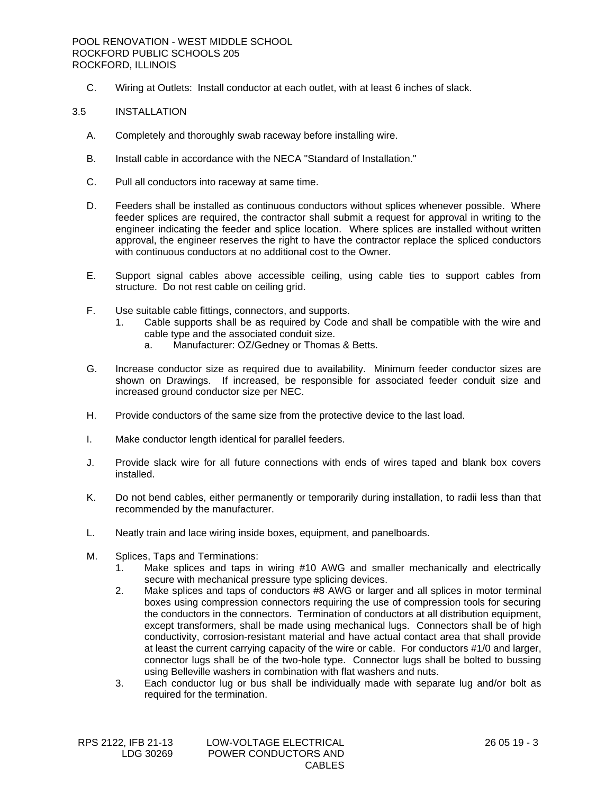C. Wiring at Outlets: Install conductor at each outlet, with at least 6 inches of slack.

# 3.5 INSTALLATION

- A. Completely and thoroughly swab raceway before installing wire.
- B. Install cable in accordance with the NECA "Standard of Installation."
- C. Pull all conductors into raceway at same time.
- D. Feeders shall be installed as continuous conductors without splices whenever possible. Where feeder splices are required, the contractor shall submit a request for approval in writing to the engineer indicating the feeder and splice location. Where splices are installed without written approval, the engineer reserves the right to have the contractor replace the spliced conductors with continuous conductors at no additional cost to the Owner.
- E. Support signal cables above accessible ceiling, using cable ties to support cables from structure. Do not rest cable on ceiling grid.
- F. Use suitable cable fittings, connectors, and supports.
	- 1. Cable supports shall be as required by Code and shall be compatible with the wire and cable type and the associated conduit size.
		- a. Manufacturer: OZ/Gedney or Thomas & Betts.
- G. Increase conductor size as required due to availability. Minimum feeder conductor sizes are shown on Drawings. If increased, be responsible for associated feeder conduit size and increased ground conductor size per NEC.
- H. Provide conductors of the same size from the protective device to the last load.
- I. Make conductor length identical for parallel feeders.
- J. Provide slack wire for all future connections with ends of wires taped and blank box covers installed.
- K. Do not bend cables, either permanently or temporarily during installation, to radii less than that recommended by the manufacturer.
- L. Neatly train and lace wiring inside boxes, equipment, and panelboards.
- M. Splices, Taps and Terminations:
	- 1. Make splices and taps in wiring #10 AWG and smaller mechanically and electrically secure with mechanical pressure type splicing devices.
	- 2. Make splices and taps of conductors #8 AWG or larger and all splices in motor terminal boxes using compression connectors requiring the use of compression tools for securing the conductors in the connectors. Termination of conductors at all distribution equipment, except transformers, shall be made using mechanical lugs. Connectors shall be of high conductivity, corrosion-resistant material and have actual contact area that shall provide at least the current carrying capacity of the wire or cable. For conductors #1/0 and larger, connector lugs shall be of the two-hole type. Connector lugs shall be bolted to bussing using Belleville washers in combination with flat washers and nuts.
	- 3. Each conductor lug or bus shall be individually made with separate lug and/or bolt as required for the termination.

| RPS 2122, IFB 21-13 |
|---------------------|
| LDG 30269           |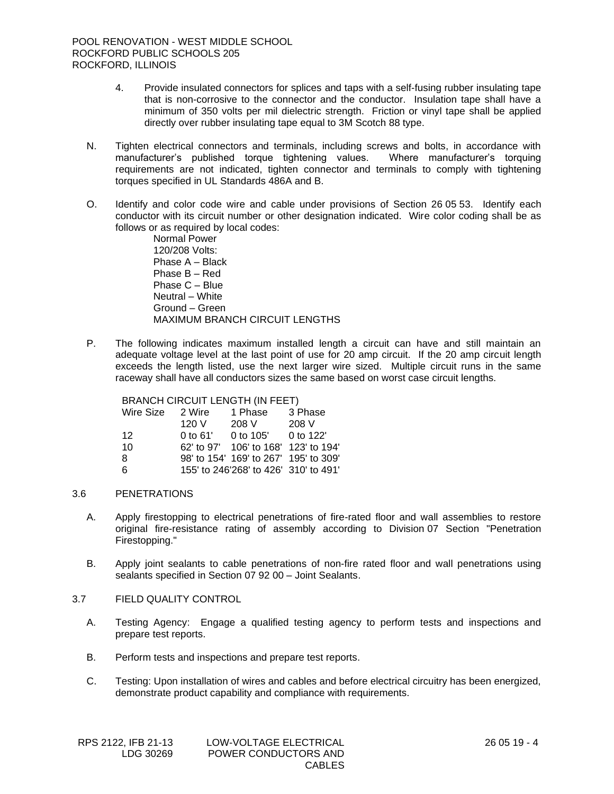- 4. Provide insulated connectors for splices and taps with a self-fusing rubber insulating tape that is non-corrosive to the connector and the conductor. Insulation tape shall have a minimum of 350 volts per mil dielectric strength. Friction or vinyl tape shall be applied directly over rubber insulating tape equal to 3M Scotch 88 type.
- N. Tighten electrical connectors and terminals, including screws and bolts, in accordance with manufacturer's published torque tightening values. Where manufacturer's torquing requirements are not indicated, tighten connector and terminals to comply with tightening torques specified in UL Standards 486A and B.
- O. Identify and color code wire and cable under provisions of Section 26 05 53. Identify each conductor with its circuit number or other designation indicated. Wire color coding shall be as follows or as required by local codes:

Normal Power 120/208 Volts: Phase A – Black Phase B – Red Phase C – Blue Neutral – White Ground – Green MAXIMUM BRANCH CIRCUIT LENGTHS

P. The following indicates maximum installed length a circuit can have and still maintain an adequate voltage level at the last point of use for 20 amp circuit. If the 20 amp circuit length exceeds the length listed, use the next larger wire sized. Multiple circuit runs in the same raceway shall have all conductors sizes the same based on worst case circuit lengths.

BRANCH CIRCUIT LENGTH (IN FEET)

| Wire Size | 2 Wire     | 1 Phase                               | 3 Phase |
|-----------|------------|---------------------------------------|---------|
|           | 120V       | 208 V                                 | 208 V   |
| 12        | 0 to $61'$ | 0 to 105' 0 to 122'                   |         |
| 10        |            | 62' to 97' 106' to 168' 123' to 194'  |         |
| 8         |            | 98' to 154' 169' to 267' 195' to 309' |         |
| 6         |            | 155' to 246'268' to 426' 310' to 491' |         |

### 3.6 PENETRATIONS

- A. Apply firestopping to electrical penetrations of fire-rated floor and wall assemblies to restore original fire-resistance rating of assembly according to Division 07 Section "Penetration Firestopping."
- B. Apply joint sealants to cable penetrations of non-fire rated floor and wall penetrations using sealants specified in Section 07 92 00 – Joint Sealants.

### 3.7 FIELD QUALITY CONTROL

- A. Testing Agency: Engage a qualified testing agency to perform tests and inspections and prepare test reports.
- B. Perform tests and inspections and prepare test reports.
- C. Testing: Upon installation of wires and cables and before electrical circuitry has been energized, demonstrate product capability and compliance with requirements.

| RPS 2122. IFB 21-13 | LOW-VOLTAGE ELECTRICAL |
|---------------------|------------------------|
| LDG 30269           | POWER CONDUCTORS AND   |
|                     | <b>CABLES</b>          |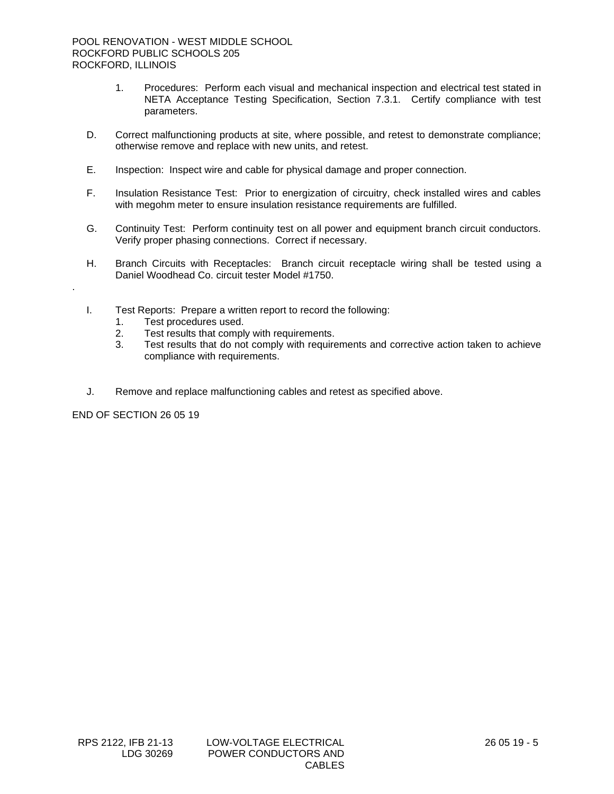- 1. Procedures: Perform each visual and mechanical inspection and electrical test stated in NETA Acceptance Testing Specification, Section 7.3.1. Certify compliance with test parameters.
- D. Correct malfunctioning products at site, where possible, and retest to demonstrate compliance; otherwise remove and replace with new units, and retest.
- E. Inspection: Inspect wire and cable for physical damage and proper connection.
- F. Insulation Resistance Test: Prior to energization of circuitry, check installed wires and cables with megohm meter to ensure insulation resistance requirements are fulfilled.
- G. Continuity Test: Perform continuity test on all power and equipment branch circuit conductors. Verify proper phasing connections. Correct if necessary.
- H. Branch Circuits with Receptacles: Branch circuit receptacle wiring shall be tested using a Daniel Woodhead Co. circuit tester Model #1750.
- I. Test Reports: Prepare a written report to record the following:
	- 1. Test procedures used.
	- 2. Test results that comply with requirements.
	- 3. Test results that do not comply with requirements and corrective action taken to achieve compliance with requirements.
- J. Remove and replace malfunctioning cables and retest as specified above.

END OF SECTION 26 05 19

.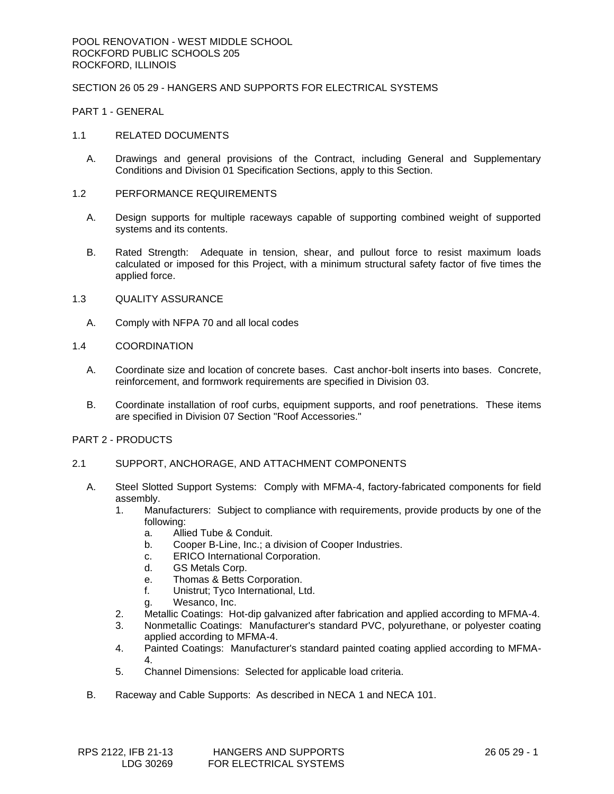# SECTION 26 05 29 - HANGERS AND SUPPORTS FOR ELECTRICAL SYSTEMS

PART 1 - GENERAL

#### 1.1 RELATED DOCUMENTS

A. Drawings and general provisions of the Contract, including General and Supplementary Conditions and Division 01 Specification Sections, apply to this Section.

#### 1.2 PERFORMANCE REQUIREMENTS

- A. Design supports for multiple raceways capable of supporting combined weight of supported systems and its contents.
- B. Rated Strength: Adequate in tension, shear, and pullout force to resist maximum loads calculated or imposed for this Project, with a minimum structural safety factor of five times the applied force.
- 1.3 QUALITY ASSURANCE
	- A. Comply with NFPA 70 and all local codes

#### 1.4 COORDINATION

- A. Coordinate size and location of concrete bases. Cast anchor-bolt inserts into bases. Concrete, reinforcement, and formwork requirements are specified in Division 03.
- B. Coordinate installation of roof curbs, equipment supports, and roof penetrations. These items are specified in Division 07 Section "Roof Accessories."

#### PART 2 - PRODUCTS

- 2.1 SUPPORT, ANCHORAGE, AND ATTACHMENT COMPONENTS
	- A. Steel Slotted Support Systems: Comply with MFMA-4, factory-fabricated components for field assembly.
		- 1. Manufacturers: Subject to compliance with requirements, provide products by one of the following:
			- a. Allied Tube & Conduit.
			- b. Cooper B-Line, Inc.; a division of Cooper Industries.
			- c. ERICO International Corporation.
			- d. GS Metals Corp.
			- e. Thomas & Betts Corporation.
			- f. Unistrut; Tyco International, Ltd.
			- g. Wesanco, Inc.
		- 2. Metallic Coatings: Hot-dip galvanized after fabrication and applied according to MFMA-4.
		- 3. Nonmetallic Coatings: Manufacturer's standard PVC, polyurethane, or polyester coating applied according to MFMA-4.
		- 4. Painted Coatings: Manufacturer's standard painted coating applied according to MFMA-4.
		- 5. Channel Dimensions: Selected for applicable load criteria.
	- B. Raceway and Cable Supports: As described in NECA 1 and NECA 101.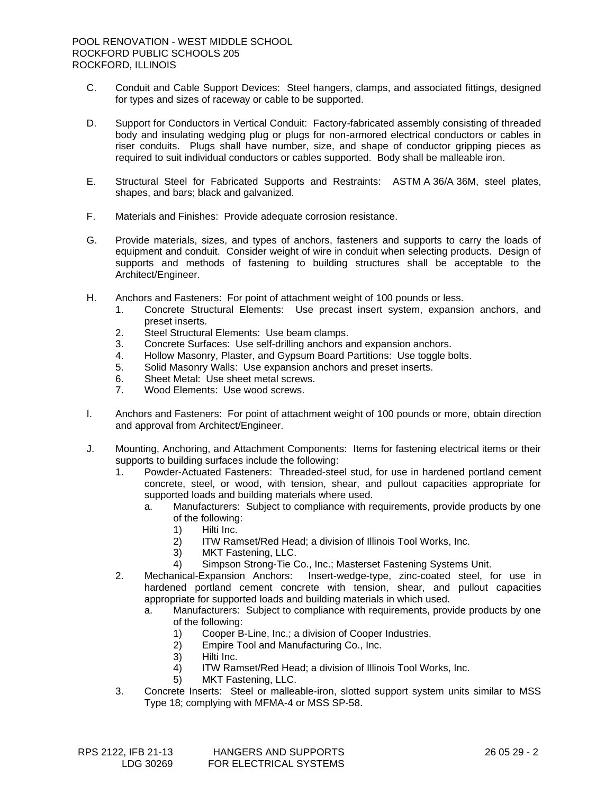- C. Conduit and Cable Support Devices: Steel hangers, clamps, and associated fittings, designed for types and sizes of raceway or cable to be supported.
- D. Support for Conductors in Vertical Conduit: Factory-fabricated assembly consisting of threaded body and insulating wedging plug or plugs for non-armored electrical conductors or cables in riser conduits. Plugs shall have number, size, and shape of conductor gripping pieces as required to suit individual conductors or cables supported. Body shall be malleable iron.
- E. Structural Steel for Fabricated Supports and Restraints: ASTM A 36/A 36M, steel plates, shapes, and bars; black and galvanized.
- F. Materials and Finishes: Provide adequate corrosion resistance.
- G. Provide materials, sizes, and types of anchors, fasteners and supports to carry the loads of equipment and conduit. Consider weight of wire in conduit when selecting products. Design of supports and methods of fastening to building structures shall be acceptable to the Architect/Engineer.
- H. Anchors and Fasteners: For point of attachment weight of 100 pounds or less.
	- 1. Concrete Structural Elements: Use precast insert system, expansion anchors, and preset inserts.
	- 2. Steel Structural Elements: Use beam clamps.
	- 3. Concrete Surfaces: Use self-drilling anchors and expansion anchors.
	- 4. Hollow Masonry, Plaster, and Gypsum Board Partitions: Use toggle bolts.
	- 5. Solid Masonry Walls: Use expansion anchors and preset inserts.
	- 6. Sheet Metal: Use sheet metal screws.
	- 7. Wood Elements: Use wood screws.
- I. Anchors and Fasteners: For point of attachment weight of 100 pounds or more, obtain direction and approval from Architect/Engineer.
- J. Mounting, Anchoring, and Attachment Components: Items for fastening electrical items or their supports to building surfaces include the following:
	- 1. Powder-Actuated Fasteners: Threaded-steel stud, for use in hardened portland cement concrete, steel, or wood, with tension, shear, and pullout capacities appropriate for supported loads and building materials where used.
		- a. Manufacturers: Subject to compliance with requirements, provide products by one of the following:
			- 1) Hilti Inc.
			- 2) ITW Ramset/Red Head; a division of Illinois Tool Works, Inc.
			- 3) MKT Fastening, LLC.
			- 4) Simpson Strong-Tie Co., Inc.; Masterset Fastening Systems Unit.
	- 2. Mechanical-Expansion Anchors: Insert-wedge-type, zinc-coated steel, for use in hardened portland cement concrete with tension, shear, and pullout capacities appropriate for supported loads and building materials in which used.
		- a. Manufacturers: Subject to compliance with requirements, provide products by one of the following:
			- 1) Cooper B-Line, Inc.; a division of Cooper Industries.
			- 2) Empire Tool and Manufacturing Co., Inc.
			- 3) Hilti Inc.
			- 4) ITW Ramset/Red Head; a division of Illinois Tool Works, Inc.
			- 5) MKT Fastening, LLC.
	- 3. Concrete Inserts: Steel or malleable-iron, slotted support system units similar to MSS Type 18; complying with MFMA-4 or MSS SP-58.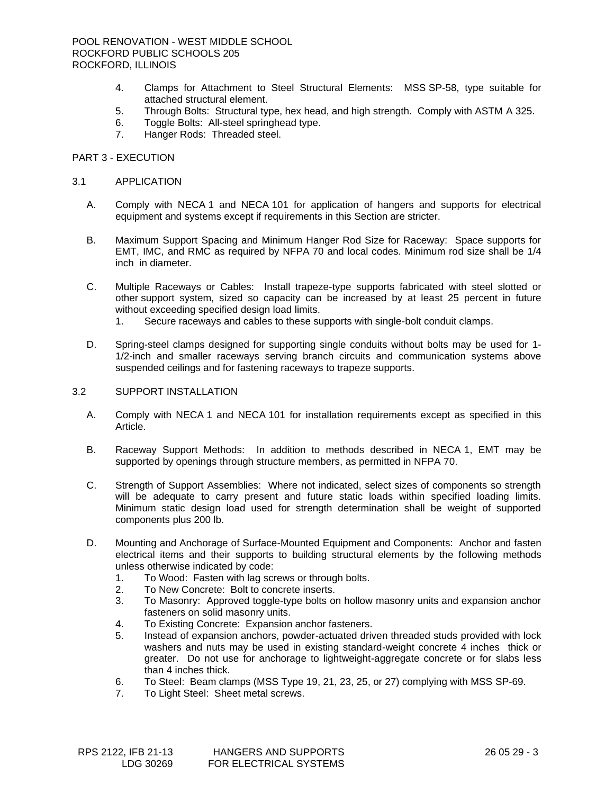- 4. Clamps for Attachment to Steel Structural Elements: MSS SP-58, type suitable for attached structural element.
- 5. Through Bolts: Structural type, hex head, and high strength. Comply with ASTM A 325.
- 6. Toggle Bolts: All-steel springhead type.
- 7. Hanger Rods: Threaded steel.

# PART 3 - EXECUTION

#### 3.1 APPLICATION

- A. Comply with NECA 1 and NECA 101 for application of hangers and supports for electrical equipment and systems except if requirements in this Section are stricter.
- B. Maximum Support Spacing and Minimum Hanger Rod Size for Raceway: Space supports for EMT, IMC, and RMC as required by NFPA 70 and local codes. Minimum rod size shall be 1/4 inch in diameter.
- C. Multiple Raceways or Cables: Install trapeze-type supports fabricated with steel slotted or other support system, sized so capacity can be increased by at least 25 percent in future without exceeding specified design load limits.
	- 1. Secure raceways and cables to these supports with single-bolt conduit clamps.
- D. Spring-steel clamps designed for supporting single conduits without bolts may be used for 1- 1/2-inch and smaller raceways serving branch circuits and communication systems above suspended ceilings and for fastening raceways to trapeze supports.

### 3.2 SUPPORT INSTALLATION

- A. Comply with NECA 1 and NECA 101 for installation requirements except as specified in this Article.
- B. Raceway Support Methods: In addition to methods described in NECA 1, EMT may be supported by openings through structure members, as permitted in NFPA 70.
- C. Strength of Support Assemblies: Where not indicated, select sizes of components so strength will be adequate to carry present and future static loads within specified loading limits. Minimum static design load used for strength determination shall be weight of supported components plus 200 lb.
- D. Mounting and Anchorage of Surface-Mounted Equipment and Components: Anchor and fasten electrical items and their supports to building structural elements by the following methods unless otherwise indicated by code:
	- 1. To Wood: Fasten with lag screws or through bolts.
	- 2. To New Concrete: Bolt to concrete inserts.
	- 3. To Masonry: Approved toggle-type bolts on hollow masonry units and expansion anchor fasteners on solid masonry units.
	- 4. To Existing Concrete: Expansion anchor fasteners.
	- 5. Instead of expansion anchors, powder-actuated driven threaded studs provided with lock washers and nuts may be used in existing standard-weight concrete 4 inches thick or greater. Do not use for anchorage to lightweight-aggregate concrete or for slabs less than 4 inches thick.
	- 6. To Steel: Beam clamps (MSS Type 19, 21, 23, 25, or 27) complying with MSS SP-69.
	- 7. To Light Steel: Sheet metal screws.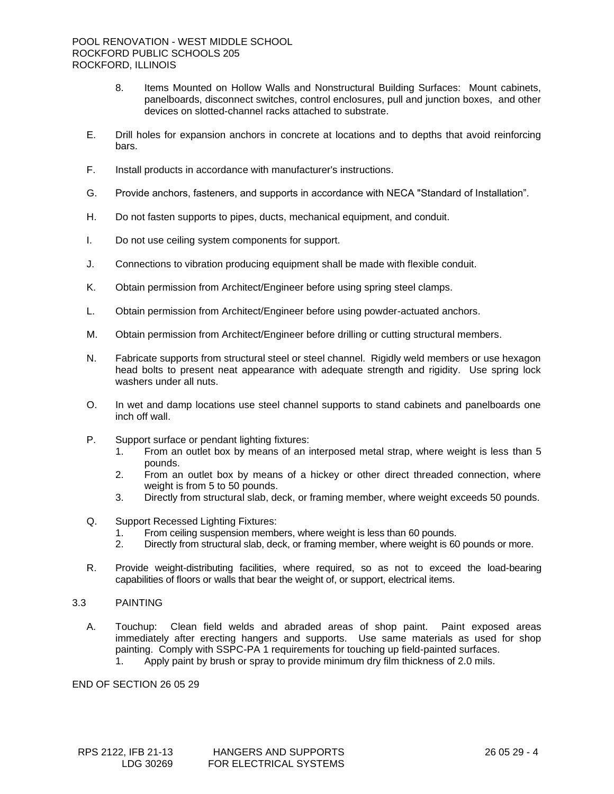- 8. Items Mounted on Hollow Walls and Nonstructural Building Surfaces: Mount cabinets, panelboards, disconnect switches, control enclosures, pull and junction boxes, and other devices on slotted-channel racks attached to substrate.
- E. Drill holes for expansion anchors in concrete at locations and to depths that avoid reinforcing bars.
- F. Install products in accordance with manufacturer's instructions.
- G. Provide anchors, fasteners, and supports in accordance with NECA "Standard of Installation".
- H. Do not fasten supports to pipes, ducts, mechanical equipment, and conduit.
- I. Do not use ceiling system components for support.
- J. Connections to vibration producing equipment shall be made with flexible conduit.
- K. Obtain permission from Architect/Engineer before using spring steel clamps.
- L. Obtain permission from Architect/Engineer before using powder-actuated anchors.
- M. Obtain permission from Architect/Engineer before drilling or cutting structural members.
- N. Fabricate supports from structural steel or steel channel. Rigidly weld members or use hexagon head bolts to present neat appearance with adequate strength and rigidity. Use spring lock washers under all nuts.
- O. In wet and damp locations use steel channel supports to stand cabinets and panelboards one inch off wall.
- P. Support surface or pendant lighting fixtures:
	- 1. From an outlet box by means of an interposed metal strap, where weight is less than 5 pounds.
	- 2. From an outlet box by means of a hickey or other direct threaded connection, where weight is from 5 to 50 pounds.
	- 3. Directly from structural slab, deck, or framing member, where weight exceeds 50 pounds.
- Q. Support Recessed Lighting Fixtures:
	- 1. From ceiling suspension members, where weight is less than 60 pounds.
	- 2. Directly from structural slab, deck, or framing member, where weight is 60 pounds or more.
- R. Provide weight-distributing facilities, where required, so as not to exceed the load-bearing capabilities of floors or walls that bear the weight of, or support, electrical items.

# 3.3 PAINTING

A. Touchup: Clean field welds and abraded areas of shop paint. Paint exposed areas immediately after erecting hangers and supports. Use same materials as used for shop painting. Comply with SSPC-PA 1 requirements for touching up field-painted surfaces. 1. Apply paint by brush or spray to provide minimum dry film thickness of 2.0 mils.

END OF SECTION 26 05 29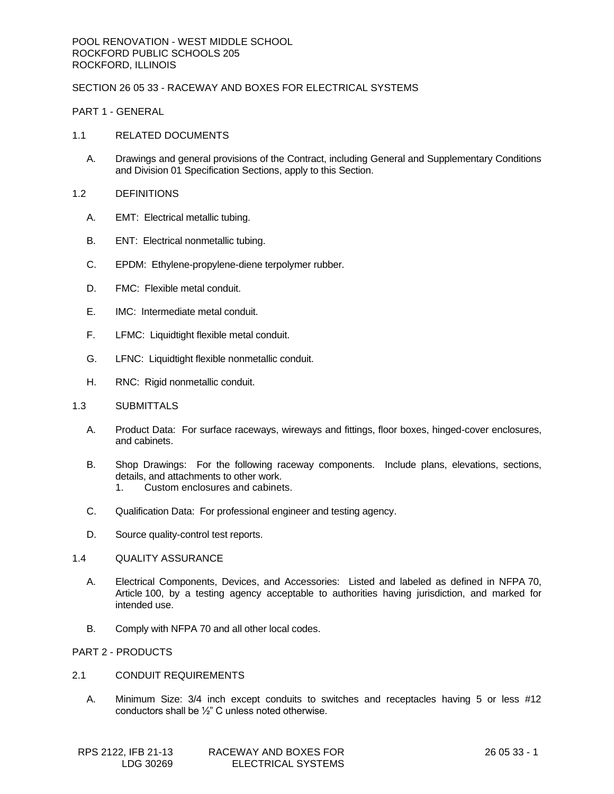# SECTION 26 05 33 - RACEWAY AND BOXES FOR ELECTRICAL SYSTEMS

PART 1 - GENERAL

- 1.1 RELATED DOCUMENTS
	- A. Drawings and general provisions of the Contract, including General and Supplementary Conditions and Division 01 Specification Sections, apply to this Section.
- 1.2 DEFINITIONS
	- A. EMT: Electrical metallic tubing.
	- B. ENT: Electrical nonmetallic tubing.
	- C. EPDM: Ethylene-propylene-diene terpolymer rubber.
	- D. FMC: Flexible metal conduit.
	- E. IMC: Intermediate metal conduit.
	- F. LFMC: Liquidtight flexible metal conduit.
	- G. LFNC: Liquidtight flexible nonmetallic conduit.
	- H. RNC: Rigid nonmetallic conduit.
- 1.3 SUBMITTALS
	- A. Product Data: For surface raceways, wireways and fittings, floor boxes, hinged-cover enclosures, and cabinets.
	- B. Shop Drawings: For the following raceway components. Include plans, elevations, sections, details, and attachments to other work. 1. Custom enclosures and cabinets.
		-
	- C. Qualification Data: For professional engineer and testing agency.
	- D. Source quality-control test reports.

#### 1.4 QUALITY ASSURANCE

- A. Electrical Components, Devices, and Accessories: Listed and labeled as defined in NFPA 70, Article 100, by a testing agency acceptable to authorities having jurisdiction, and marked for intended use.
- B. Comply with NFPA 70 and all other local codes.

PART 2 - PRODUCTS

- 2.1 CONDUIT REQUIREMENTS
	- A. Minimum Size: 3/4 inch except conduits to switches and receptacles having 5 or less #12 conductors shall be ½" C unless noted otherwise.

| RPS 2122, IFB 21-13 | RACEWAY AND BOXES FOR |
|---------------------|-----------------------|
| LDG 30269           | ELECTRICAL SYSTEMS    |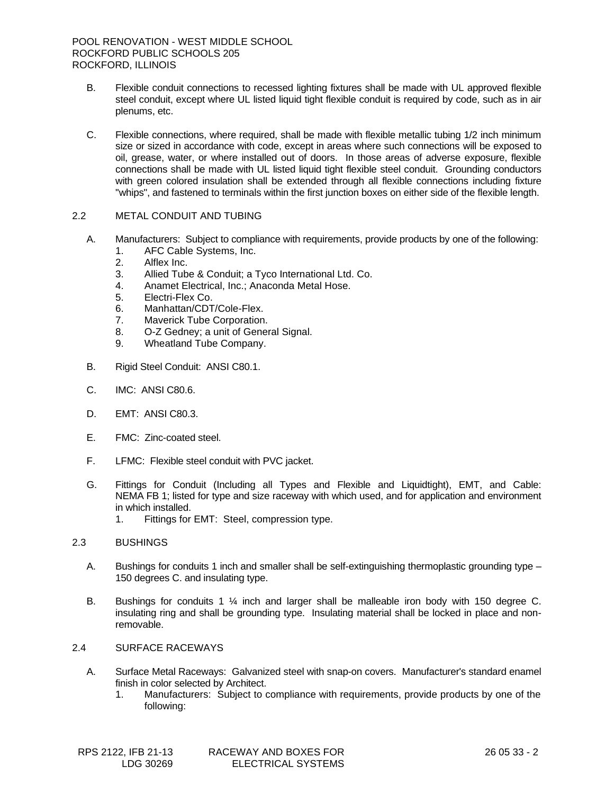- B. Flexible conduit connections to recessed lighting fixtures shall be made with UL approved flexible steel conduit, except where UL listed liquid tight flexible conduit is required by code, such as in air plenums, etc.
- C. Flexible connections, where required, shall be made with flexible metallic tubing 1/2 inch minimum size or sized in accordance with code, except in areas where such connections will be exposed to oil, grease, water, or where installed out of doors. In those areas of adverse exposure, flexible connections shall be made with UL listed liquid tight flexible steel conduit. Grounding conductors with green colored insulation shall be extended through all flexible connections including fixture "whips", and fastened to terminals within the first junction boxes on either side of the flexible length.
- 2.2 METAL CONDUIT AND TUBING
	- A. Manufacturers: Subject to compliance with requirements, provide products by one of the following:
		- 1. AFC Cable Systems, Inc.
		- 2. Alflex Inc.
		- 3. Allied Tube & Conduit; a Tyco International Ltd. Co.
		- 4. Anamet Electrical, Inc.; Anaconda Metal Hose.
		- 5. Electri-Flex Co.
		- 6. Manhattan/CDT/Cole-Flex.
		- 7. Maverick Tube Corporation.
		- 8. O-Z Gedney; a unit of General Signal.
		- 9. Wheatland Tube Company.
	- B. Rigid Steel Conduit: ANSI C80.1.
	- C. IMC: ANSI C80.6.
	- D. EMT: ANSI C80.3.
	- E. FMC: Zinc-coated steel.
	- F. LFMC: Flexible steel conduit with PVC jacket.
	- G. Fittings for Conduit (Including all Types and Flexible and Liquidtight), EMT, and Cable: NEMA FB 1; listed for type and size raceway with which used, and for application and environment in which installed.
		- 1. Fittings for EMT: Steel, compression type.

### 2.3 BUSHINGS

- A. Bushings for conduits 1 inch and smaller shall be self-extinguishing thermoplastic grounding type 150 degrees C. and insulating type.
- B. Bushings for conduits 1 ¼ inch and larger shall be malleable iron body with 150 degree C. insulating ring and shall be grounding type. Insulating material shall be locked in place and nonremovable.
- 2.4 SURFACE RACEWAYS
	- A. Surface Metal Raceways: Galvanized steel with snap-on covers. Manufacturer's standard enamel finish in color selected by Architect.
		- 1. Manufacturers: Subject to compliance with requirements, provide products by one of the following: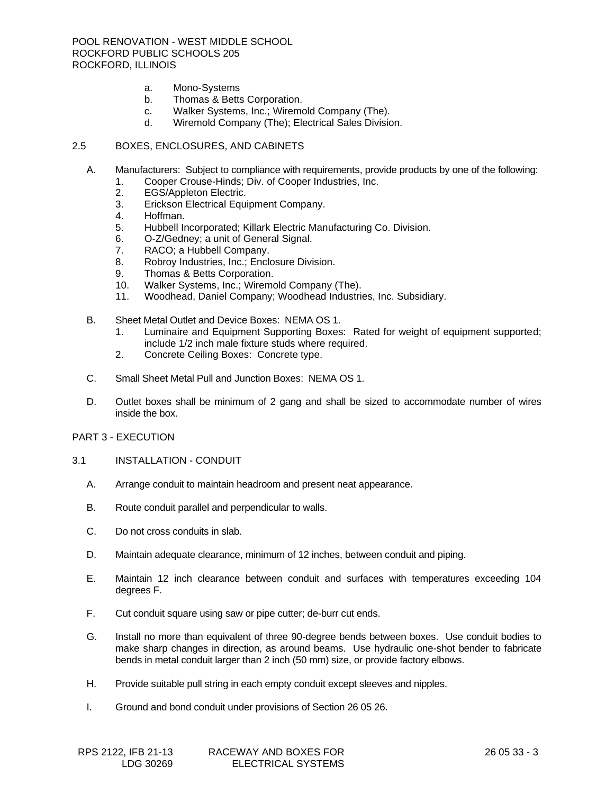- a. Mono-Systems
- b. Thomas & Betts Corporation.
- c. Walker Systems, Inc.; Wiremold Company (The).
- d. Wiremold Company (The); Electrical Sales Division.

#### 2.5 BOXES, ENCLOSURES, AND CABINETS

- A. Manufacturers: Subject to compliance with requirements, provide products by one of the following:
	- 1. Cooper Crouse-Hinds; Div. of Cooper Industries, Inc.
	- 2. EGS/Appleton Electric.
	- 3. Erickson Electrical Equipment Company.
	- 4. Hoffman.
	- 5. Hubbell Incorporated; Killark Electric Manufacturing Co. Division.
	- 6. O-Z/Gedney; a unit of General Signal.
	- 7. RACO; a Hubbell Company.
	- 8. Robroy Industries, Inc.; Enclosure Division.
	- 9. Thomas & Betts Corporation.
	- 10. Walker Systems, Inc.; Wiremold Company (The).
	- 11. Woodhead, Daniel Company; Woodhead Industries, Inc. Subsidiary.
- B. Sheet Metal Outlet and Device Boxes: NEMA OS 1.
	- 1. Luminaire and Equipment Supporting Boxes: Rated for weight of equipment supported; include 1/2 inch male fixture studs where required.
	- 2. Concrete Ceiling Boxes: Concrete type.
- C. Small Sheet Metal Pull and Junction Boxes: NEMA OS 1.
- D. Outlet boxes shall be minimum of 2 gang and shall be sized to accommodate number of wires inside the box.
- PART 3 EXECUTION
- 3.1 INSTALLATION CONDUIT
	- A. Arrange conduit to maintain headroom and present neat appearance.
	- B. Route conduit parallel and perpendicular to walls.
	- C. Do not cross conduits in slab.
	- D. Maintain adequate clearance, minimum of 12 inches, between conduit and piping.
	- E. Maintain 12 inch clearance between conduit and surfaces with temperatures exceeding 104 degrees F.
	- F. Cut conduit square using saw or pipe cutter; de-burr cut ends.
	- G. Install no more than equivalent of three 90-degree bends between boxes. Use conduit bodies to make sharp changes in direction, as around beams. Use hydraulic one-shot bender to fabricate bends in metal conduit larger than 2 inch (50 mm) size, or provide factory elbows.
	- H. Provide suitable pull string in each empty conduit except sleeves and nipples.
	- I. Ground and bond conduit under provisions of Section 26 05 26.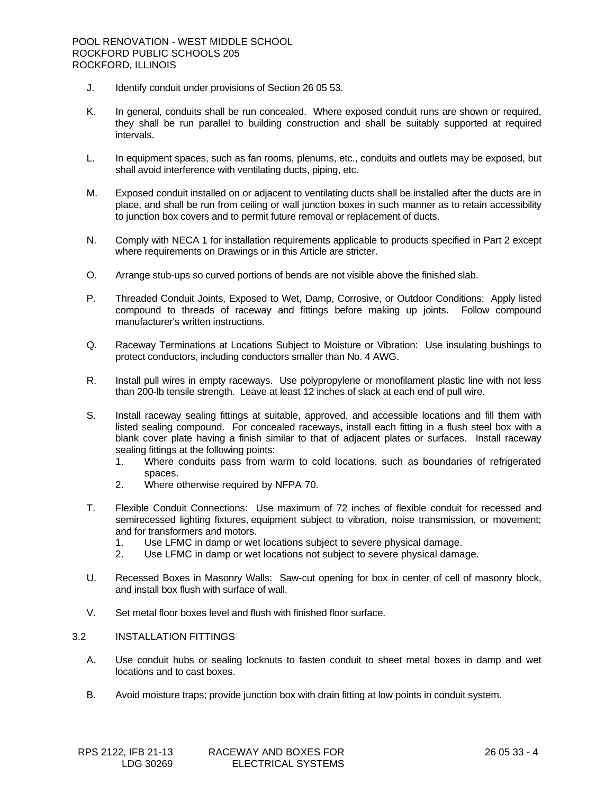- J. Identify conduit under provisions of Section 26 05 53.
- K. In general, conduits shall be run concealed. Where exposed conduit runs are shown or required, they shall be run parallel to building construction and shall be suitably supported at required intervals.
- L. In equipment spaces, such as fan rooms, plenums, etc., conduits and outlets may be exposed, but shall avoid interference with ventilating ducts, piping, etc.
- M. Exposed conduit installed on or adjacent to ventilating ducts shall be installed after the ducts are in place, and shall be run from ceiling or wall junction boxes in such manner as to retain accessibility to junction box covers and to permit future removal or replacement of ducts.
- N. Comply with NECA 1 for installation requirements applicable to products specified in Part 2 except where requirements on Drawings or in this Article are stricter.
- O. Arrange stub-ups so curved portions of bends are not visible above the finished slab.
- P. Threaded Conduit Joints, Exposed to Wet, Damp, Corrosive, or Outdoor Conditions: Apply listed compound to threads of raceway and fittings before making up joints. Follow compound manufacturer's written instructions.
- Q. Raceway Terminations at Locations Subject to Moisture or Vibration: Use insulating bushings to protect conductors, including conductors smaller than No. 4 AWG.
- R. Install pull wires in empty raceways. Use polypropylene or monofilament plastic line with not less than 200-lb tensile strength. Leave at least 12 inches of slack at each end of pull wire.
- S. Install raceway sealing fittings at suitable, approved, and accessible locations and fill them with listed sealing compound. For concealed raceways, install each fitting in a flush steel box with a blank cover plate having a finish similar to that of adjacent plates or surfaces. Install raceway sealing fittings at the following points:
	- 1. Where conduits pass from warm to cold locations, such as boundaries of refrigerated spaces.
	- 2. Where otherwise required by NFPA 70.
- T. Flexible Conduit Connections: Use maximum of 72 inches of flexible conduit for recessed and semirecessed lighting fixtures, equipment subject to vibration, noise transmission, or movement; and for transformers and motors.
	- 1. Use LFMC in damp or wet locations subject to severe physical damage.
	- 2. Use LFMC in damp or wet locations not subject to severe physical damage.
- U. Recessed Boxes in Masonry Walls: Saw-cut opening for box in center of cell of masonry block, and install box flush with surface of wall.
- V. Set metal floor boxes level and flush with finished floor surface.

# 3.2 INSTALLATION FITTINGS

- A. Use conduit hubs or sealing locknuts to fasten conduit to sheet metal boxes in damp and wet locations and to cast boxes.
- B. Avoid moisture traps; provide junction box with drain fitting at low points in conduit system.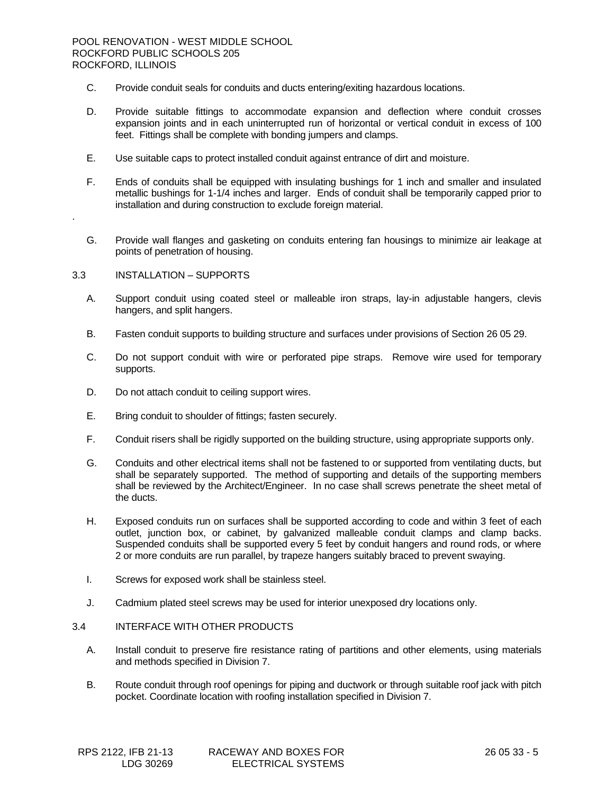- C. Provide conduit seals for conduits and ducts entering/exiting hazardous locations.
- D. Provide suitable fittings to accommodate expansion and deflection where conduit crosses expansion joints and in each uninterrupted run of horizontal or vertical conduit in excess of 100 feet. Fittings shall be complete with bonding jumpers and clamps.
- E. Use suitable caps to protect installed conduit against entrance of dirt and moisture.
- F. Ends of conduits shall be equipped with insulating bushings for 1 inch and smaller and insulated metallic bushings for 1-1/4 inches and larger. Ends of conduit shall be temporarily capped prior to installation and during construction to exclude foreign material.
- G. Provide wall flanges and gasketing on conduits entering fan housings to minimize air leakage at points of penetration of housing.
- 3.3 INSTALLATION SUPPORTS

.

- A. Support conduit using coated steel or malleable iron straps, lay-in adjustable hangers, clevis hangers, and split hangers.
- B. Fasten conduit supports to building structure and surfaces under provisions of Section 26 05 29.
- C. Do not support conduit with wire or perforated pipe straps. Remove wire used for temporary supports.
- D. Do not attach conduit to ceiling support wires.
- E. Bring conduit to shoulder of fittings; fasten securely.
- F. Conduit risers shall be rigidly supported on the building structure, using appropriate supports only.
- G. Conduits and other electrical items shall not be fastened to or supported from ventilating ducts, but shall be separately supported. The method of supporting and details of the supporting members shall be reviewed by the Architect/Engineer. In no case shall screws penetrate the sheet metal of the ducts.
- H. Exposed conduits run on surfaces shall be supported according to code and within 3 feet of each outlet, junction box, or cabinet, by galvanized malleable conduit clamps and clamp backs. Suspended conduits shall be supported every 5 feet by conduit hangers and round rods, or where 2 or more conduits are run parallel, by trapeze hangers suitably braced to prevent swaying.
- I. Screws for exposed work shall be stainless steel.
- J. Cadmium plated steel screws may be used for interior unexposed dry locations only.

#### 3.4 INTERFACE WITH OTHER PRODUCTS

- A. Install conduit to preserve fire resistance rating of partitions and other elements, using materials and methods specified in Division 7.
- B. Route conduit through roof openings for piping and ductwork or through suitable roof jack with pitch pocket. Coordinate location with roofing installation specified in Division 7.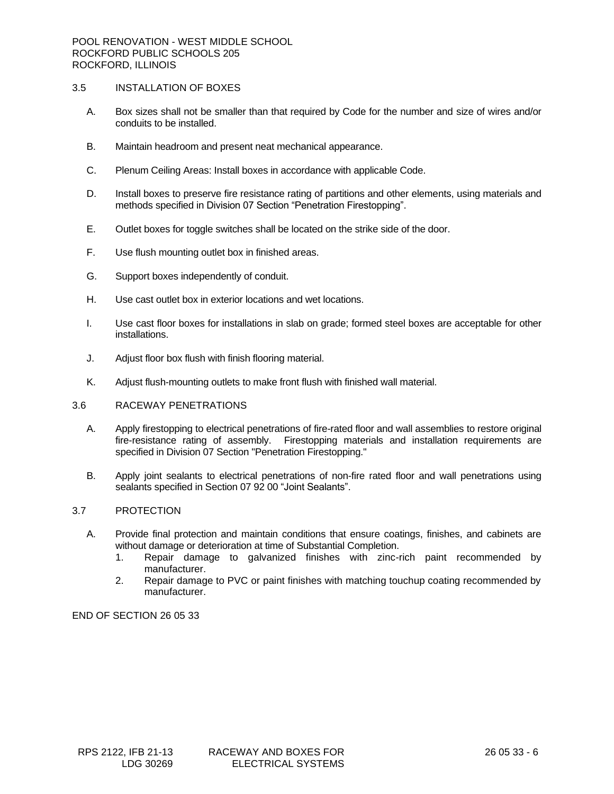# 3.5 INSTALLATION OF BOXES

- A. Box sizes shall not be smaller than that required by Code for the number and size of wires and/or conduits to be installed.
- B. Maintain headroom and present neat mechanical appearance.
- C. Plenum Ceiling Areas: Install boxes in accordance with applicable Code.
- D. Install boxes to preserve fire resistance rating of partitions and other elements, using materials and methods specified in Division 07 Section "Penetration Firestopping".
- E. Outlet boxes for toggle switches shall be located on the strike side of the door.
- F. Use flush mounting outlet box in finished areas.
- G. Support boxes independently of conduit.
- H. Use cast outlet box in exterior locations and wet locations.
- I. Use cast floor boxes for installations in slab on grade; formed steel boxes are acceptable for other installations.
- J. Adjust floor box flush with finish flooring material.
- K. Adjust flush-mounting outlets to make front flush with finished wall material.

#### 3.6 RACEWAY PENETRATIONS

- A. Apply firestopping to electrical penetrations of fire-rated floor and wall assemblies to restore original fire-resistance rating of assembly. Firestopping materials and installation requirements are specified in Division 07 Section "Penetration Firestopping."
- B. Apply joint sealants to electrical penetrations of non-fire rated floor and wall penetrations using sealants specified in Section 07 92 00 "Joint Sealants".

#### 3.7 PROTECTION

- A. Provide final protection and maintain conditions that ensure coatings, finishes, and cabinets are without damage or deterioration at time of Substantial Completion.
	- 1. Repair damage to galvanized finishes with zinc-rich paint recommended by manufacturer.
	- 2. Repair damage to PVC or paint finishes with matching touchup coating recommended by manufacturer.

END OF SECTION 26 05 33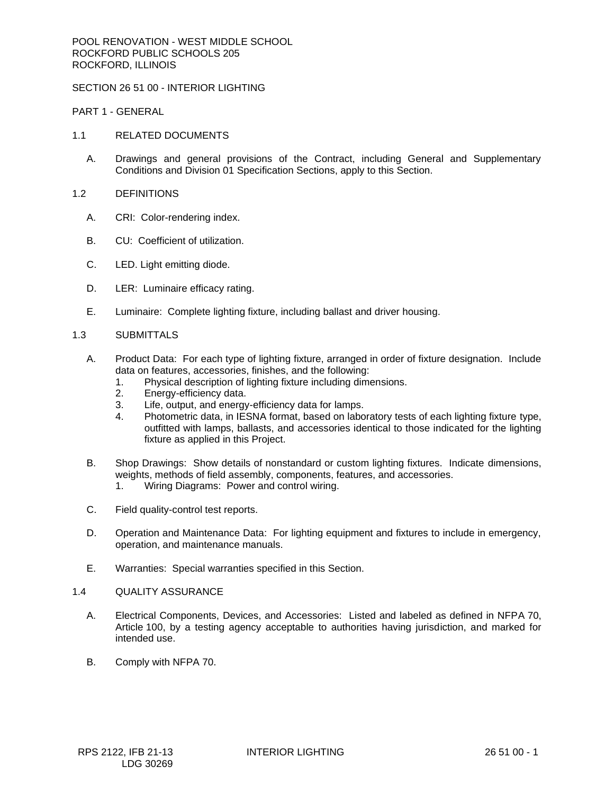# SECTION 26 51 00 - INTERIOR LIGHTING

PART 1 - GENERAL

- 1.1 RELATED DOCUMENTS
	- A. Drawings and general provisions of the Contract, including General and Supplementary Conditions and Division 01 Specification Sections, apply to this Section.
- 1.2 DEFINITIONS
	- A. CRI: Color-rendering index.
	- B. CU: Coefficient of utilization.
	- C. LED. Light emitting diode.
	- D. LER: Luminaire efficacy rating.
	- E. Luminaire: Complete lighting fixture, including ballast and driver housing.

### 1.3 SUBMITTALS

- A. Product Data: For each type of lighting fixture, arranged in order of fixture designation. Include data on features, accessories, finishes, and the following:
	- 1. Physical description of lighting fixture including dimensions.
	- 2. Energy-efficiency data.
	- 3. Life, output, and energy-efficiency data for lamps.
	- 4. Photometric data, in IESNA format, based on laboratory tests of each lighting fixture type, outfitted with lamps, ballasts, and accessories identical to those indicated for the lighting fixture as applied in this Project.
- B. Shop Drawings: Show details of nonstandard or custom lighting fixtures. Indicate dimensions, weights, methods of field assembly, components, features, and accessories.
	- 1. Wiring Diagrams: Power and control wiring.
- C. Field quality-control test reports.
- D. Operation and Maintenance Data: For lighting equipment and fixtures to include in emergency, operation, and maintenance manuals.
- E. Warranties: Special warranties specified in this Section.
- 1.4 QUALITY ASSURANCE
	- A. Electrical Components, Devices, and Accessories: Listed and labeled as defined in NFPA 70, Article 100, by a testing agency acceptable to authorities having jurisdiction, and marked for intended use.
	- B. Comply with NFPA 70.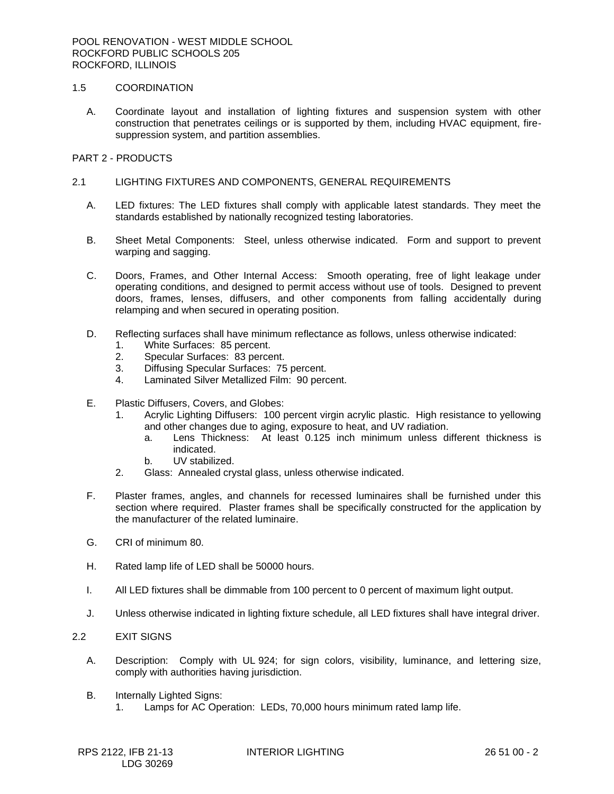## 1.5 COORDINATION

A. Coordinate layout and installation of lighting fixtures and suspension system with other construction that penetrates ceilings or is supported by them, including HVAC equipment, firesuppression system, and partition assemblies.

#### PART 2 - PRODUCTS

- 2.1 LIGHTING FIXTURES AND COMPONENTS, GENERAL REQUIREMENTS
	- A. LED fixtures: The LED fixtures shall comply with applicable latest standards. They meet the standards established by nationally recognized testing laboratories.
	- B. Sheet Metal Components: Steel, unless otherwise indicated. Form and support to prevent warping and sagging.
	- C. Doors, Frames, and Other Internal Access: Smooth operating, free of light leakage under operating conditions, and designed to permit access without use of tools. Designed to prevent doors, frames, lenses, diffusers, and other components from falling accidentally during relamping and when secured in operating position.
	- D. Reflecting surfaces shall have minimum reflectance as follows, unless otherwise indicated:
		- 1. White Surfaces: 85 percent.
		- 2. Specular Surfaces: 83 percent.
		- 3. Diffusing Specular Surfaces: 75 percent.
		- 4. Laminated Silver Metallized Film: 90 percent.
	- E. Plastic Diffusers, Covers, and Globes:
		- 1. Acrylic Lighting Diffusers: 100 percent virgin acrylic plastic. High resistance to yellowing and other changes due to aging, exposure to heat, and UV radiation.
			- a. Lens Thickness: At least 0.125 inch minimum unless different thickness is indicated.
			- b. UV stabilized.
		- 2. Glass: Annealed crystal glass, unless otherwise indicated.
	- F. Plaster frames, angles, and channels for recessed luminaires shall be furnished under this section where required. Plaster frames shall be specifically constructed for the application by the manufacturer of the related luminaire.
	- G. CRI of minimum 80.
	- H. Rated lamp life of LED shall be 50000 hours.
	- I. All LED fixtures shall be dimmable from 100 percent to 0 percent of maximum light output.
	- J. Unless otherwise indicated in lighting fixture schedule, all LED fixtures shall have integral driver.

### 2.2 EXIT SIGNS

- A. Description: Comply with UL 924; for sign colors, visibility, luminance, and lettering size, comply with authorities having jurisdiction.
- B. Internally Lighted Signs:
	- 1. Lamps for AC Operation: LEDs, 70,000 hours minimum rated lamp life.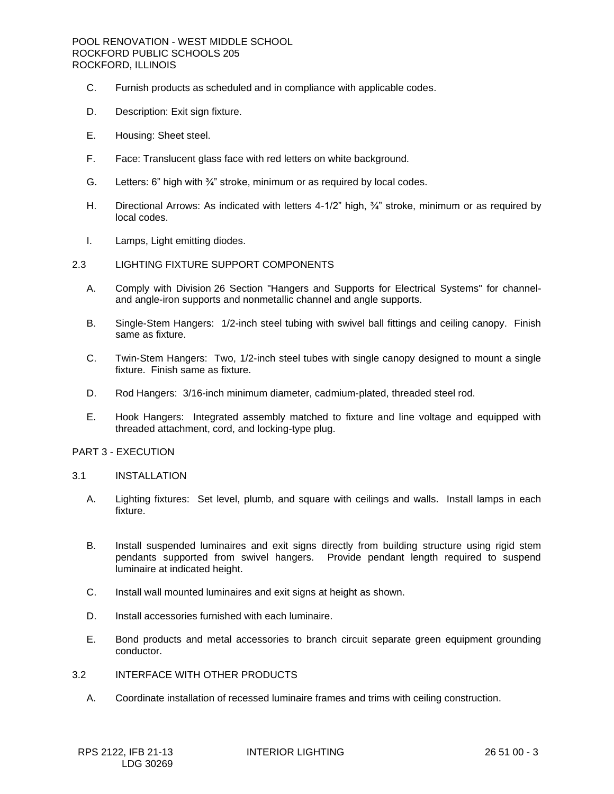- C. Furnish products as scheduled and in compliance with applicable codes.
- D. Description: Exit sign fixture.
- E. Housing: Sheet steel.
- F. Face: Translucent glass face with red letters on white background.
- G. Letters: 6" high with  $\frac{3}{4}$ " stroke, minimum or as required by local codes.
- H. Directional Arrows: As indicated with letters 4-1/2" high, ¾" stroke, minimum or as required by local codes.
- I. Lamps, Light emitting diodes.

#### 2.3 LIGHTING FIXTURE SUPPORT COMPONENTS

- A. Comply with Division 26 Section "Hangers and Supports for Electrical Systems" for channeland angle-iron supports and nonmetallic channel and angle supports.
- B. Single-Stem Hangers: 1/2-inch steel tubing with swivel ball fittings and ceiling canopy. Finish same as fixture.
- C. Twin-Stem Hangers: Two, 1/2-inch steel tubes with single canopy designed to mount a single fixture. Finish same as fixture.
- D. Rod Hangers: 3/16-inch minimum diameter, cadmium-plated, threaded steel rod.
- E. Hook Hangers: Integrated assembly matched to fixture and line voltage and equipped with threaded attachment, cord, and locking-type plug.

#### PART 3 - EXECUTION

# 3.1 INSTALLATION

- A. Lighting fixtures: Set level, plumb, and square with ceilings and walls. Install lamps in each fixture.
- B. Install suspended luminaires and exit signs directly from building structure using rigid stem pendants supported from swivel hangers. Provide pendant length required to suspend luminaire at indicated height.
- C. Install wall mounted luminaires and exit signs at height as shown.
- D. Install accessories furnished with each luminaire.
- E. Bond products and metal accessories to branch circuit separate green equipment grounding conductor.
- 3.2 INTERFACE WITH OTHER PRODUCTS
	- A. Coordinate installation of recessed luminaire frames and trims with ceiling construction.